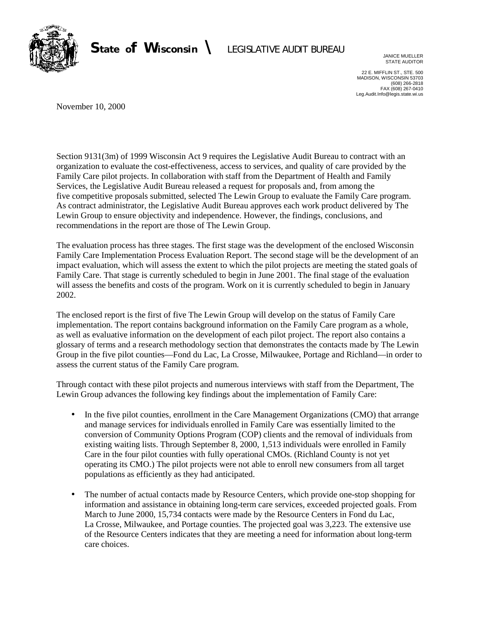

## State of Wisconsin \ LEGISLATIVE AUDIT BUREAU

JANICE MUELLER STATE AUDITOR

22 E. MIFFLIN ST., STE. 500 MADISON, WISCONSIN 53703 (608) 266-2818 FAX (608) 267-0410 Leg.Audit.Info@legis.state.wi.us

November 10, 2000

Section 9131(3m) of 1999 Wisconsin Act 9 requires the Legislative Audit Bureau to contract with an organization to evaluate the cost-effectiveness, access to services, and quality of care provided by the Family Care pilot projects. In collaboration with staff from the Department of Health and Family Services, the Legislative Audit Bureau released a request for proposals and, from among the five competitive proposals submitted, selected The Lewin Group to evaluate the Family Care program. As contract administrator, the Legislative Audit Bureau approves each work product delivered by The Lewin Group to ensure objectivity and independence. However, the findings, conclusions, and recommendations in the report are those of The Lewin Group.

The evaluation process has three stages. The first stage was the development of the enclosed Wisconsin Family Care Implementation Process Evaluation Report. The second stage will be the development of an impact evaluation, which will assess the extent to which the pilot projects are meeting the stated goals of Family Care. That stage is currently scheduled to begin in June 2001. The final stage of the evaluation will assess the benefits and costs of the program. Work on it is currently scheduled to begin in January 2002.

The enclosed report is the first of five The Lewin Group will develop on the status of Family Care implementation. The report contains background information on the Family Care program as a whole, as well as evaluative information on the development of each pilot project. The report also contains a glossary of terms and a research methodology section that demonstrates the contacts made by The Lewin Group in the five pilot counties—Fond du Lac, La Crosse, Milwaukee, Portage and Richland—in order to assess the current status of the Family Care program.

Through contact with these pilot projects and numerous interviews with staff from the Department, The Lewin Group advances the following key findings about the implementation of Family Care:

- In the five pilot counties, enrollment in the Care Management Organizations (CMO) that arrange and manage services for individuals enrolled in Family Care was essentially limited to the conversion of Community Options Program (COP) clients and the removal of individuals from existing waiting lists. Through September 8, 2000, 1,513 individuals were enrolled in Family Care in the four pilot counties with fully operational CMOs. (Richland County is not yet operating its CMO.) The pilot projects were not able to enroll new consumers from all target populations as efficiently as they had anticipated.
- The number of actual contacts made by Resource Centers, which provide one-stop shopping for information and assistance in obtaining long-term care services, exceeded projected goals. From March to June 2000, 15,734 contacts were made by the Resource Centers in Fond du Lac, La Crosse, Milwaukee, and Portage counties. The projected goal was 3,223. The extensive use of the Resource Centers indicates that they are meeting a need for information about long-term care choices.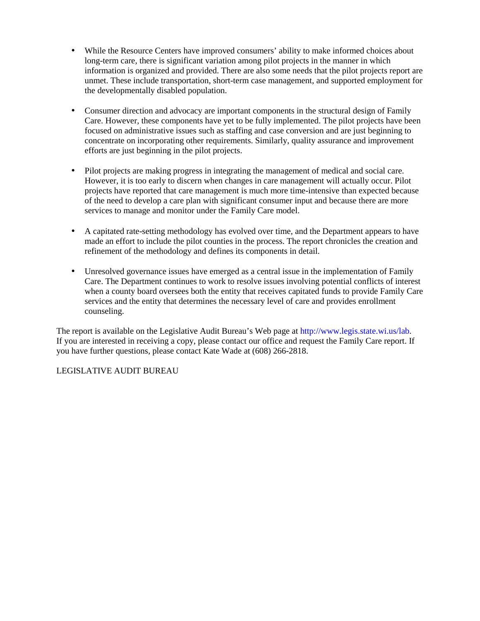- While the Resource Centers have improved consumers' ability to make informed choices about long-term care, there is significant variation among pilot projects in the manner in which information is organized and provided. There are also some needs that the pilot projects report are unmet. These include transportation, short-term case management, and supported employment for the developmentally disabled population.
- Consumer direction and advocacy are important components in the structural design of Family Care. However, these components have yet to be fully implemented. The pilot projects have been focused on administrative issues such as staffing and case conversion and are just beginning to concentrate on incorporating other requirements. Similarly, quality assurance and improvement efforts are just beginning in the pilot projects.
- Pilot projects are making progress in integrating the management of medical and social care. However, it is too early to discern when changes in care management will actually occur. Pilot projects have reported that care management is much more time-intensive than expected because of the need to develop a care plan with significant consumer input and because there are more services to manage and monitor under the Family Care model.
- A capitated rate-setting methodology has evolved over time, and the Department appears to have made an effort to include the pilot counties in the process. The report chronicles the creation and refinement of the methodology and defines its components in detail.
- Unresolved governance issues have emerged as a central issue in the implementation of Family Care. The Department continues to work to resolve issues involving potential conflicts of interest when a county board oversees both the entity that receives capitated funds to provide Family Care services and the entity that determines the necessary level of care and provides enrollment counseling.

The report is available on the Legislative Audit Bureau's Web page at [http://www.legis.state.wi.us/lab.](http://www.legis.state.wi.us/lab) If you are interested in receiving a copy, please contact our office and request the Family Care report. If you have further questions, please contact Kate Wade at (608) 266-2818.

#### LEGISLATIVE AUDIT BUREAU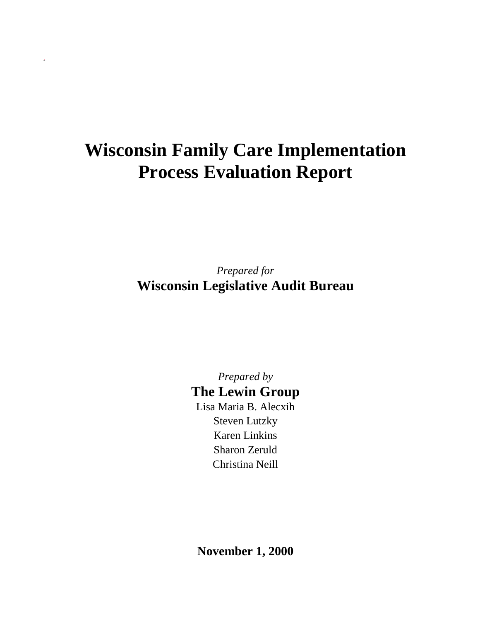# **Wisconsin Family Care Implementation Process Evaluation Report**

*Prepared for* **Wisconsin Legislative Audit Bureau**

> *Prepared by* **The Lewin Group** Lisa Maria B. Alecxih

Steven Lutzky Karen Linkins Sharon Zeruld Christina Neill

**November 1, 2000**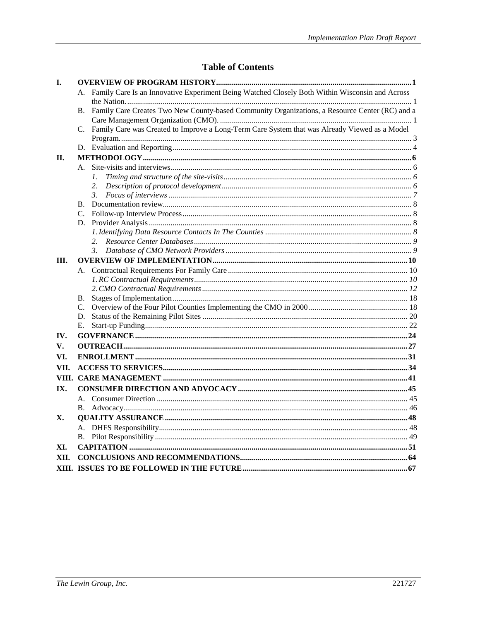### **Table of Contents**

| I.   |                                                                                                              |  |
|------|--------------------------------------------------------------------------------------------------------------|--|
|      | A. Family Care Is an Innovative Experiment Being Watched Closely Both Within Wisconsin and Across            |  |
|      |                                                                                                              |  |
|      | Family Care Creates Two New County-based Community Organizations, a Resource Center (RC) and a<br><b>B.</b>  |  |
|      |                                                                                                              |  |
|      | Family Care was Created to Improve a Long-Term Care System that was Already Viewed as a Model<br>$C_{\cdot}$ |  |
|      |                                                                                                              |  |
|      |                                                                                                              |  |
| П.   |                                                                                                              |  |
|      |                                                                                                              |  |
|      | 1.                                                                                                           |  |
|      | 2.                                                                                                           |  |
|      | 3.                                                                                                           |  |
|      | $\mathbf{B}$ .                                                                                               |  |
|      | C.                                                                                                           |  |
|      | D.                                                                                                           |  |
|      |                                                                                                              |  |
|      |                                                                                                              |  |
|      | $\beta$ .                                                                                                    |  |
| Ш.   |                                                                                                              |  |
|      |                                                                                                              |  |
|      |                                                                                                              |  |
|      |                                                                                                              |  |
|      | <b>B.</b>                                                                                                    |  |
|      |                                                                                                              |  |
|      |                                                                                                              |  |
|      | E.                                                                                                           |  |
| IV.  |                                                                                                              |  |
| V.   |                                                                                                              |  |
| VI.  |                                                                                                              |  |
| VII. |                                                                                                              |  |
|      |                                                                                                              |  |
| IX.  |                                                                                                              |  |
|      |                                                                                                              |  |
|      | В.                                                                                                           |  |
| Х.   |                                                                                                              |  |
|      |                                                                                                              |  |
|      |                                                                                                              |  |
| XI.  |                                                                                                              |  |
| XII. |                                                                                                              |  |
|      |                                                                                                              |  |
|      |                                                                                                              |  |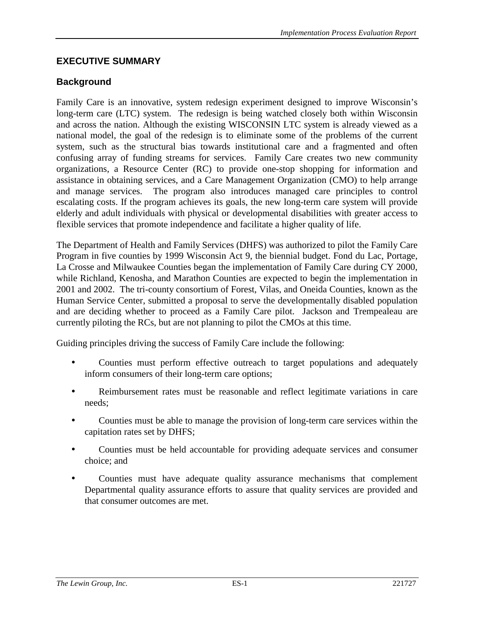### **EXECUTIVE SUMMARY**

### **Background**

Family Care is an innovative, system redesign experiment designed to improve Wisconsin's long-term care (LTC) system. The redesign is being watched closely both within Wisconsin and across the nation. Although the existing WISCONSIN LTC system is already viewed as a national model, the goal of the redesign is to eliminate some of the problems of the current system, such as the structural bias towards institutional care and a fragmented and often confusing array of funding streams for services. Family Care creates two new community organizations, a Resource Center (RC) to provide one-stop shopping for information and assistance in obtaining services, and a Care Management Organization (CMO) to help arrange and manage services. The program also introduces managed care principles to control escalating costs. If the program achieves its goals, the new long-term care system will provide elderly and adult individuals with physical or developmental disabilities with greater access to flexible services that promote independence and facilitate a higher quality of life.

The Department of Health and Family Services (DHFS) was authorized to pilot the Family Care Program in five counties by 1999 Wisconsin Act 9, the biennial budget. Fond du Lac, Portage, La Crosse and Milwaukee Counties began the implementation of Family Care during CY 2000, while Richland, Kenosha, and Marathon Counties are expected to begin the implementation in 2001 and 2002. The tri-county consortium of Forest, Vilas, and Oneida Counties, known as the Human Service Center, submitted a proposal to serve the developmentally disabled population and are deciding whether to proceed as a Family Care pilot. Jackson and Trempealeau are currently piloting the RCs, but are not planning to pilot the CMOs at this time.

Guiding principles driving the success of Family Care include the following:

- Counties must perform effective outreach to target populations and adequately inform consumers of their long-term care options;
- Reimbursement rates must be reasonable and reflect legitimate variations in care needs;
- Counties must be able to manage the provision of long-term care services within the capitation rates set by DHFS;
- Counties must be held accountable for providing adequate services and consumer choice; and
- Counties must have adequate quality assurance mechanisms that complement Departmental quality assurance efforts to assure that quality services are provided and that consumer outcomes are met.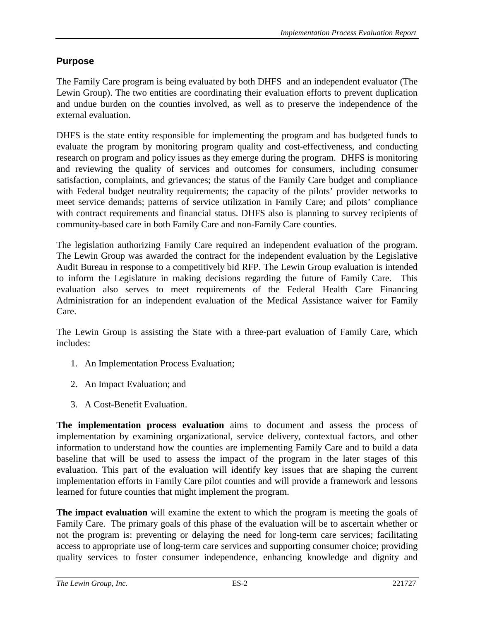### **Purpose**

The Family Care program is being evaluated by both DHFS and an independent evaluator (The Lewin Group). The two entities are coordinating their evaluation efforts to prevent duplication and undue burden on the counties involved, as well as to preserve the independence of the external evaluation.

DHFS is the state entity responsible for implementing the program and has budgeted funds to evaluate the program by monitoring program quality and cost-effectiveness, and conducting research on program and policy issues as they emerge during the program. DHFS is monitoring and reviewing the quality of services and outcomes for consumers, including consumer satisfaction, complaints, and grievances; the status of the Family Care budget and compliance with Federal budget neutrality requirements; the capacity of the pilots' provider networks to meet service demands; patterns of service utilization in Family Care; and pilots' compliance with contract requirements and financial status. DHFS also is planning to survey recipients of community-based care in both Family Care and non-Family Care counties.

The legislation authorizing Family Care required an independent evaluation of the program. The Lewin Group was awarded the contract for the independent evaluation by the Legislative Audit Bureau in response to a competitively bid RFP. The Lewin Group evaluation is intended to inform the Legislature in making decisions regarding the future of Family Care. This evaluation also serves to meet requirements of the Federal Health Care Financing Administration for an independent evaluation of the Medical Assistance waiver for Family Care.

The Lewin Group is assisting the State with a three-part evaluation of Family Care, which includes:

- 1. An Implementation Process Evaluation;
- 2. An Impact Evaluation; and
- 3. A Cost-Benefit Evaluation.

**The implementation process evaluation** aims to document and assess the process of implementation by examining organizational, service delivery, contextual factors, and other information to understand how the counties are implementing Family Care and to build a data baseline that will be used to assess the impact of the program in the later stages of this evaluation. This part of the evaluation will identify key issues that are shaping the current implementation efforts in Family Care pilot counties and will provide a framework and lessons learned for future counties that might implement the program.

**The impact evaluation** will examine the extent to which the program is meeting the goals of Family Care. The primary goals of this phase of the evaluation will be to ascertain whether or not the program is: preventing or delaying the need for long-term care services; facilitating access to appropriate use of long-term care services and supporting consumer choice; providing quality services to foster consumer independence, enhancing knowledge and dignity and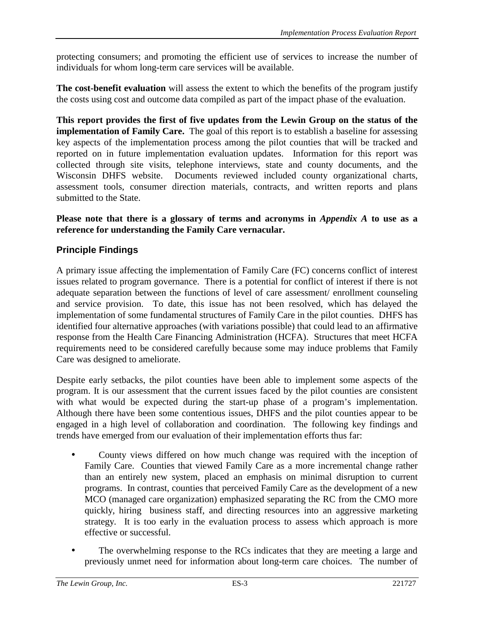protecting consumers; and promoting the efficient use of services to increase the number of individuals for whom long-term care services will be available.

**The cost-benefit evaluation** will assess the extent to which the benefits of the program justify the costs using cost and outcome data compiled as part of the impact phase of the evaluation.

**This report provides the first of five updates from the Lewin Group on the status of the implementation of Family Care.** The goal of this report is to establish a baseline for assessing key aspects of the implementation process among the pilot counties that will be tracked and reported on in future implementation evaluation updates. Information for this report was collected through site visits, telephone interviews, state and county documents, and the Wisconsin DHFS website. Documents reviewed included county organizational charts, assessment tools, consumer direction materials, contracts, and written reports and plans submitted to the State.

**Please note that there is a glossary of terms and acronyms in** *Appendix A* **to use as a reference for understanding the Family Care vernacular.**

### **Principle Findings**

A primary issue affecting the implementation of Family Care (FC) concerns conflict of interest issues related to program governance. There is a potential for conflict of interest if there is not adequate separation between the functions of level of care assessment/ enrollment counseling and service provision. To date, this issue has not been resolved, which has delayed the implementation of some fundamental structures of Family Care in the pilot counties. DHFS has identified four alternative approaches (with variations possible) that could lead to an affirmative response from the Health Care Financing Administration (HCFA). Structures that meet HCFA requirements need to be considered carefully because some may induce problems that Family Care was designed to ameliorate.

Despite early setbacks, the pilot counties have been able to implement some aspects of the program. It is our assessment that the current issues faced by the pilot counties are consistent with what would be expected during the start-up phase of a program's implementation. Although there have been some contentious issues, DHFS and the pilot counties appear to be engaged in a high level of collaboration and coordination. The following key findings and trends have emerged from our evaluation of their implementation efforts thus far:

- County views differed on how much change was required with the inception of Family Care. Counties that viewed Family Care as a more incremental change rather than an entirely new system, placed an emphasis on minimal disruption to current programs. In contrast, counties that perceived Family Care as the development of a new MCO (managed care organization) emphasized separating the RC from the CMO more quickly, hiring business staff, and directing resources into an aggressive marketing strategy. It is too early in the evaluation process to assess which approach is more effective or successful.
- The overwhelming response to the RCs indicates that they are meeting a large and previously unmet need for information about long-term care choices. The number of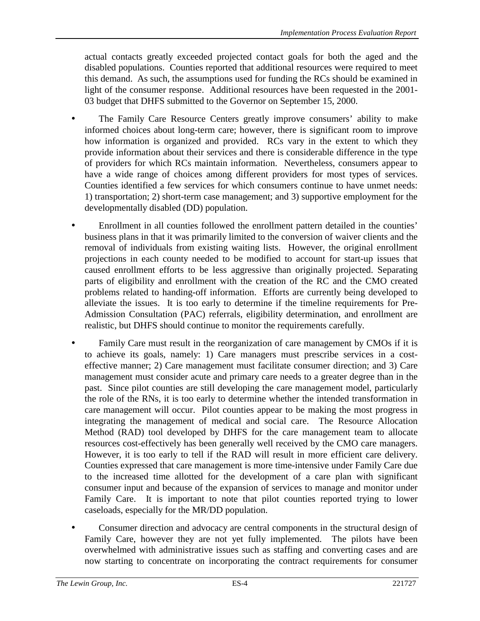actual contacts greatly exceeded projected contact goals for both the aged and the disabled populations. Counties reported that additional resources were required to meet this demand. As such, the assumptions used for funding the RCs should be examined in light of the consumer response. Additional resources have been requested in the 2001- 03 budget that DHFS submitted to the Governor on September 15, 2000.

- The Family Care Resource Centers greatly improve consumers' ability to make informed choices about long-term care; however, there is significant room to improve how information is organized and provided. RCs vary in the extent to which they provide information about their services and there is considerable difference in the type of providers for which RCs maintain information. Nevertheless, consumers appear to have a wide range of choices among different providers for most types of services. Counties identified a few services for which consumers continue to have unmet needs: 1) transportation; 2) short-term case management; and 3) supportive employment for the developmentally disabled (DD) population.
- Enrollment in all counties followed the enrollment pattern detailed in the counties' business plans in that it was primarily limited to the conversion of waiver clients and the removal of individuals from existing waiting lists. However, the original enrollment projections in each county needed to be modified to account for start-up issues that caused enrollment efforts to be less aggressive than originally projected. Separating parts of eligibility and enrollment with the creation of the RC and the CMO created problems related to handing-off information. Efforts are currently being developed to alleviate the issues. It is too early to determine if the timeline requirements for Pre-Admission Consultation (PAC) referrals, eligibility determination, and enrollment are realistic, but DHFS should continue to monitor the requirements carefully.
- Family Care must result in the reorganization of care management by CMOs if it is to achieve its goals, namely: 1) Care managers must prescribe services in a costeffective manner; 2) Care management must facilitate consumer direction; and 3) Care management must consider acute and primary care needs to a greater degree than in the past. Since pilot counties are still developing the care management model, particularly the role of the RNs, it is too early to determine whether the intended transformation in care management will occur. Pilot counties appear to be making the most progress in integrating the management of medical and social care. The Resource Allocation Method (RAD) tool developed by DHFS for the care management team to allocate resources cost-effectively has been generally well received by the CMO care managers. However, it is too early to tell if the RAD will result in more efficient care delivery. Counties expressed that care management is more time-intensive under Family Care due to the increased time allotted for the development of a care plan with significant consumer input and because of the expansion of services to manage and monitor under Family Care. It is important to note that pilot counties reported trying to lower caseloads, especially for the MR/DD population.
- Consumer direction and advocacy are central components in the structural design of Family Care, however they are not yet fully implemented. The pilots have been overwhelmed with administrative issues such as staffing and converting cases and are now starting to concentrate on incorporating the contract requirements for consumer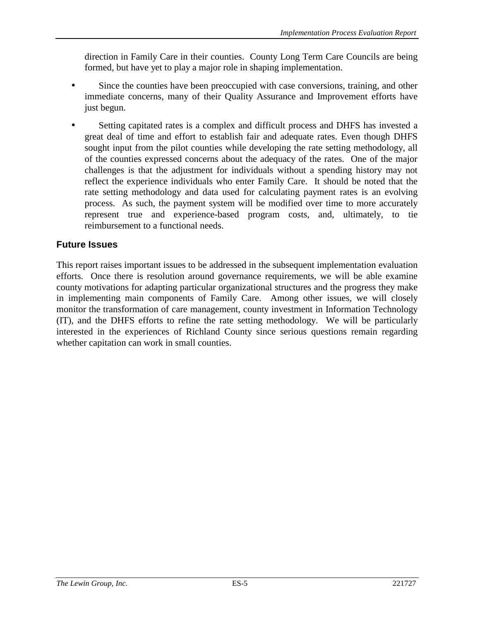direction in Family Care in their counties. County Long Term Care Councils are being formed, but have yet to play a major role in shaping implementation.

- Since the counties have been preoccupied with case conversions, training, and other immediate concerns, many of their Quality Assurance and Improvement efforts have just begun.
- Setting capitated rates is a complex and difficult process and DHFS has invested a great deal of time and effort to establish fair and adequate rates. Even though DHFS sought input from the pilot counties while developing the rate setting methodology, all of the counties expressed concerns about the adequacy of the rates. One of the major challenges is that the adjustment for individuals without a spending history may not reflect the experience individuals who enter Family Care. It should be noted that the rate setting methodology and data used for calculating payment rates is an evolving process. As such, the payment system will be modified over time to more accurately represent true and experience-based program costs, and, ultimately, to tie reimbursement to a functional needs.

### **Future Issues**

This report raises important issues to be addressed in the subsequent implementation evaluation efforts. Once there is resolution around governance requirements, we will be able examine county motivations for adapting particular organizational structures and the progress they make in implementing main components of Family Care. Among other issues, we will closely monitor the transformation of care management, county investment in Information Technology (IT), and the DHFS efforts to refine the rate setting methodology. We will be particularly interested in the experiences of Richland County since serious questions remain regarding whether capitation can work in small counties.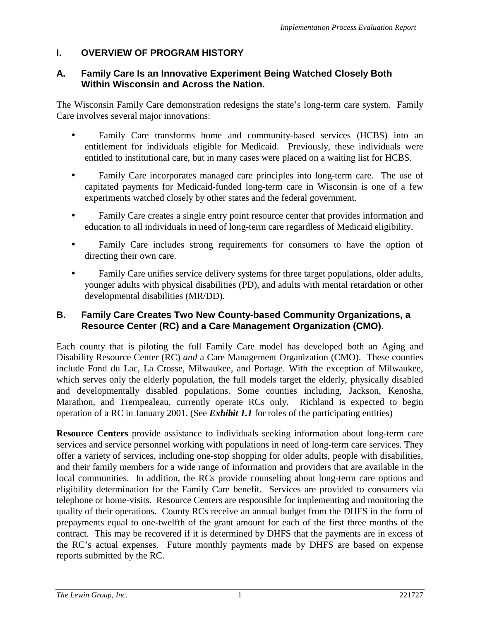### <span id="page-9-0"></span>**I. OVERVIEW OF PROGRAM HISTORY**

### **A. Family Care Is an Innovative Experiment Being Watched Closely Both Within Wisconsin and Across the Nation.**

The Wisconsin Family Care demonstration redesigns the state's long-term care system. Family Care involves several major innovations:

- Family Care transforms home and community-based services (HCBS) into an entitlement for individuals eligible for Medicaid. Previously, these individuals were entitled to institutional care, but in many cases were placed on a waiting list for HCBS.
- Family Care incorporates managed care principles into long-term care. The use of capitated payments for Medicaid-funded long-term care in Wisconsin is one of a few experiments watched closely by other states and the federal government.
- Family Care creates a single entry point resource center that provides information and education to all individuals in need of long-term care regardless of Medicaid eligibility.
- Family Care includes strong requirements for consumers to have the option of directing their own care.
- Family Care unifies service delivery systems for three target populations, older adults, younger adults with physical disabilities (PD), and adults with mental retardation or other developmental disabilities (MR/DD).

### **B. Family Care Creates Two New County-based Community Organizations, a Resource Center (RC) and a Care Management Organization (CMO).**

Each county that is piloting the full Family Care model has developed both an Aging and Disability Resource Center (RC) *and* a Care Management Organization (CMO). These counties include Fond du Lac, La Crosse, Milwaukee, and Portage. With the exception of Milwaukee, which serves only the elderly population, the full models target the elderly, physically disabled and developmentally disabled populations. Some counties including, Jackson, Kenosha, Marathon, and Trempealeau, currently operate RCs only. Richland is expected to begin operation of a RC in January 2001. (See *Exhibit 1.1* for roles of the participating entities)

**Resource Centers** provide assistance to individuals seeking information about long-term care services and service personnel working with populations in need of long-term care services. They offer a variety of services, including one-stop shopping for older adults, people with disabilities, and their family members for a wide range of information and providers that are available in the local communities. In addition, the RCs provide counseling about long-term care options and eligibility determination for the Family Care benefit. Services are provided to consumers via telephone or home-visits. Resource Centers are responsible for implementing and monitoring the quality of their operations. County RCs receive an annual budget from the DHFS in the form of prepayments equal to one-twelfth of the grant amount for each of the first three months of the contract. This may be recovered if it is determined by DHFS that the payments are in excess of the RC's actual expenses. Future monthly payments made by DHFS are based on expense reports submitted by the RC.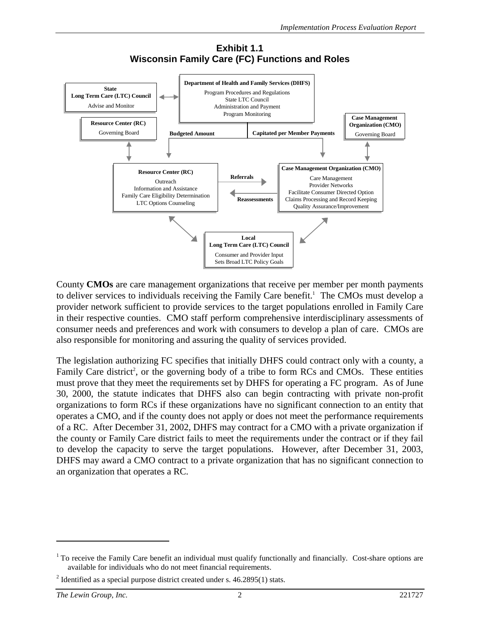

#### **Exhibit 1.1 Wisconsin Family Care (FC) Functions and Roles**

County **CMOs** are care management organizations that receive per member per month payments to deliver services to individuals receiving the Family Care benefit.<sup>1</sup> The CMOs must develop a provider network sufficient to provide services to the target populations enrolled in Family Care in their respective counties. CMO staff perform comprehensive interdisciplinary assessments of consumer needs and preferences and work with consumers to develop a plan of care. CMOs are also responsible for monitoring and assuring the quality of services provided.

The legislation authorizing FC specifies that initially DHFS could contract only with a county, a Family Care district<sup>2</sup>, or the governing body of a tribe to form RCs and CMOs. These entities must prove that they meet the requirements set by DHFS for operating a FC program. As of June 30, 2000, the statute indicates that DHFS also can begin contracting with private non-profit organizations to form RCs if these organizations have no significant connection to an entity that operates a CMO, and if the county does not apply or does not meet the performance requirements of a RC. After December 31, 2002, DHFS may contract for a CMO with a private organization if the county or Family Care district fails to meet the requirements under the contract or if they fail to develop the capacity to serve the target populations. However, after December 31, 2003, DHFS may award a CMO contract to a private organization that has no significant connection to an organization that operates a RC.

 $1$  To receive the Family Care benefit an individual must qualify functionally and financially. Cost-share options are available for individuals who do not meet financial requirements.

<sup>&</sup>lt;sup>2</sup> Identified as a special purpose district created under s.  $46.2895(1)$  stats.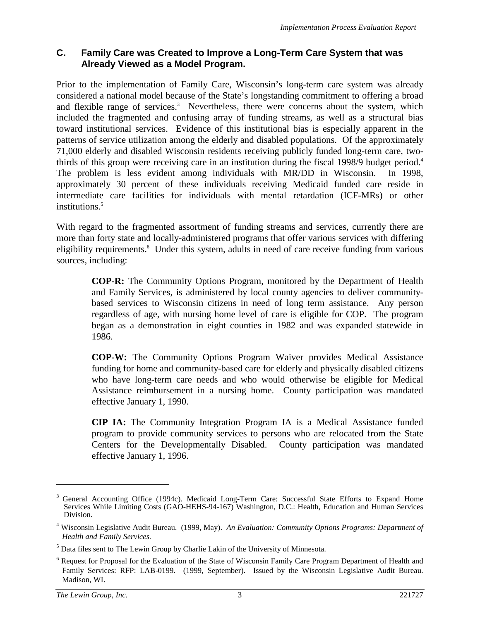#### <span id="page-11-0"></span>**C. Family Care was Created to Improve a Long-Term Care System that was Already Viewed as a Model Program.**

Prior to the implementation of Family Care, Wisconsin's long-term care system was already considered a national model because of the State's longstanding commitment to offering a broad and flexible range of services.<sup>3</sup> Nevertheless, there were concerns about the system, which included the fragmented and confusing array of funding streams, as well as a structural bias toward institutional services. Evidence of this institutional bias is especially apparent in the patterns of service utilization among the elderly and disabled populations. Of the approximately 71,000 elderly and disabled Wisconsin residents receiving publicly funded long-term care, twothirds of this group were receiving care in an institution during the fiscal 1998/9 budget period.4 The problem is less evident among individuals with MR/DD in Wisconsin. In 1998, approximately 30 percent of these individuals receiving Medicaid funded care reside in intermediate care facilities for individuals with mental retardation (ICF-MRs) or other institutions.<sup>5</sup>

With regard to the fragmented assortment of funding streams and services, currently there are more than forty state and locally-administered programs that offer various services with differing eligibility requirements.<sup>6</sup> Under this system, adults in need of care receive funding from various sources, including:

**COP-R:** The Community Options Program, monitored by the Department of Health and Family Services, is administered by local county agencies to deliver communitybased services to Wisconsin citizens in need of long term assistance. Any person regardless of age, with nursing home level of care is eligible for COP. The program began as a demonstration in eight counties in 1982 and was expanded statewide in 1986.

**COP-W:** The Community Options Program Waiver provides Medical Assistance funding for home and community-based care for elderly and physically disabled citizens who have long-term care needs and who would otherwise be eligible for Medical Assistance reimbursement in a nursing home. County participation was mandated effective January 1, 1990.

**CIP IA:** The Community Integration Program IA is a Medical Assistance funded program to provide community services to persons who are relocated from the State Centers for the Developmentally Disabled. County participation was mandated effective January 1, 1996.

<sup>3</sup> General Accounting Office (1994c). Medicaid Long-Term Care: Successful State Efforts to Expand Home Services While Limiting Costs (GAO-HEHS-94-167) Washington, D.C.: Health, Education and Human Services Division.

<sup>4</sup> Wisconsin Legislative Audit Bureau. (1999, May). *An Evaluation: Community Options Programs: Department of Health and Family Services.*

<sup>&</sup>lt;sup>5</sup> Data files sent to The Lewin Group by Charlie Lakin of the University of Minnesota.

<sup>&</sup>lt;sup>6</sup> Request for Proposal for the Evaluation of the State of Wisconsin Family Care Program Department of Health and Family Services: RFP: LAB-0199. (1999, September). Issued by the Wisconsin Legislative Audit Bureau. Madison, WI.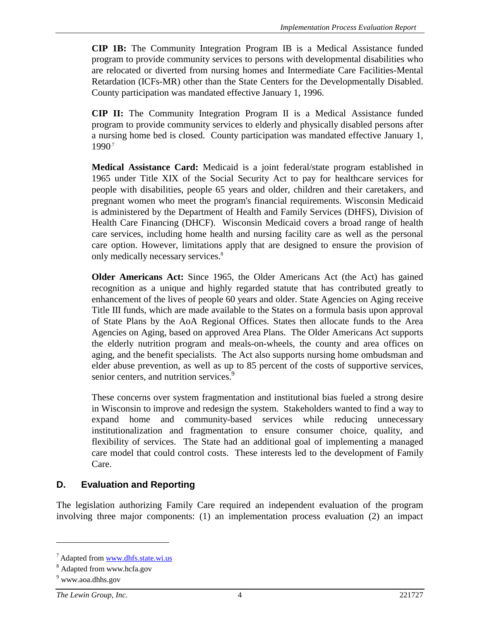<span id="page-12-0"></span>**CIP 1B:** The Community Integration Program IB is a Medical Assistance funded program to provide community services to persons with developmental disabilities who are relocated or diverted from nursing homes and Intermediate Care Facilities-Mental Retardation (ICFs-MR) other than the State Centers for the Developmentally Disabled. County participation was mandated effective January 1, 1996.

**CIP II:** The Community Integration Program II is a Medical Assistance funded program to provide community services to elderly and physically disabled persons after a nursing home bed is closed. County participation was mandated effective January 1, 1990.7

**Medical Assistance Card:** Medicaid is a joint federal/state program established in 1965 under Title XIX of the Social Security Act to pay for healthcare services for people with disabilities, people 65 years and older, children and their caretakers, and pregnant women who meet the program's financial requirements. Wisconsin Medicaid is administered by the Department of Health and Family Services (DHFS), Division of Health Care Financing (DHCF). Wisconsin Medicaid covers a broad range of health care services, including home health and nursing facility care as well as the personal care option. However, limitations apply that are designed to ensure the provision of only medically necessary services.8

**Older Americans Act:** Since 1965, the Older Americans Act (the Act) has gained recognition as a unique and highly regarded statute that has contributed greatly to enhancement of the lives of people 60 years and older. State Agencies on Aging receive Title III funds, which are made available to the States on a formula basis upon approval of State Plans by the AoA Regional Offices. States then allocate funds to the Area Agencies on Aging, based on approved Area Plans. The Older Americans Act supports the elderly nutrition program and meals-on-wheels, the county and area offices on aging, and the benefit specialists. The Act also supports nursing home ombudsman and elder abuse prevention, as well as up to 85 percent of the costs of supportive services, senior centers, and nutrition services.<sup>9</sup>

These concerns over system fragmentation and institutional bias fueled a strong desire in Wisconsin to improve and redesign the system. Stakeholders wanted to find a way to expand home and community-based services while reducing unnecessary institutionalization and fragmentation to ensure consumer choice, quality, and flexibility of services. The State had an additional goal of implementing a managed care model that could control costs. These interests led to the development of Family Care.

### **D. Evaluation and Reporting**

The legislation authorizing Family Care required an independent evaluation of the program involving three major components: (1) an implementation process evaluation (2) an impact

 $^7$  Adapted from www.dhfs.state.wi.us

<sup>&</sup>lt;sup>8</sup> Adapted from www.hcfa.gov

<sup>&</sup>lt;sup>9</sup> www.aoa.dhhs.gov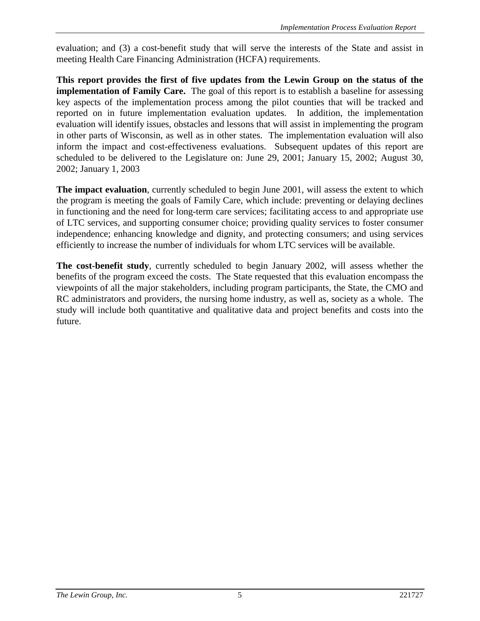evaluation; and (3) a cost-benefit study that will serve the interests of the State and assist in meeting Health Care Financing Administration (HCFA) requirements.

**This report provides the first of five updates from the Lewin Group on the status of the implementation of Family Care.** The goal of this report is to establish a baseline for assessing key aspects of the implementation process among the pilot counties that will be tracked and reported on in future implementation evaluation updates. In addition, the implementation evaluation will identify issues, obstacles and lessons that will assist in implementing the program in other parts of Wisconsin, as well as in other states. The implementation evaluation will also inform the impact and cost-effectiveness evaluations. Subsequent updates of this report are scheduled to be delivered to the Legislature on: June 29, 2001; January 15, 2002; August 30, 2002; January 1, 2003

**The impact evaluation**, currently scheduled to begin June 2001, will assess the extent to which the program is meeting the goals of Family Care, which include: preventing or delaying declines in functioning and the need for long-term care services; facilitating access to and appropriate use of LTC services, and supporting consumer choice; providing quality services to foster consumer independence; enhancing knowledge and dignity, and protecting consumers; and using services efficiently to increase the number of individuals for whom LTC services will be available.

**The cost-benefit study**, currently scheduled to begin January 2002, will assess whether the benefits of the program exceed the costs. The State requested that this evaluation encompass the viewpoints of all the major stakeholders, including program participants, the State, the CMO and RC administrators and providers, the nursing home industry, as well as, society as a whole. The study will include both quantitative and qualitative data and project benefits and costs into the future.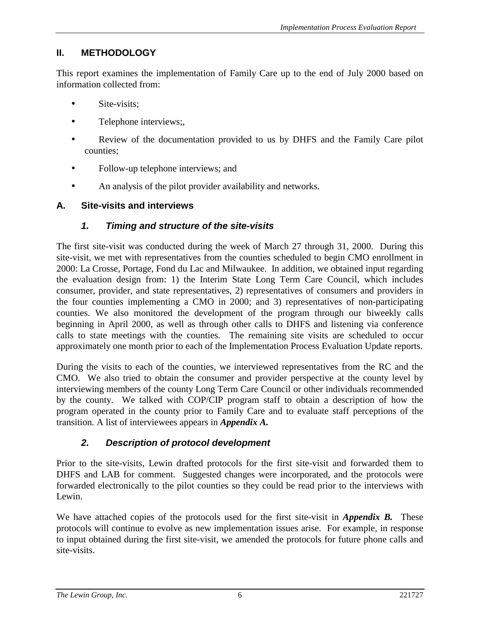### <span id="page-14-0"></span>**II. METHODOLOGY**

This report examines the implementation of Family Care up to the end of July 2000 based on information collected from:

- Site-visits;
- Telephone interviews;
- Review of the documentation provided to us by DHFS and the Family Care pilot counties;
- Follow-up telephone interviews; and
- An analysis of the pilot provider availability and networks.

### **A. Site-visits and interviews**

### *1. Timing and structure of the site-visits*

The first site-visit was conducted during the week of March 27 through 31, 2000. During this site-visit, we met with representatives from the counties scheduled to begin CMO enrollment in 2000: La Crosse, Portage, Fond du Lac and Milwaukee. In addition, we obtained input regarding the evaluation design from: 1) the Interim State Long Term Care Council, which includes consumer, provider, and state representatives, 2) representatives of consumers and providers in the four counties implementing a CMO in 2000; and 3) representatives of non-participating counties. We also monitored the development of the program through our biweekly calls beginning in April 2000, as well as through other calls to DHFS and listening via conference calls to state meetings with the counties. The remaining site visits are scheduled to occur approximately one month prior to each of the Implementation Process Evaluation Update reports.

During the visits to each of the counties, we interviewed representatives from the RC and the CMO. We also tried to obtain the consumer and provider perspective at the county level by interviewing members of the county Long Term Care Council or other individuals recommended by the county. We talked with COP/CIP program staff to obtain a description of how the program operated in the county prior to Family Care and to evaluate staff perceptions of the transition. A list of interviewees appears in *Appendix A.*

### *2. Description of protocol development*

Prior to the site-visits, Lewin drafted protocols for the first site-visit and forwarded them to DHFS and LAB for comment. Suggested changes were incorporated, and the protocols were forwarded electronically to the pilot counties so they could be read prior to the interviews with Lewin.

We have attached copies of the protocols used for the first site-visit in *Appendix B*. These protocols will continue to evolve as new implementation issues arise. For example, in response to input obtained during the first site-visit, we amended the protocols for future phone calls and site-visits.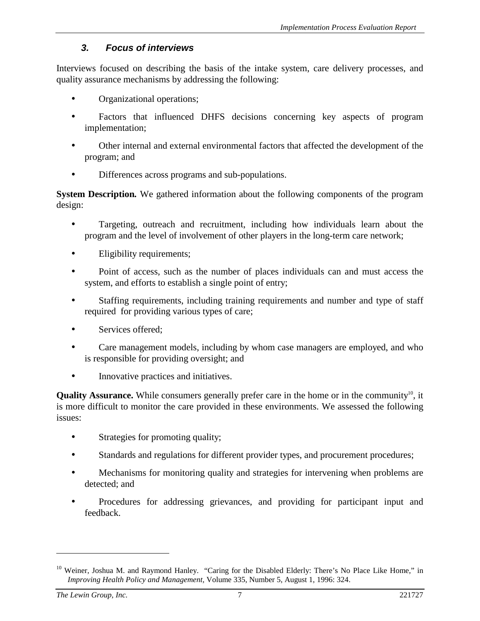### *3. Focus of interviews*

<span id="page-15-0"></span>Interviews focused on describing the basis of the intake system, care delivery processes, and quality assurance mechanisms by addressing the following:

- Organizational operations;
- Factors that influenced DHFS decisions concerning key aspects of program implementation;
- Other internal and external environmental factors that affected the development of the program; and
- Differences across programs and sub-populations.

**System Description***.* We gathered information about the following components of the program design:

- Targeting, outreach and recruitment, including how individuals learn about the program and the level of involvement of other players in the long-term care network;
- Eligibility requirements;
- Point of access, such as the number of places individuals can and must access the system, and efforts to establish a single point of entry;
- Staffing requirements, including training requirements and number and type of staff required for providing various types of care;
- Services offered:
- Care management models, including by whom case managers are employed, and who is responsible for providing oversight; and
- Innovative practices and initiatives.

**Quality Assurance.** While consumers generally prefer care in the home or in the community<sup>10</sup>, it is more difficult to monitor the care provided in these environments. We assessed the following issues:

- Strategies for promoting quality;
- Standards and regulations for different provider types, and procurement procedures;
- Mechanisms for monitoring quality and strategies for intervening when problems are detected; and
- Procedures for addressing grievances, and providing for participant input and feedback.

<sup>&</sup>lt;sup>10</sup> Weiner, Joshua M. and Raymond Hanley. "Caring for the Disabled Elderly: There's No Place Like Home," in *Improving Health Policy and Management,* Volume 335, Number 5, August 1, 1996: 324.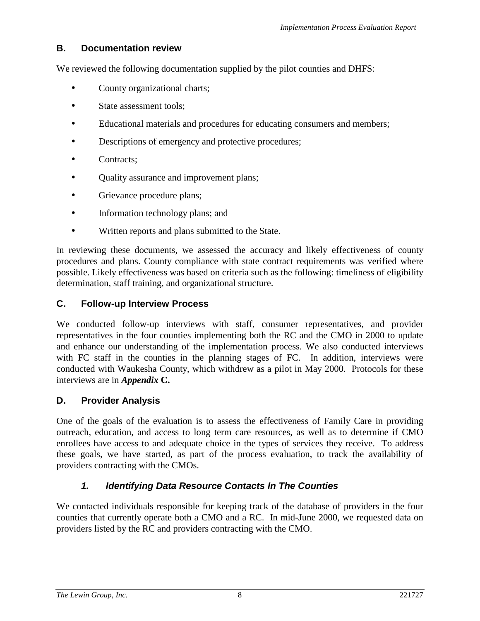### <span id="page-16-0"></span>**B. Documentation review**

We reviewed the following documentation supplied by the pilot counties and DHFS:

- County organizational charts;
- State assessment tools:
- Educational materials and procedures for educating consumers and members;
- Descriptions of emergency and protective procedures;
- Contracts;
- Quality assurance and improvement plans;
- Grievance procedure plans;
- Information technology plans; and
- Written reports and plans submitted to the State.

In reviewing these documents, we assessed the accuracy and likely effectiveness of county procedures and plans. County compliance with state contract requirements was verified where possible. Likely effectiveness was based on criteria such as the following: timeliness of eligibility determination, staff training, and organizational structure.

### **C. Follow-up Interview Process**

We conducted follow-up interviews with staff, consumer representatives, and provider representatives in the four counties implementing both the RC and the CMO in 2000 to update and enhance our understanding of the implementation process. We also conducted interviews with FC staff in the counties in the planning stages of FC. In addition, interviews were conducted with Waukesha County, which withdrew as a pilot in May 2000. Protocols for these interviews are in *Appendix* **C.**

#### **D. Provider Analysis**

One of the goals of the evaluation is to assess the effectiveness of Family Care in providing outreach, education, and access to long term care resources, as well as to determine if CMO enrollees have access to and adequate choice in the types of services they receive. To address these goals, we have started, as part of the process evaluation, to track the availability of providers contracting with the CMOs.

### *1. Identifying Data Resource Contacts In The Counties*

We contacted individuals responsible for keeping track of the database of providers in the four counties that currently operate both a CMO and a RC. In mid-June 2000, we requested data on providers listed by the RC and providers contracting with the CMO.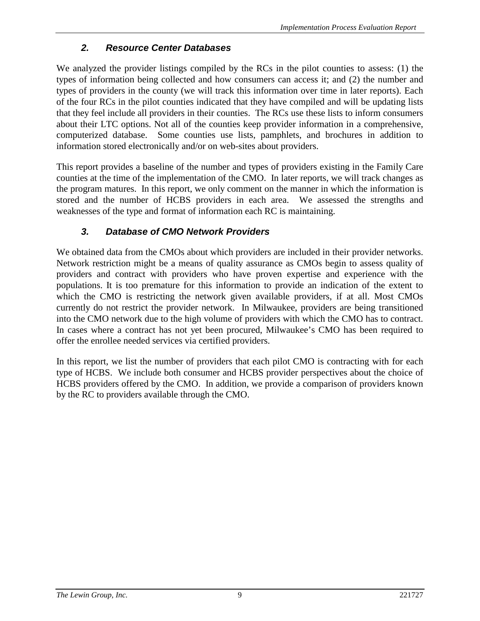### *2. Resource Center Databases*

<span id="page-17-0"></span>We analyzed the provider listings compiled by the RCs in the pilot counties to assess: (1) the types of information being collected and how consumers can access it; and (2) the number and types of providers in the county (we will track this information over time in later reports). Each of the four RCs in the pilot counties indicated that they have compiled and will be updating lists that they feel include all providers in their counties. The RCs use these lists to inform consumers about their LTC options. Not all of the counties keep provider information in a comprehensive, computerized database. Some counties use lists, pamphlets, and brochures in addition to information stored electronically and/or on web-sites about providers.

This report provides a baseline of the number and types of providers existing in the Family Care counties at the time of the implementation of the CMO. In later reports, we will track changes as the program matures. In this report, we only comment on the manner in which the information is stored and the number of HCBS providers in each area. We assessed the strengths and weaknesses of the type and format of information each RC is maintaining.

### *3. Database of CMO Network Providers*

We obtained data from the CMOs about which providers are included in their provider networks. Network restriction might be a means of quality assurance as CMOs begin to assess quality of providers and contract with providers who have proven expertise and experience with the populations. It is too premature for this information to provide an indication of the extent to which the CMO is restricting the network given available providers, if at all. Most CMOs currently do not restrict the provider network. In Milwaukee, providers are being transitioned into the CMO network due to the high volume of providers with which the CMO has to contract. In cases where a contract has not yet been procured, Milwaukee's CMO has been required to offer the enrollee needed services via certified providers.

In this report, we list the number of providers that each pilot CMO is contracting with for each type of HCBS. We include both consumer and HCBS provider perspectives about the choice of HCBS providers offered by the CMO. In addition, we provide a comparison of providers known by the RC to providers available through the CMO.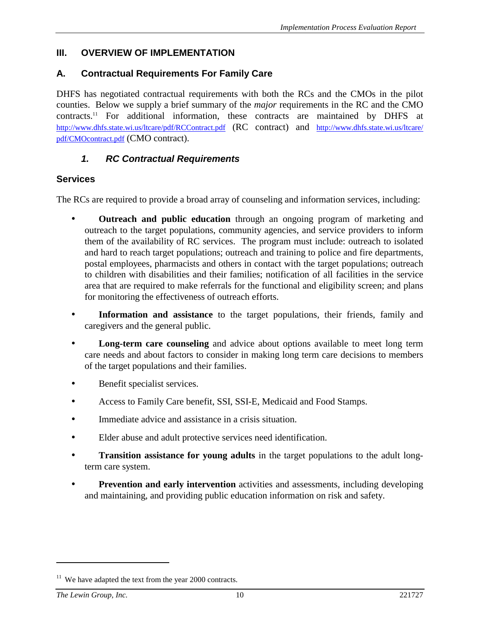#### <span id="page-18-0"></span>**III. OVERVIEW OF IMPLEMENTATION**

#### **A. Contractual Requirements For Family Care**

DHFS has negotiated contractual requirements with both the RCs and the CMOs in the pilot counties. Below we supply a brief summary of the *major* requirements in the RC and the CMO contracts.11 For additional information, these contracts are maintained by DHFS at http://www.dhfs.state.wi.us/ltcare/pdf/RCContract.pdf (RC contract) and http://www.dhfs.state.wi.us/ltcare/ pdf/CMOcontract.pdf (CMO contract).

#### *1. RC Contractual Requirements*

#### **Services**

The RCs are required to provide a broad array of counseling and information services, including:

- **Outreach and public education** through an ongoing program of marketing and outreach to the target populations, community agencies, and service providers to inform them of the availability of RC services. The program must include: outreach to isolated and hard to reach target populations; outreach and training to police and fire departments, postal employees, pharmacists and others in contact with the target populations; outreach to children with disabilities and their families; notification of all facilities in the service area that are required to make referrals for the functional and eligibility screen; and plans for monitoring the effectiveness of outreach efforts.
- **Information and assistance** to the target populations, their friends, family and caregivers and the general public.
- **Long-term care counseling** and advice about options available to meet long term care needs and about factors to consider in making long term care decisions to members of the target populations and their families.
- Benefit specialist services.
- Access to Family Care benefit, SSI, SSI-E, Medicaid and Food Stamps.
- Immediate advice and assistance in a crisis situation.
- Elder abuse and adult protective services need identification.
- **Transition assistance for young adults** in the target populations to the adult longterm care system.
- **Prevention and early intervention** activities and assessments, including developing and maintaining, and providing public education information on risk and safety.

 $11$  We have adapted the text from the year 2000 contracts.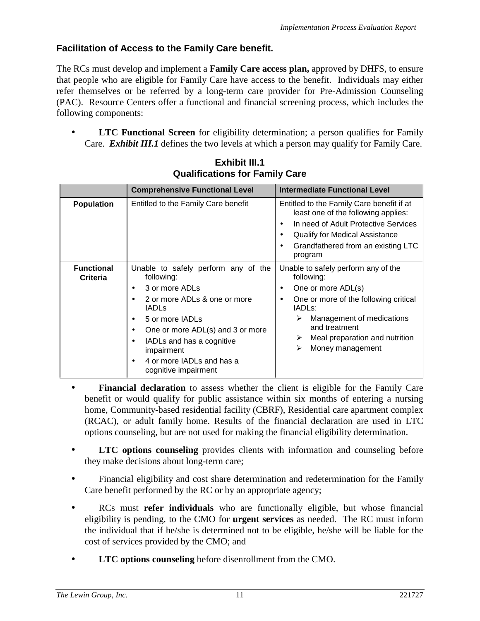### **Facilitation of Access to the Family Care benefit.**

The RCs must develop and implement a **Family Care access plan,** approved by DHFS, to ensure that people who are eligible for Family Care have access to the benefit. Individuals may either refer themselves or be referred by a long-term care provider for Pre-Admission Counseling (PAC). Resource Centers offer a functional and financial screening process, which includes the following components:

**LTC Functional Screen** for eligibility determination; a person qualifies for Family Care. *Exhibit III.1* defines the two levels at which a person may qualify for Family Care.

|                               | <b>Comprehensive Functional Level</b>                                                                                                                                                                                                                                      | <b>Intermediate Functional Level</b>                                                                                                                                                                                                                                                 |  |
|-------------------------------|----------------------------------------------------------------------------------------------------------------------------------------------------------------------------------------------------------------------------------------------------------------------------|--------------------------------------------------------------------------------------------------------------------------------------------------------------------------------------------------------------------------------------------------------------------------------------|--|
| <b>Population</b>             | Entitled to the Family Care benefit                                                                                                                                                                                                                                        | Entitled to the Family Care benefit if at<br>least one of the following applies:<br>In need of Adult Protective Services<br>$\bullet$<br>Qualify for Medical Assistance<br>٠<br>Grandfathered from an existing LTC<br>$\bullet$<br>program                                           |  |
| <b>Functional</b><br>Criteria | Unable to safely perform any of the<br>following:<br>3 or more ADLs<br>2 or more ADLs & one or more<br><b>IADLS</b><br>5 or more IADLs<br>One or more ADL(s) and 3 or more<br>IADLs and has a cognitive<br>impairment<br>4 or more IADLs and has a<br>cognitive impairment | Unable to safely perform any of the<br>following:<br>One or more ADL(s)<br>$\bullet$<br>One or more of the following critical<br>$\bullet$<br>IADL <sub>S</sub> :<br>Management of medications<br>➤<br>and treatment<br>Meal preparation and nutrition<br>➤<br>Money management<br>➤ |  |

**Exhibit III.1 Qualifications for Family Care**

- **Financial declaration** to assess whether the client is eligible for the Family Care benefit or would qualify for public assistance within six months of entering a nursing home, Community-based residential facility (CBRF), Residential care apartment complex (RCAC), or adult family home. Results of the financial declaration are used in LTC options counseling, but are not used for making the financial eligibility determination.
- **LTC options counseling** provides clients with information and counseling before they make decisions about long-term care;
- Financial eligibility and cost share determination and redetermination for the Family Care benefit performed by the RC or by an appropriate agency;
- RCs must **refer individuals** who are functionally eligible, but whose financial eligibility is pending, to the CMO for **urgent services** as needed. The RC must inform the individual that if he/she is determined not to be eligible, he/she will be liable for the cost of services provided by the CMO; and
- **LTC options counseling** before disenrollment from the CMO.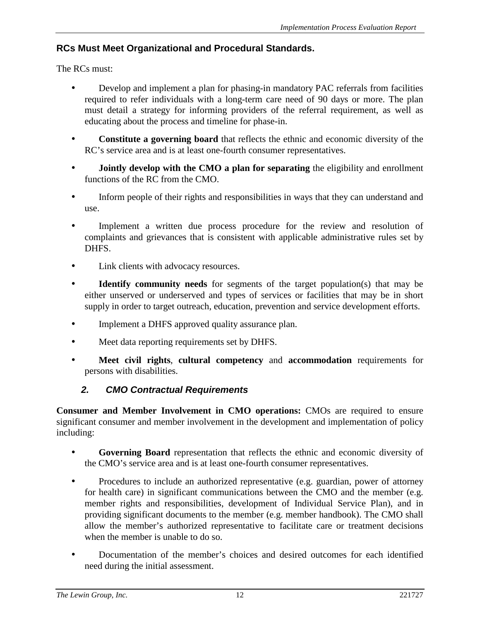### <span id="page-20-0"></span>**RCs Must Meet Organizational and Procedural Standards.**

The RCs must:

- Develop and implement a plan for phasing-in mandatory PAC referrals from facilities required to refer individuals with a long-term care need of 90 days or more. The plan must detail a strategy for informing providers of the referral requirement, as well as educating about the process and timeline for phase-in.
- **Constitute a governing board** that reflects the ethnic and economic diversity of the RC's service area and is at least one-fourth consumer representatives.
- **Jointly develop with the CMO a plan for separating** the eligibility and enrollment functions of the RC from the CMO.
- Inform people of their rights and responsibilities in ways that they can understand and use.
- Implement a written due process procedure for the review and resolution of complaints and grievances that is consistent with applicable administrative rules set by DHFS.
- Link clients with advocacy resources.
- **Identify community needs** for segments of the target population(s) that may be either unserved or underserved and types of services or facilities that may be in short supply in order to target outreach, education, prevention and service development efforts.
- Implement a DHFS approved quality assurance plan.
- Meet data reporting requirements set by DHFS.
- **Meet civil rights**, **cultural competency** and **accommodation** requirements for persons with disabilities.

### *2. CMO Contractual Requirements*

**Consumer and Member Involvement in CMO operations:** CMOs are required to ensure significant consumer and member involvement in the development and implementation of policy including:

- **Governing Board** representation that reflects the ethnic and economic diversity of the CMO's service area and is at least one-fourth consumer representatives.
- Procedures to include an authorized representative (e.g. guardian, power of attorney for health care) in significant communications between the CMO and the member (e.g. member rights and responsibilities, development of Individual Service Plan), and in providing significant documents to the member (e.g. member handbook). The CMO shall allow the member's authorized representative to facilitate care or treatment decisions when the member is unable to do so.
- Documentation of the member's choices and desired outcomes for each identified need during the initial assessment.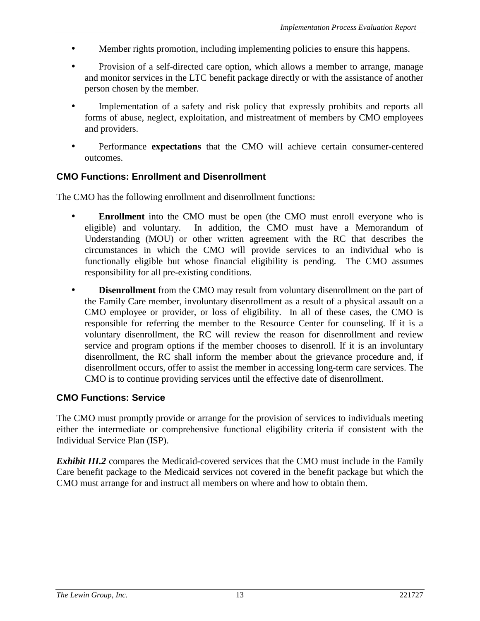- Member rights promotion, including implementing policies to ensure this happens.
- Provision of a self-directed care option, which allows a member to arrange, manage and monitor services in the LTC benefit package directly or with the assistance of another person chosen by the member.
- Implementation of a safety and risk policy that expressly prohibits and reports all forms of abuse, neglect, exploitation, and mistreatment of members by CMO employees and providers.
- Performance **expectations** that the CMO will achieve certain consumer-centered outcomes.

#### **CMO Functions: Enrollment and Disenrollment**

The CMO has the following enrollment and disenrollment functions:

- **Enrollment** into the CMO must be open (the CMO must enroll everyone who is eligible) and voluntary. In addition, the CMO must have a Memorandum of Understanding (MOU) or other written agreement with the RC that describes the circumstances in which the CMO will provide services to an individual who is functionally eligible but whose financial eligibility is pending. The CMO assumes responsibility for all pre-existing conditions.
- **Disenrollment** from the CMO may result from voluntary disenrollment on the part of the Family Care member, involuntary disenrollment as a result of a physical assault on a CMO employee or provider, or loss of eligibility. In all of these cases, the CMO is responsible for referring the member to the Resource Center for counseling. If it is a voluntary disenrollment, the RC will review the reason for disenrollment and review service and program options if the member chooses to disenroll. If it is an involuntary disenrollment, the RC shall inform the member about the grievance procedure and, if disenrollment occurs, offer to assist the member in accessing long-term care services. The CMO is to continue providing services until the effective date of disenrollment.

#### **CMO Functions: Service**

The CMO must promptly provide or arrange for the provision of services to individuals meeting either the intermediate or comprehensive functional eligibility criteria if consistent with the Individual Service Plan (ISP).

*Exhibit III.2* compares the Medicaid-covered services that the CMO must include in the Family Care benefit package to the Medicaid services not covered in the benefit package but which the CMO must arrange for and instruct all members on where and how to obtain them.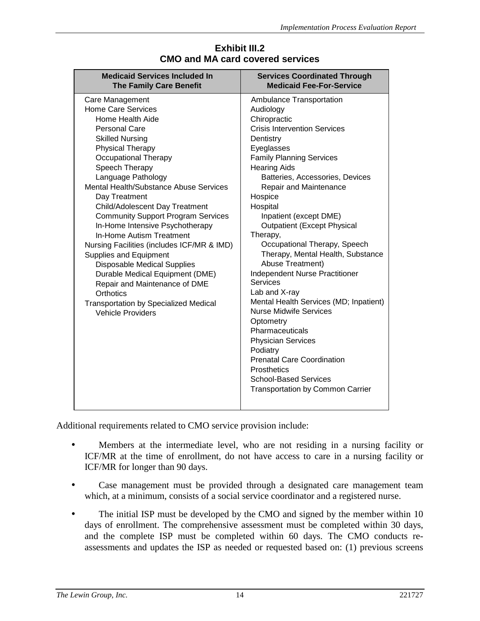| <b>Medicaid Services Included In</b><br><b>The Family Care Benefit</b>                                                                                                                                                                                                                                                                                                                                                                                                                                                                                                                                                                                                                                   | <b>Services Coordinated Through</b><br><b>Medicaid Fee-For-Service</b>                                                                                                                                                                                                                                                                                                                                                                                                                                                                                                                                                                                                                                                                                                                              |
|----------------------------------------------------------------------------------------------------------------------------------------------------------------------------------------------------------------------------------------------------------------------------------------------------------------------------------------------------------------------------------------------------------------------------------------------------------------------------------------------------------------------------------------------------------------------------------------------------------------------------------------------------------------------------------------------------------|-----------------------------------------------------------------------------------------------------------------------------------------------------------------------------------------------------------------------------------------------------------------------------------------------------------------------------------------------------------------------------------------------------------------------------------------------------------------------------------------------------------------------------------------------------------------------------------------------------------------------------------------------------------------------------------------------------------------------------------------------------------------------------------------------------|
| Care Management<br><b>Home Care Services</b><br>Home Health Aide<br><b>Personal Care</b><br><b>Skilled Nursing</b><br><b>Physical Therapy</b><br><b>Occupational Therapy</b><br>Speech Therapy<br>Language Pathology<br>Mental Health/Substance Abuse Services<br>Day Treatment<br>Child/Adolescent Day Treatment<br><b>Community Support Program Services</b><br>In-Home Intensive Psychotherapy<br>In-Home Autism Treatment<br>Nursing Facilities (includes ICF/MR & IMD)<br>Supplies and Equipment<br><b>Disposable Medical Supplies</b><br>Durable Medical Equipment (DME)<br>Repair and Maintenance of DME<br>Orthotics<br><b>Transportation by Specialized Medical</b><br><b>Vehicle Providers</b> | Ambulance Transportation<br>Audiology<br>Chiropractic<br><b>Crisis Intervention Services</b><br>Dentistry<br>Eyeglasses<br><b>Family Planning Services</b><br><b>Hearing Aids</b><br>Batteries, Accessories, Devices<br>Repair and Maintenance<br>Hospice<br>Hospital<br>Inpatient (except DME)<br><b>Outpatient (Except Physical</b><br>Therapy,<br>Occupational Therapy, Speech<br>Therapy, Mental Health, Substance<br>Abuse Treatment)<br>Independent Nurse Practitioner<br>Services<br>Lab and X-ray<br>Mental Health Services (MD; Inpatient)<br><b>Nurse Midwife Services</b><br>Optometry<br>Pharmaceuticals<br><b>Physician Services</b><br>Podiatry<br><b>Prenatal Care Coordination</b><br><b>Prosthetics</b><br><b>School-Based Services</b><br><b>Transportation by Common Carrier</b> |
|                                                                                                                                                                                                                                                                                                                                                                                                                                                                                                                                                                                                                                                                                                          |                                                                                                                                                                                                                                                                                                                                                                                                                                                                                                                                                                                                                                                                                                                                                                                                     |

#### **Exhibit III.2 CMO and MA card covered services**

Additional requirements related to CMO service provision include:

- Members at the intermediate level, who are not residing in a nursing facility or ICF/MR at the time of enrollment, do not have access to care in a nursing facility or ICF/MR for longer than 90 days.
- Case management must be provided through a designated care management team which, at a minimum, consists of a social service coordinator and a registered nurse.
- The initial ISP must be developed by the CMO and signed by the member within 10 days of enrollment. The comprehensive assessment must be completed within 30 days, and the complete ISP must be completed within 60 days. The CMO conducts reassessments and updates the ISP as needed or requested based on: (1) previous screens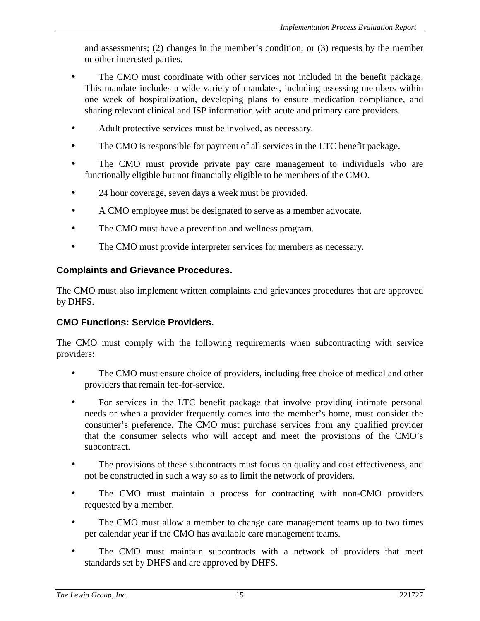and assessments; (2) changes in the member's condition; or (3) requests by the member or other interested parties.

- The CMO must coordinate with other services not included in the benefit package. This mandate includes a wide variety of mandates, including assessing members within one week of hospitalization, developing plans to ensure medication compliance, and sharing relevant clinical and ISP information with acute and primary care providers.
- Adult protective services must be involved, as necessary.
- The CMO is responsible for payment of all services in the LTC benefit package.
- The CMO must provide private pay care management to individuals who are functionally eligible but not financially eligible to be members of the CMO.
- 24 hour coverage, seven days a week must be provided.
- A CMO employee must be designated to serve as a member advocate.
- The CMO must have a prevention and wellness program.
- The CMO must provide interpreter services for members as necessary.

### **Complaints and Grievance Procedures.**

The CMO must also implement written complaints and grievances procedures that are approved by DHFS.

#### **CMO Functions: Service Providers.**

The CMO must comply with the following requirements when subcontracting with service providers:

- The CMO must ensure choice of providers, including free choice of medical and other providers that remain fee-for-service.
- For services in the LTC benefit package that involve providing intimate personal needs or when a provider frequently comes into the member's home, must consider the consumer's preference. The CMO must purchase services from any qualified provider that the consumer selects who will accept and meet the provisions of the CMO's subcontract.
- The provisions of these subcontracts must focus on quality and cost effectiveness, and not be constructed in such a way so as to limit the network of providers.
- The CMO must maintain a process for contracting with non-CMO providers requested by a member.
- The CMO must allow a member to change care management teams up to two times per calendar year if the CMO has available care management teams.
- The CMO must maintain subcontracts with a network of providers that meet standards set by DHFS and are approved by DHFS.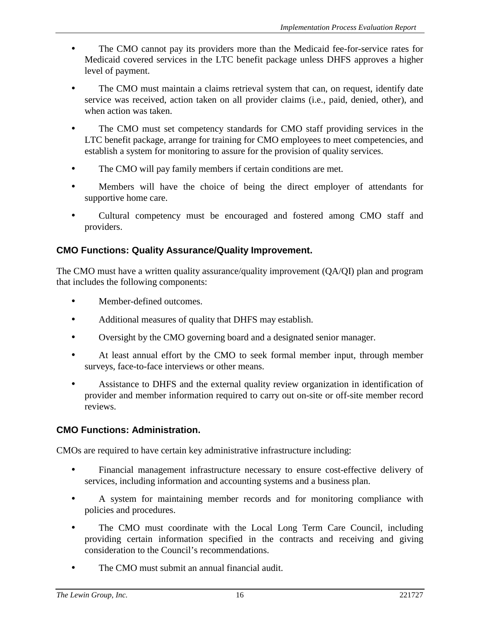- The CMO cannot pay its providers more than the Medicaid fee-for-service rates for Medicaid covered services in the LTC benefit package unless DHFS approves a higher level of payment.
- The CMO must maintain a claims retrieval system that can, on request, identify date service was received, action taken on all provider claims (i.e., paid, denied, other), and when action was taken.
- The CMO must set competency standards for CMO staff providing services in the LTC benefit package, arrange for training for CMO employees to meet competencies, and establish a system for monitoring to assure for the provision of quality services.
- The CMO will pay family members if certain conditions are met.
- Members will have the choice of being the direct employer of attendants for supportive home care.
- Cultural competency must be encouraged and fostered among CMO staff and providers.

### **CMO Functions: Quality Assurance/Quality Improvement.**

The CMO must have a written quality assurance/quality improvement (QA/QI) plan and program that includes the following components:

- Member-defined outcomes.
- Additional measures of quality that DHFS may establish.
- Oversight by the CMO governing board and a designated senior manager.
- At least annual effort by the CMO to seek formal member input, through member surveys, face-to-face interviews or other means.
- Assistance to DHFS and the external quality review organization in identification of provider and member information required to carry out on-site or off-site member record reviews.

### **CMO Functions: Administration.**

CMOs are required to have certain key administrative infrastructure including:

- Financial management infrastructure necessary to ensure cost-effective delivery of services, including information and accounting systems and a business plan.
- A system for maintaining member records and for monitoring compliance with policies and procedures.
- The CMO must coordinate with the Local Long Term Care Council, including providing certain information specified in the contracts and receiving and giving consideration to the Council's recommendations.
- The CMO must submit an annual financial audit.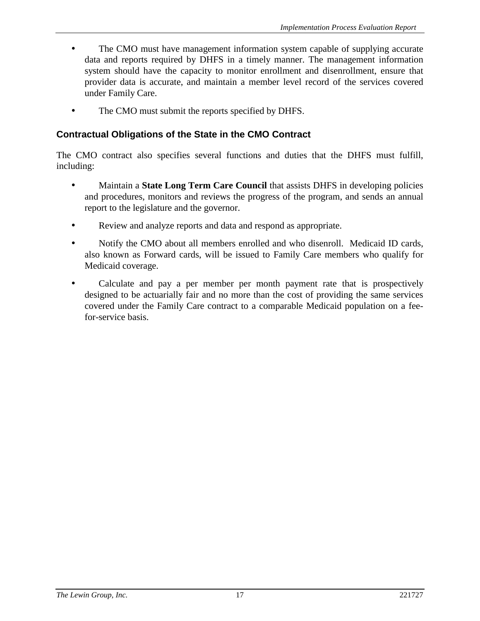- The CMO must have management information system capable of supplying accurate data and reports required by DHFS in a timely manner. The management information system should have the capacity to monitor enrollment and disenrollment, ensure that provider data is accurate, and maintain a member level record of the services covered under Family Care.
- The CMO must submit the reports specified by DHFS.

### **Contractual Obligations of the State in the CMO Contract**

The CMO contract also specifies several functions and duties that the DHFS must fulfill, including:

- Maintain a **State Long Term Care Council** that assists DHFS in developing policies and procedures, monitors and reviews the progress of the program, and sends an annual report to the legislature and the governor.
- Review and analyze reports and data and respond as appropriate.
- Notify the CMO about all members enrolled and who disenroll. Medicaid ID cards, also known as Forward cards, will be issued to Family Care members who qualify for Medicaid coverage.
- Calculate and pay a per member per month payment rate that is prospectively designed to be actuarially fair and no more than the cost of providing the same services covered under the Family Care contract to a comparable Medicaid population on a feefor-service basis.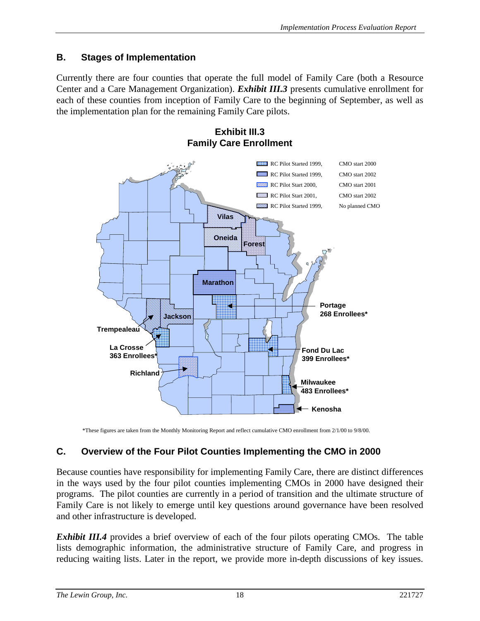### <span id="page-26-0"></span>**B. Stages of Implementation**

Currently there are four counties that operate the full model of Family Care (both a Resource Center and a Care Management Organization). *Exhibit III.3* presents cumulative enrollment for each of these counties from inception of Family Care to the beginning of September, as well as the implementation plan for the remaining Family Care pilots.



**Exhibit III.3 Family Care Enrollment**

\*These figures are taken from the Monthly Monitoring Report and reflect cumulative CMO enrollment from 2/1/00 to 9/8/00.

### **C. Overview of the Four Pilot Counties Implementing the CMO in 2000**

Because counties have responsibility for implementing Family Care, there are distinct differences in the ways used by the four pilot counties implementing CMOs in 2000 have designed their programs. The pilot counties are currently in a period of transition and the ultimate structure of Family Care is not likely to emerge until key questions around governance have been resolved and other infrastructure is developed.

*Exhibit III.4* provides a brief overview of each of the four pilots operating CMOs. The table lists demographic information, the administrative structure of Family Care, and progress in reducing waiting lists. Later in the report, we provide more in-depth discussions of key issues.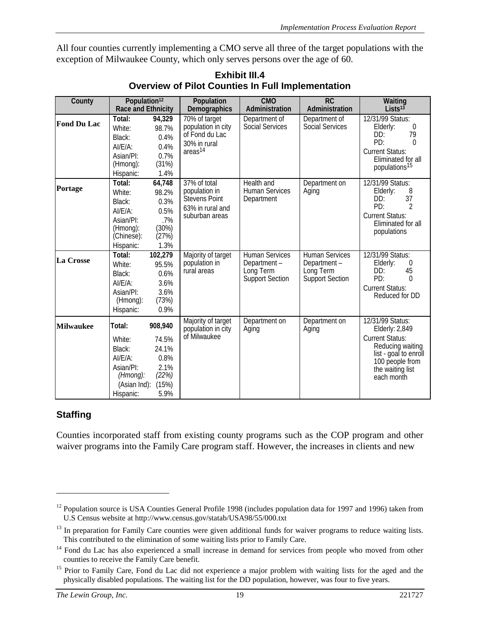All four counties currently implementing a CMO serve all three of the target populations with the exception of Milwaukee County, which only serves persons over the age of 60.

| County             | Population <sup>12</sup><br>Race and Ethnicity                                              |                                                                     | Population<br>Demographics                                                                   | <b>CMO</b><br>Administration                                                | <b>RC</b><br>Administration                                                 | Waiting<br>Lists $13$                                                                                                                                          |
|--------------------|---------------------------------------------------------------------------------------------|---------------------------------------------------------------------|----------------------------------------------------------------------------------------------|-----------------------------------------------------------------------------|-----------------------------------------------------------------------------|----------------------------------------------------------------------------------------------------------------------------------------------------------------|
| <b>Fond Du Lac</b> | Total:<br>White:<br>Black:<br>AI/E/A:<br>Asian/PI:<br>(Hmong):<br>Hispanic:                 | 94,329<br>98.7%<br>0.4%<br>0.4%<br>0.7%<br>(31%)<br>1.4%            | 70% of target<br>population in city<br>of Fond du Lac<br>30% in rural<br>areas <sup>14</sup> | Department of<br><b>Social Services</b>                                     | Department of<br><b>Social Services</b>                                     | 12/31/99 Status:<br>Elderly:<br>0<br>79<br>DD:<br>PD:<br>$\Omega$<br><b>Current Status:</b><br>Eliminated for all<br>populations <sup>15</sup>                 |
| Portage            | Total:<br>White:<br>Black:<br>AI/E/A:<br>Asian/PI:<br>(Hmong):<br>(Chinese):<br>Hispanic:   | 64,748<br>98.2%<br>0.3%<br>0.5%<br>.7%<br>(30%)<br>(27%)<br>1.3%    | 37% of total<br>population in<br><b>Stevens Point</b><br>63% in rural and<br>suburban areas  | Health and<br><b>Human Services</b><br>Department                           | Department on<br>Aging                                                      | 12/31/99 Status:<br>8<br>Elderly:<br>37<br>DD:<br>PD:<br>2<br><b>Current Status:</b><br>Eliminated for all<br>populations                                      |
| La Crosse          | Total:<br>White:<br>Black:<br>$AI/EA$ :<br>Asian/PI:<br>(Hmong):<br>Hispanic:               | 102,279<br>95.5%<br>0.6%<br>3.6%<br>3.6%<br>(73%)<br>0.9%           | Majority of target<br>population in<br>rural areas                                           | <b>Human Services</b><br>Department-<br>Long Term<br><b>Support Section</b> | <b>Human Services</b><br>Department-<br>Long Term<br><b>Support Section</b> | 12/31/99 Status:<br>Elderly:<br>0<br>45<br>DD:<br>PD:<br>$\Omega$<br><b>Current Status:</b><br>Reduced for DD                                                  |
| <b>Milwaukee</b>   | Total:<br>White:<br>Black:<br>AI/E/A:<br>Asian/PI:<br>(Hmong):<br>(Asian Ind):<br>Hispanic: | 908,940<br>74.5%<br>24.1%<br>0.8%<br>2.1%<br>(22%)<br>(15%)<br>5.9% | Majority of target<br>population in city<br>of Milwaukee                                     | Department on<br>Aging                                                      | Department on<br>Aging                                                      | 12/31/99 Status:<br>Elderly: 2,849<br><b>Current Status:</b><br>Reducing waiting<br>list - goal to enroll<br>100 people from<br>the waiting list<br>each month |

**Exhibit III.4 Overview of Pilot Counties In Full Implementation**

#### **Staffing**

 $\overline{a}$ 

Counties incorporated staff from existing county programs such as the COP program and other waiver programs into the Family Care program staff. However, the increases in clients and new

<sup>&</sup>lt;sup>12</sup> Population source is USA Counties General Profile 1998 (includes population data for 1997 and 1996) taken from U.S Census website at http://www.census.gov/statab/USA98/55/000.txt

<sup>&</sup>lt;sup>13</sup> In preparation for Family Care counties were given additional funds for waiver programs to reduce waiting lists. This contributed to the elimination of some waiting lists prior to Family Care.

<sup>&</sup>lt;sup>14</sup> Fond du Lac has also experienced a small increase in demand for services from people who moved from other counties to receive the Family Care benefit.

<sup>&</sup>lt;sup>15</sup> Prior to Family Care, Fond du Lac did not experience a major problem with waiting lists for the aged and the physically disabled populations. The waiting list for the DD population, however, was four to five years.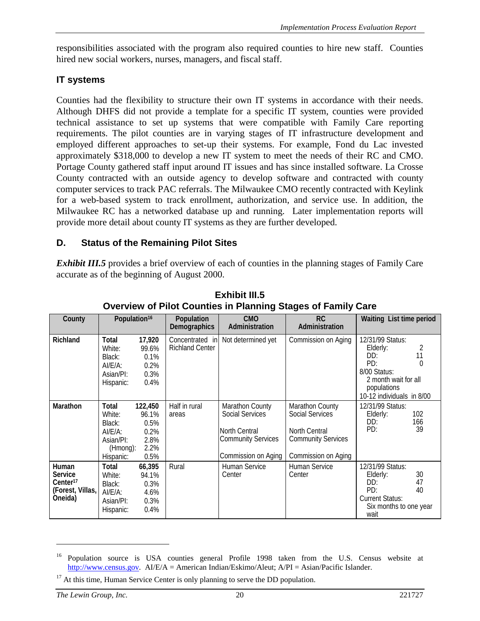<span id="page-28-0"></span>responsibilities associated with the program also required counties to hire new staff. Counties hired new social workers, nurses, managers, and fiscal staff.

### **IT systems**

Counties had the flexibility to structure their own IT systems in accordance with their needs. Although DHFS did not provide a template for a specific IT system, counties were provided technical assistance to set up systems that were compatible with Family Care reporting requirements. The pilot counties are in varying stages of IT infrastructure development and employed different approaches to set-up their systems. For example, Fond du Lac invested approximately \$318,000 to develop a new IT system to meet the needs of their RC and CMO. Portage County gathered staff input around IT issues and has since installed software. La Crosse County contracted with an outside agency to develop software and contracted with county computer services to track PAC referrals. The Milwaukee CMO recently contracted with Keylink for a web-based system to track enrollment, authorization, and service use. In addition, the Milwaukee RC has a networked database up and running. Later implementation reports will provide more detail about county IT systems as they are further developed.

### **D. Status of the Remaining Pilot Sites**

*Exhibit III.5* provides a brief overview of each of counties in the planning stages of Family Care accurate as of the beginning of August 2000.

| County                                                                         |                                                                            | Population <sup>16</sup>                                 | <b>Population</b><br><b>Demographics</b>  | <b>CMO</b><br>Administration                                                                                          | <b>RC</b><br>Administration                                                                                    | Waiting List time period                                                                                                             |
|--------------------------------------------------------------------------------|----------------------------------------------------------------------------|----------------------------------------------------------|-------------------------------------------|-----------------------------------------------------------------------------------------------------------------------|----------------------------------------------------------------------------------------------------------------|--------------------------------------------------------------------------------------------------------------------------------------|
| <b>Richland</b>                                                                | Total<br>White:<br>Black:<br>AI/E/A:<br>Asian/PI:<br>Hispanic:             | 17,920<br>99.6%<br>0.1%<br>0.2%<br>0.3%<br>0.4%          | Concentrated in<br><b>Richland Center</b> | Not determined yet                                                                                                    | Commission on Aging                                                                                            | 12/31/99 Status:<br>Elderly:<br>11<br>DD:<br>PD:<br>8/00 Status:<br>2 month wait for all<br>populations<br>10-12 individuals in 8/00 |
| <b>Marathon</b>                                                                | Total<br>White:<br>Black:<br>AI/E/A:<br>Asian/PI:<br>(Hmong):<br>Hispanic: | 122,450<br>96.1%<br>0.5%<br>0.2%<br>2.8%<br>2.2%<br>0.5% | Half in rural<br>areas                    | <b>Marathon County</b><br><b>Social Services</b><br>North Central<br><b>Community Services</b><br>Commission on Aging | Marathon County<br><b>Social Services</b><br>North Central<br><b>Community Services</b><br>Commission on Aging | 12/31/99 Status:<br>102<br>Elderly:<br>DD:<br>166<br>PD:<br>39                                                                       |
| Human<br><b>Service</b><br>Center <sup>17</sup><br>(Forest, Villas,<br>Oneida) | Total<br>White:<br>Black:<br>AI/E/A:<br>Asian/PI:<br>Hispanic:             | 66,395<br>94.1%<br>0.3%<br>4.6%<br>0.3%<br>0.4%          | Rural                                     | Human Service<br>Center                                                                                               | Human Service<br>Center                                                                                        | 12/31/99 Status:<br>30<br>Elderly:<br>47<br>DD:<br>PD:<br>40<br><b>Current Status:</b><br>Six months to one year<br>wait             |

**Exhibit III.5 Overview of Pilot Counties in Planning Stages of Family Care**

<sup>&</sup>lt;sup>16</sup> Population source is USA counties general Profile 1998 taken from the U.S. Census website at http://www.census.gov. AI/E/A = American Indian/Eskimo/Aleut; A/PI = Asian/Pacific Islander.

 $17$  At this time, Human Service Center is only planning to serve the DD population.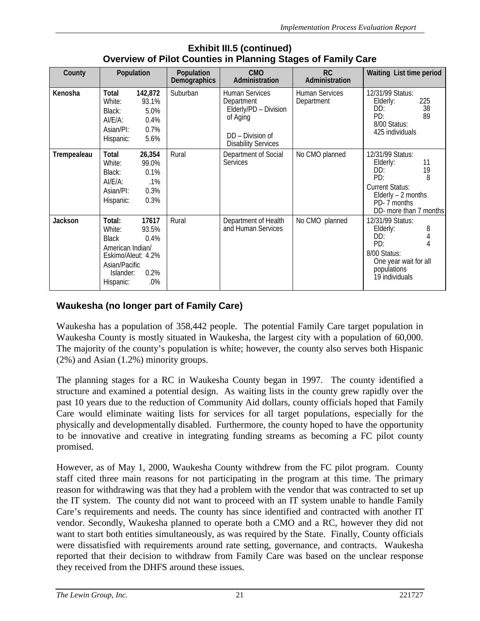| <b>11011 OF FINITE OURINING IN FRIHING ORGOO</b> OF FRIHITY ORIO |                                                                                                                       |                                                  |                            |                                                                                                                            |                                     |                                                                                                                                                       |
|------------------------------------------------------------------|-----------------------------------------------------------------------------------------------------------------------|--------------------------------------------------|----------------------------|----------------------------------------------------------------------------------------------------------------------------|-------------------------------------|-------------------------------------------------------------------------------------------------------------------------------------------------------|
| County                                                           | Population                                                                                                            |                                                  | Population<br>Demographics | <b>CMO</b><br>Administration                                                                                               | RC<br>Administration                | Waiting List time period                                                                                                                              |
| Kenosha                                                          | Total<br>White:<br>Black:<br>AI/E/A:<br>Asian/PI:<br>Hispanic:                                                        | 142,872<br>93.1%<br>5.0%<br>0.4%<br>0.7%<br>5.6% | Suburban                   | <b>Human Services</b><br>Department<br>Elderly/PD - Division<br>of Aging<br>DD - Division of<br><b>Disability Services</b> | <b>Human Services</b><br>Department | 12/31/99 Status:<br>225<br>Elderly:<br>38<br>DD:<br>89<br>PD:<br>8/00 Status:<br>425 individuals                                                      |
| Trempealeau                                                      | Total<br>White:<br>Black:<br>AI/E/A:<br>Asian/PI:<br>Hispanic:                                                        | 26,354<br>99.0%<br>0.1%<br>.1%<br>0.3%<br>0.3%   | Rural                      | Department of Social<br><b>Services</b>                                                                                    | No CMO planned                      | 12/31/99 Status:<br>11<br>Elderly:<br>19<br>DD:<br>PD:<br>8<br><b>Current Status:</b><br>Elderly $-2$ months<br>PD-7 months<br>DD- more than 7 months |
| Jackson                                                          | Total:<br>White:<br><b>Black</b><br>American Indian/<br>Eskimo/Aleut: 4.2%<br>Asian/Pacific<br>Islander:<br>Hispanic: | 17617<br>93.5%<br>0.4%<br>0.2%<br>$.0\%$         | Rural                      | Department of Health<br>and Human Services                                                                                 | No CMO planned                      | 12/31/99 Status:<br>8<br>Elderly:<br>DD:<br>PD:<br>4<br>8/00 Status:<br>One year wait for all<br>populations<br>19 individuals                        |

#### **Exhibit III.5 (continued) Overview of Pilot Counties in Planning Stages of Family Care**

### **Waukesha (no longer part of Family Care)**

Waukesha has a population of 358,442 people. The potential Family Care target population in Waukesha County is mostly situated in Waukesha, the largest city with a population of 60,000. The majority of the county's population is white; however, the county also serves both Hispanic (2%) and Asian (1.2%) minority groups.

The planning stages for a RC in Waukesha County began in 1997. The county identified a structure and examined a potential design. As waiting lists in the county grew rapidly over the past 10 years due to the reduction of Community Aid dollars, county officials hoped that Family Care would eliminate waiting lists for services for all target populations, especially for the physically and developmentally disabled. Furthermore, the county hoped to have the opportunity to be innovative and creative in integrating funding streams as becoming a FC pilot county promised.

However, as of May 1, 2000, Waukesha County withdrew from the FC pilot program. County staff cited three main reasons for not participating in the program at this time. The primary reason for withdrawing was that they had a problem with the vendor that was contracted to set up the IT system. The county did not want to proceed with an IT system unable to handle Family Care's requirements and needs. The county has since identified and contracted with another IT vendor. Secondly, Waukesha planned to operate both a CMO and a RC, however they did not want to start both entities simultaneously, as was required by the State. Finally, County officials were dissatisfied with requirements around rate setting, governance, and contracts. Waukesha reported that their decision to withdraw from Family Care was based on the unclear response they received from the DHFS around these issues.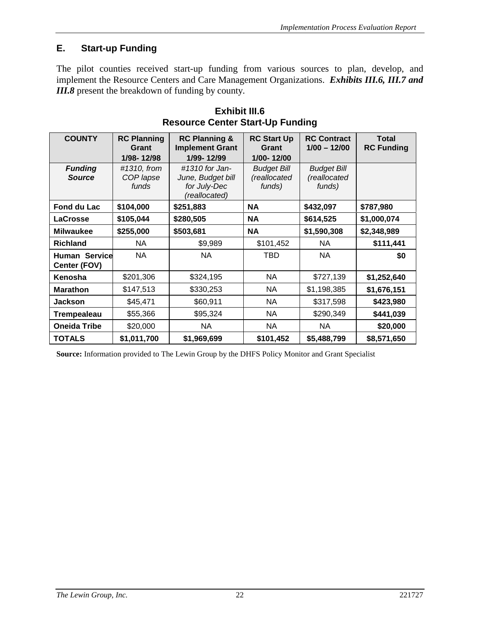### <span id="page-30-0"></span>**E. Start-up Funding**

The pilot counties received start-up funding from various sources to plan, develop, and implement the Resource Centers and Care Management Organizations. *Exhibits III.6, III.7 and III.8* present the breakdown of funding by county.

| <b>COUNTY</b>                        | <b>RC Planning</b><br>Grant<br>1/98-12/98 | <b>RC Planning &amp;</b><br><b>Implement Grant</b><br>1/99-12/99     | <b>RC Start Up</b><br>Grant<br>1/00-12/00    | <b>RC Contract</b><br>$1/00 - 12/00$         | <b>Total</b><br><b>RC Funding</b> |  |  |
|--------------------------------------|-------------------------------------------|----------------------------------------------------------------------|----------------------------------------------|----------------------------------------------|-----------------------------------|--|--|
| <b>Funding</b><br><b>Source</b>      | #1310, from<br>COP lapse<br>funds         | #1310 for Jan-<br>June, Budget bill<br>for July-Dec<br>(reallocated) | <b>Budget Bill</b><br>(reallocated<br>funds) | <b>Budget Bill</b><br>(reallocated<br>funds) |                                   |  |  |
| Fond du Lac                          | \$104,000                                 | \$251,883                                                            | <b>NA</b>                                    | \$432,097                                    | \$787,980                         |  |  |
| <b>LaCrosse</b>                      | \$105,044                                 | \$280,505                                                            | <b>NA</b>                                    | \$614,525                                    | \$1,000,074                       |  |  |
| <b>Milwaukee</b>                     | \$255,000                                 | \$503,681                                                            | <b>NA</b>                                    | \$1,590,308                                  | \$2,348,989                       |  |  |
| <b>Richland</b>                      | NA                                        | \$9,989                                                              | \$101,452                                    | NA                                           | \$111,441                         |  |  |
| <b>Human Service</b><br>Center (FOV) | <b>NA</b>                                 | <b>NA</b>                                                            | TBD                                          | NA                                           | \$0                               |  |  |
| Kenosha                              | \$201,306                                 | \$324,195                                                            | <b>NA</b>                                    | \$727,139                                    | \$1,252,640                       |  |  |
| <b>Marathon</b>                      | \$147,513                                 | \$330,253                                                            | <b>NA</b>                                    | \$1,198,385                                  | \$1,676,151                       |  |  |
| <b>Jackson</b>                       | \$45,471                                  | \$60,911                                                             | NA                                           | \$317,598                                    | \$423,980                         |  |  |
| <b>Trempealeau</b>                   | \$55,366                                  | \$95,324                                                             | NA                                           | \$290,349                                    | \$441,039                         |  |  |
| <b>Oneida Tribe</b>                  | \$20,000                                  | <b>NA</b>                                                            | <b>NA</b>                                    | NA                                           | \$20,000                          |  |  |
| <b>TOTALS</b>                        | \$1,011,700                               | \$1,969,699                                                          | \$101,452                                    | \$5,488,799                                  | \$8,571,650                       |  |  |

**Exhibit III.6 Resource Center Start-Up Funding**

**Source:** Information provided to The Lewin Group by the DHFS Policy Monitor and Grant Specialist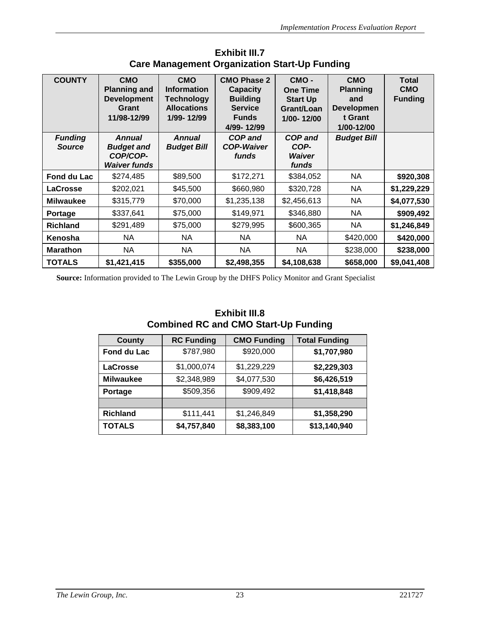| <b>COUNTY</b>                   | <b>CMO</b><br><b>Planning and</b><br><b>Development</b><br>Grant<br>11/98-12/99 | <b>CMO</b><br><b>Information</b><br><b>Technology</b><br><b>Allocations</b><br>1/99-12/99 | <b>CMO Phase 2</b><br><b>Capacity</b><br><b>Building</b><br><b>Service</b><br><b>Funds</b><br>4/99-12/99 | CMO-<br><b>One Time</b><br><b>Start Up</b><br>Grant/Loan<br>1/00-12/00 | <b>CMO</b><br><b>Planning</b><br>and<br><b>Developmen</b><br>t Grant<br>1/00-12/00 | <b>Total</b><br><b>CMO</b><br><b>Funding</b> |
|---------------------------------|---------------------------------------------------------------------------------|-------------------------------------------------------------------------------------------|----------------------------------------------------------------------------------------------------------|------------------------------------------------------------------------|------------------------------------------------------------------------------------|----------------------------------------------|
| <b>Funding</b><br><b>Source</b> | <b>Annual</b><br><b>Budget and</b><br>COP/COP-<br><b>Waiver funds</b>           | <b>Annual</b><br><b>Budget Bill</b>                                                       | <b>COP and</b><br><b>COP-Waiver</b><br>funds                                                             | <b>COP and</b><br>COP-<br>Waiver<br>funds                              | <b>Budget Bill</b>                                                                 |                                              |
| Fond du Lac                     | \$274,485                                                                       | \$89,500                                                                                  | \$172,271                                                                                                | \$384,052                                                              | NA                                                                                 | \$920,308                                    |
| <b>LaCrosse</b>                 | \$202,021                                                                       | \$45,500                                                                                  | \$660,980                                                                                                | \$320,728                                                              | NA.                                                                                | \$1,229,229                                  |
| <b>Milwaukee</b>                | \$315,779                                                                       | \$70,000                                                                                  | \$1,235,138                                                                                              | \$2,456,613                                                            | NA.                                                                                | \$4,077,530                                  |
| <b>Portage</b>                  | \$337,641                                                                       | \$75,000                                                                                  | \$149,971                                                                                                | \$346,880                                                              | NA                                                                                 | \$909,492                                    |
| <b>Richland</b>                 | \$291,489                                                                       | \$75,000                                                                                  | \$279,995                                                                                                | \$600,365                                                              | NA.                                                                                | \$1,246,849                                  |
| Kenosha                         | NA                                                                              | NA.                                                                                       | <b>NA</b>                                                                                                | NA.                                                                    | \$420,000                                                                          | \$420,000                                    |
| <b>Marathon</b>                 | <b>NA</b>                                                                       | <b>NA</b>                                                                                 | <b>NA</b>                                                                                                | NA                                                                     | \$238,000                                                                          | \$238,000                                    |
| <b>TOTALS</b>                   | \$1,421,415                                                                     | \$355,000                                                                                 | \$2,498,355                                                                                              | \$4,108,638                                                            | \$658,000                                                                          | \$9,041,408                                  |

#### **Exhibit III.7 Care Management Organization Start-Up Funding**

**Source:** Information provided to The Lewin Group by the DHFS Policy Monitor and Grant Specialist

#### **Exhibit III.8 Combined RC and CMO Start-Up Funding**

| <b>County</b>    | <b>RC Funding</b> | <b>CMO Funding</b> | <b>Total Funding</b> |
|------------------|-------------------|--------------------|----------------------|
| Fond du Lac      | \$787,980         | \$920,000          | \$1,707,980          |
| <b>LaCrosse</b>  | \$1,000,074       | \$1,229,229        | \$2,229,303          |
| <b>Milwaukee</b> | \$2,348,989       | \$4,077,530        | \$6,426,519          |
| Portage          | \$509,356         | \$909,492          | \$1,418,848          |
|                  |                   |                    |                      |
| <b>Richland</b>  | \$111,441         | \$1,246,849        | \$1,358,290          |
| <b>TOTALS</b>    | \$4,757,840       | \$8,383,100        | \$13,140,940         |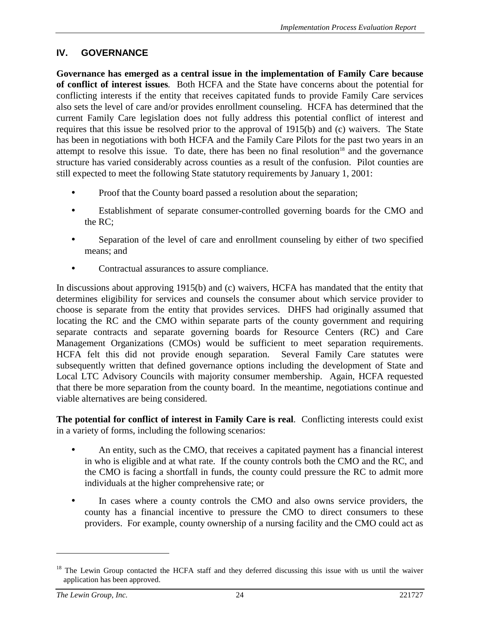### <span id="page-32-0"></span>**IV. GOVERNANCE**

**Governance has emerged as a central issue in the implementation of Family Care because of conflict of interest issues***.* Both HCFA and the State have concerns about the potential for conflicting interests if the entity that receives capitated funds to provide Family Care services also sets the level of care and/or provides enrollment counseling. HCFA has determined that the current Family Care legislation does not fully address this potential conflict of interest and requires that this issue be resolved prior to the approval of 1915(b) and (c) waivers. The State has been in negotiations with both HCFA and the Family Care Pilots for the past two years in an attempt to resolve this issue. To date, there has been no final resolution<sup>18</sup> and the governance structure has varied considerably across counties as a result of the confusion. Pilot counties are still expected to meet the following State statutory requirements by January 1, 2001:

- Proof that the County board passed a resolution about the separation;
- Establishment of separate consumer-controlled governing boards for the CMO and the RC;
- Separation of the level of care and enrollment counseling by either of two specified means; and
- Contractual assurances to assure compliance.

In discussions about approving 1915(b) and (c) waivers, HCFA has mandated that the entity that determines eligibility for services and counsels the consumer about which service provider to choose is separate from the entity that provides services. DHFS had originally assumed that locating the RC and the CMO within separate parts of the county government and requiring separate contracts and separate governing boards for Resource Centers (RC) and Care Management Organizations (CMOs) would be sufficient to meet separation requirements. HCFA felt this did not provide enough separation. Several Family Care statutes were subsequently written that defined governance options including the development of State and Local LTC Advisory Councils with majority consumer membership. Again, HCFA requested that there be more separation from the county board. In the meantime, negotiations continue and viable alternatives are being considered.

**The potential for conflict of interest in Family Care is real**. Conflicting interests could exist in a variety of forms, including the following scenarios:

- An entity, such as the CMO, that receives a capitated payment has a financial interest in who is eligible and at what rate. If the county controls both the CMO and the RC, and the CMO is facing a shortfall in funds, the county could pressure the RC to admit more individuals at the higher comprehensive rate; or
- In cases where a county controls the CMO and also owns service providers, the county has a financial incentive to pressure the CMO to direct consumers to these providers. For example, county ownership of a nursing facility and the CMO could act as

 $18$  The Lewin Group contacted the HCFA staff and they deferred discussing this issue with us until the waiver application has been approved.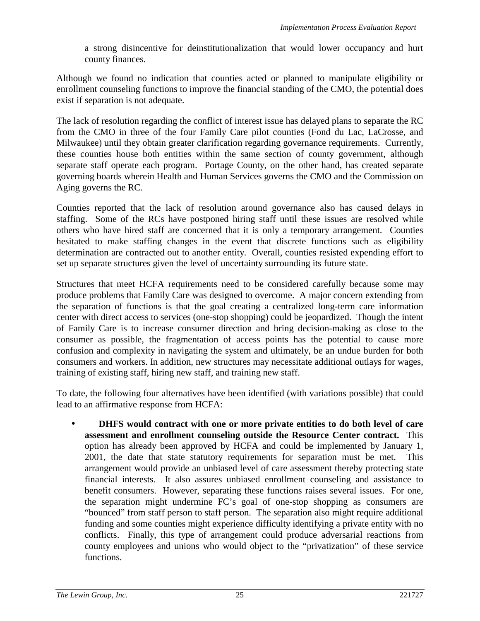a strong disincentive for deinstitutionalization that would lower occupancy and hurt county finances.

Although we found no indication that counties acted or planned to manipulate eligibility or enrollment counseling functions to improve the financial standing of the CMO, the potential does exist if separation is not adequate.

The lack of resolution regarding the conflict of interest issue has delayed plans to separate the RC from the CMO in three of the four Family Care pilot counties (Fond du Lac, LaCrosse, and Milwaukee) until they obtain greater clarification regarding governance requirements. Currently, these counties house both entities within the same section of county government, although separate staff operate each program. Portage County, on the other hand, has created separate governing boards wherein Health and Human Services governs the CMO and the Commission on Aging governs the RC.

Counties reported that the lack of resolution around governance also has caused delays in staffing. Some of the RCs have postponed hiring staff until these issues are resolved while others who have hired staff are concerned that it is only a temporary arrangement. Counties hesitated to make staffing changes in the event that discrete functions such as eligibility determination are contracted out to another entity. Overall, counties resisted expending effort to set up separate structures given the level of uncertainty surrounding its future state.

Structures that meet HCFA requirements need to be considered carefully because some may produce problems that Family Care was designed to overcome. A major concern extending from the separation of functions is that the goal creating a centralized long-term care information center with direct access to services (one-stop shopping) could be jeopardized. Though the intent of Family Care is to increase consumer direction and bring decision-making as close to the consumer as possible, the fragmentation of access points has the potential to cause more confusion and complexity in navigating the system and ultimately, be an undue burden for both consumers and workers. In addition, new structures may necessitate additional outlays for wages, training of existing staff, hiring new staff, and training new staff.

To date, the following four alternatives have been identified (with variations possible) that could lead to an affirmative response from HCFA:

• **DHFS would contract with one or more private entities to do both level of care assessment and enrollment counseling outside the Resource Center contract.** This option has already been approved by HCFA and could be implemented by January 1, 2001, the date that state statutory requirements for separation must be met. This arrangement would provide an unbiased level of care assessment thereby protecting state financial interests. It also assures unbiased enrollment counseling and assistance to benefit consumers. However, separating these functions raises several issues. For one, the separation might undermine FC's goal of one-stop shopping as consumers are "bounced" from staff person to staff person. The separation also might require additional funding and some counties might experience difficulty identifying a private entity with no conflicts. Finally, this type of arrangement could produce adversarial reactions from county employees and unions who would object to the "privatization" of these service functions.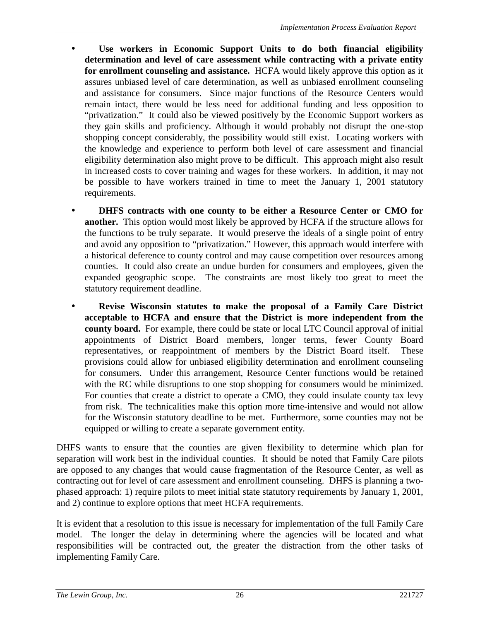- **Use workers in Economic Support Units to do both financial eligibility determination and level of care assessment while contracting with a private entity for enrollment counseling and assistance.** HCFA would likely approve this option as it assures unbiased level of care determination, as well as unbiased enrollment counseling and assistance for consumers. Since major functions of the Resource Centers would remain intact, there would be less need for additional funding and less opposition to "privatization." It could also be viewed positively by the Economic Support workers as they gain skills and proficiency. Although it would probably not disrupt the one-stop shopping concept considerably, the possibility would still exist. Locating workers with the knowledge and experience to perform both level of care assessment and financial eligibility determination also might prove to be difficult. This approach might also result in increased costs to cover training and wages for these workers. In addition, it may not be possible to have workers trained in time to meet the January 1, 2001 statutory requirements.
- **DHFS contracts with one county to be either a Resource Center or CMO for another.** This option would most likely be approved by HCFA if the structure allows for the functions to be truly separate. It would preserve the ideals of a single point of entry and avoid any opposition to "privatization." However, this approach would interfere with a historical deference to county control and may cause competition over resources among counties. It could also create an undue burden for consumers and employees, given the expanded geographic scope. The constraints are most likely too great to meet the statutory requirement deadline.
- **Revise Wisconsin statutes to make the proposal of a Family Care District acceptable to HCFA and ensure that the District is more independent from the county board.** For example, there could be state or local LTC Council approval of initial appointments of District Board members, longer terms, fewer County Board representatives, or reappointment of members by the District Board itself. These provisions could allow for unbiased eligibility determination and enrollment counseling for consumers. Under this arrangement, Resource Center functions would be retained with the RC while disruptions to one stop shopping for consumers would be minimized. For counties that create a district to operate a CMO, they could insulate county tax levy from risk. The technicalities make this option more time-intensive and would not allow for the Wisconsin statutory deadline to be met. Furthermore, some counties may not be equipped or willing to create a separate government entity.

DHFS wants to ensure that the counties are given flexibility to determine which plan for separation will work best in the individual counties. It should be noted that Family Care pilots are opposed to any changes that would cause fragmentation of the Resource Center, as well as contracting out for level of care assessment and enrollment counseling. DHFS is planning a twophased approach: 1) require pilots to meet initial state statutory requirements by January 1, 2001, and 2) continue to explore options that meet HCFA requirements.

It is evident that a resolution to this issue is necessary for implementation of the full Family Care model. The longer the delay in determining where the agencies will be located and what responsibilities will be contracted out, the greater the distraction from the other tasks of implementing Family Care.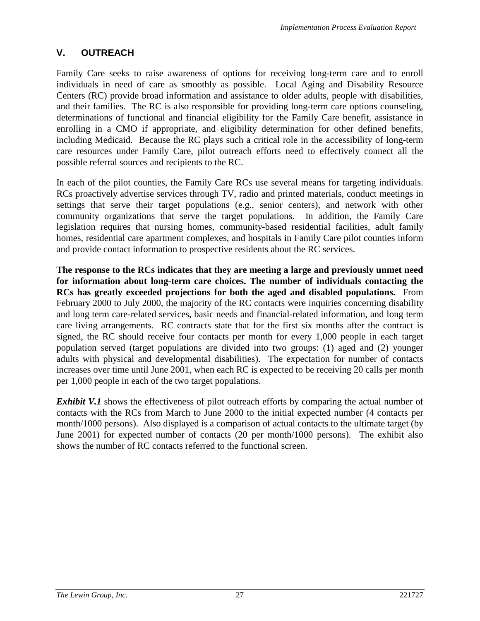### <span id="page-35-0"></span>**V. OUTREACH**

Family Care seeks to raise awareness of options for receiving long-term care and to enroll individuals in need of care as smoothly as possible. Local Aging and Disability Resource Centers (RC) provide broad information and assistance to older adults, people with disabilities, and their families. The RC is also responsible for providing long-term care options counseling, determinations of functional and financial eligibility for the Family Care benefit, assistance in enrolling in a CMO if appropriate, and eligibility determination for other defined benefits, including Medicaid. Because the RC plays such a critical role in the accessibility of long-term care resources under Family Care, pilot outreach efforts need to effectively connect all the possible referral sources and recipients to the RC.

In each of the pilot counties, the Family Care RCs use several means for targeting individuals. RCs proactively advertise services through TV, radio and printed materials, conduct meetings in settings that serve their target populations (e.g., senior centers), and network with other community organizations that serve the target populations. In addition, the Family Care legislation requires that nursing homes, community-based residential facilities, adult family homes, residential care apartment complexes, and hospitals in Family Care pilot counties inform and provide contact information to prospective residents about the RC services.

**The response to the RCs indicates that they are meeting a large and previously unmet need for information about long-term care choices. The number of individuals contacting the RCs has greatly exceeded projections for both the aged and disabled populations.** From February 2000 to July 2000, the majority of the RC contacts were inquiries concerning disability and long term care-related services, basic needs and financial-related information, and long term care living arrangements. RC contracts state that for the first six months after the contract is signed, the RC should receive four contacts per month for every 1,000 people in each target population served (target populations are divided into two groups: (1) aged and (2) younger adults with physical and developmental disabilities). The expectation for number of contacts increases over time until June 2001, when each RC is expected to be receiving 20 calls per month per 1,000 people in each of the two target populations.

*Exhibit V.1* shows the effectiveness of pilot outreach efforts by comparing the actual number of contacts with the RCs from March to June 2000 to the initial expected number (4 contacts per month/1000 persons). Also displayed is a comparison of actual contacts to the ultimate target (by June 2001) for expected number of contacts (20 per month/1000 persons). The exhibit also shows the number of RC contacts referred to the functional screen.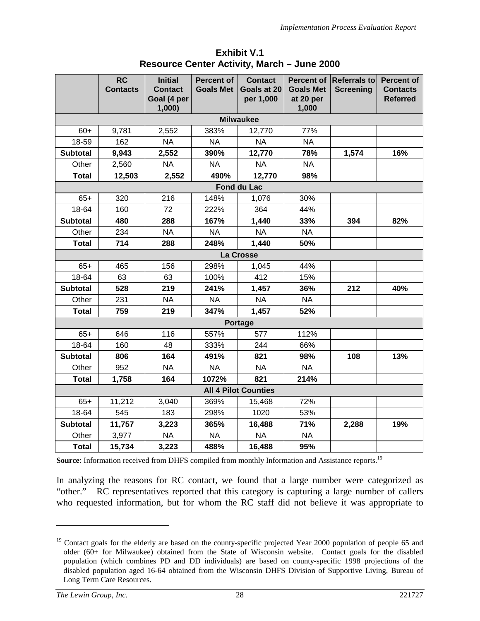|                 | <b>RC</b><br><b>Contacts</b> | <b>Initial</b><br><b>Contact</b><br>Goal (4 per | <b>Percent of</b><br><b>Goals Met</b> | <b>Contact</b><br>Goals at 20<br>per 1,000 | <b>Percent of</b><br><b>Goals Met</b><br>at 20 per | <b>Referrals to</b><br><b>Screening</b> | <b>Percent of</b><br><b>Contacts</b><br><b>Referred</b> |
|-----------------|------------------------------|-------------------------------------------------|---------------------------------------|--------------------------------------------|----------------------------------------------------|-----------------------------------------|---------------------------------------------------------|
|                 |                              | 1,000                                           |                                       |                                            | 1,000                                              |                                         |                                                         |
|                 |                              |                                                 |                                       | <b>Milwaukee</b>                           |                                                    |                                         |                                                         |
| $60+$           | 9,781                        | 2,552                                           | 383%                                  | 12,770                                     | 77%                                                |                                         |                                                         |
| 18-59           | 162                          | <b>NA</b>                                       | <b>NA</b>                             | <b>NA</b>                                  | <b>NA</b>                                          |                                         |                                                         |
| <b>Subtotal</b> | 9,943                        | 2,552                                           | 390%                                  | 12,770                                     | 78%                                                | 1,574                                   | 16%                                                     |
| Other           | 2,560                        | <b>NA</b>                                       | <b>NA</b>                             | <b>NA</b>                                  | <b>NA</b>                                          |                                         |                                                         |
| <b>Total</b>    | 12,503                       | 2,552                                           | 490%                                  | 12,770                                     | 98%                                                |                                         |                                                         |
|                 |                              |                                                 |                                       | Fond du Lac                                |                                                    |                                         |                                                         |
| $65+$           | 320                          | 216                                             | 148%                                  | 1,076                                      | 30%                                                |                                         |                                                         |
| 18-64           | 160                          | 72                                              | 222%                                  | 364                                        | 44%                                                |                                         |                                                         |
| <b>Subtotal</b> | 480                          | 288                                             | 167%                                  | 1,440                                      | 33%                                                | 394                                     | 82%                                                     |
| Other           | 234                          | <b>NA</b>                                       | <b>NA</b>                             | <b>NA</b>                                  | <b>NA</b>                                          |                                         |                                                         |
| <b>Total</b>    | 714                          | 288                                             | 248%                                  | 1,440                                      | 50%                                                |                                         |                                                         |
|                 |                              |                                                 |                                       | La Crosse                                  |                                                    |                                         |                                                         |
| $65+$           | 465                          | 156                                             | 298%                                  | 1,045                                      | 44%                                                |                                         |                                                         |
| 18-64           | 63                           | 63                                              | 100%                                  | 412                                        | 15%                                                |                                         |                                                         |
| <b>Subtotal</b> | 528                          | 219                                             | 241%                                  | 1,457                                      | 36%                                                | 212                                     | 40%                                                     |
| Other           | 231                          | <b>NA</b>                                       | <b>NA</b>                             | <b>NA</b>                                  | <b>NA</b>                                          |                                         |                                                         |
| <b>Total</b>    | 759                          | 219                                             | 347%                                  | 1,457                                      | 52%                                                |                                         |                                                         |
|                 |                              |                                                 |                                       | <b>Portage</b>                             |                                                    |                                         |                                                         |
| $65+$           | 646                          | 116                                             | 557%                                  | 577                                        | 112%                                               |                                         |                                                         |
| 18-64           | 160                          | 48                                              | 333%                                  | 244                                        | 66%                                                |                                         |                                                         |
| <b>Subtotal</b> | 806                          | 164                                             | 491%                                  | 821                                        | 98%                                                | 108                                     | 13%                                                     |
| Other           | 952                          | <b>NA</b>                                       | <b>NA</b>                             | <b>NA</b>                                  | <b>NA</b>                                          |                                         |                                                         |
| <b>Total</b>    | 1,758                        | 164                                             | 1072%                                 | 821                                        | 214%                                               |                                         |                                                         |
|                 |                              |                                                 |                                       | <b>All 4 Pilot Counties</b>                |                                                    |                                         |                                                         |
| $65+$           | 11,212                       | 3,040                                           | 369%                                  | 15,468                                     | 72%                                                |                                         |                                                         |
| 18-64           | 545                          | 183                                             | 298%                                  | 1020                                       | 53%                                                |                                         |                                                         |
| <b>Subtotal</b> | 11,757                       | 3,223                                           | 365%                                  | 16,488                                     | 71%                                                | 2,288                                   | 19%                                                     |
| Other           | 3,977                        | <b>NA</b>                                       | <b>NA</b>                             | <b>NA</b>                                  | <b>NA</b>                                          |                                         |                                                         |
| <b>Total</b>    | 15,734                       | 3,223                                           | 488%                                  | 16,488                                     | 95%                                                |                                         |                                                         |

### **Exhibit V.1 Resource Center Activity, March – June 2000**

Source: Information received from DHFS compiled from monthly Information and Assistance reports.<sup>19</sup>

In analyzing the reasons for RC contact, we found that a large number were categorized as "other." RC representatives reported that this category is capturing a large number of callers who requested information, but for whom the RC staff did not believe it was appropriate to

<sup>&</sup>lt;sup>19</sup> Contact goals for the elderly are based on the county-specific projected Year 2000 population of people 65 and older (60+ for Milwaukee) obtained from the State of Wisconsin website. Contact goals for the disabled population (which combines PD and DD individuals) are based on county-specific 1998 projections of the disabled population aged 16-64 obtained from the Wisconsin DHFS Division of Supportive Living, Bureau of Long Term Care Resources.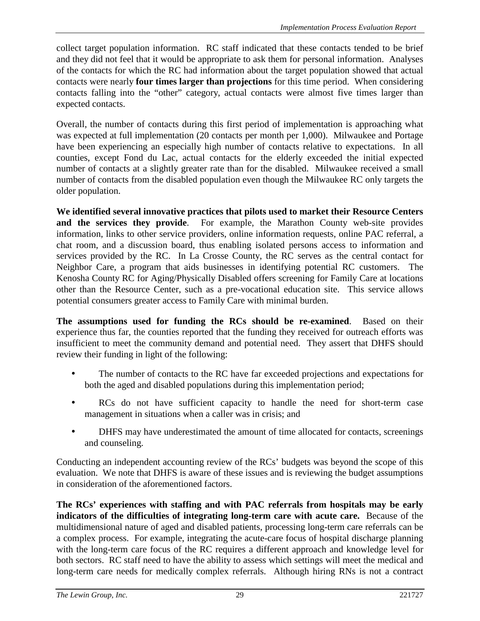collect target population information. RC staff indicated that these contacts tended to be brief and they did not feel that it would be appropriate to ask them for personal information. Analyses of the contacts for which the RC had information about the target population showed that actual contacts were nearly **four times larger than projections** for this time period. When considering contacts falling into the "other" category, actual contacts were almost five times larger than expected contacts.

Overall, the number of contacts during this first period of implementation is approaching what was expected at full implementation (20 contacts per month per 1,000). Milwaukee and Portage have been experiencing an especially high number of contacts relative to expectations. In all counties, except Fond du Lac, actual contacts for the elderly exceeded the initial expected number of contacts at a slightly greater rate than for the disabled. Milwaukee received a small number of contacts from the disabled population even though the Milwaukee RC only targets the older population.

**We identified several innovative practices that pilots used to market their Resource Centers and the services they provide**. For example, the Marathon County web-site provides information, links to other service providers, online information requests, online PAC referral, a chat room, and a discussion board, thus enabling isolated persons access to information and services provided by the RC. In La Crosse County, the RC serves as the central contact for Neighbor Care, a program that aids businesses in identifying potential RC customers. The Kenosha County RC for Aging/Physically Disabled offers screening for Family Care at locations other than the Resource Center, such as a pre-vocational education site. This service allows potential consumers greater access to Family Care with minimal burden.

**The assumptions used for funding the RCs should be re-examined**. Based on their experience thus far, the counties reported that the funding they received for outreach efforts was insufficient to meet the community demand and potential need. They assert that DHFS should review their funding in light of the following:

- The number of contacts to the RC have far exceeded projections and expectations for both the aged and disabled populations during this implementation period;
- RCs do not have sufficient capacity to handle the need for short-term case management in situations when a caller was in crisis; and
- DHFS may have underestimated the amount of time allocated for contacts, screenings and counseling.

Conducting an independent accounting review of the RCs' budgets was beyond the scope of this evaluation. We note that DHFS is aware of these issues and is reviewing the budget assumptions in consideration of the aforementioned factors.

**The RCs' experiences with staffing and with PAC referrals from hospitals may be early indicators of the difficulties of integrating long-term care with acute care.** Because of the multidimensional nature of aged and disabled patients, processing long-term care referrals can be a complex process. For example, integrating the acute-care focus of hospital discharge planning with the long-term care focus of the RC requires a different approach and knowledge level for both sectors. RC staff need to have the ability to assess which settings will meet the medical and long-term care needs for medically complex referrals. Although hiring RNs is not a contract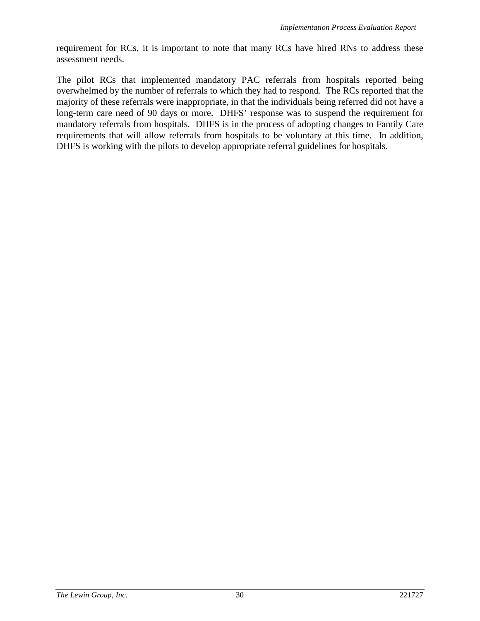requirement for RCs, it is important to note that many RCs have hired RNs to address these assessment needs.

The pilot RCs that implemented mandatory PAC referrals from hospitals reported being overwhelmed by the number of referrals to which they had to respond. The RCs reported that the majority of these referrals were inappropriate, in that the individuals being referred did not have a long-term care need of 90 days or more. DHFS' response was to suspend the requirement for mandatory referrals from hospitals. DHFS is in the process of adopting changes to Family Care requirements that will allow referrals from hospitals to be voluntary at this time. In addition, DHFS is working with the pilots to develop appropriate referral guidelines for hospitals.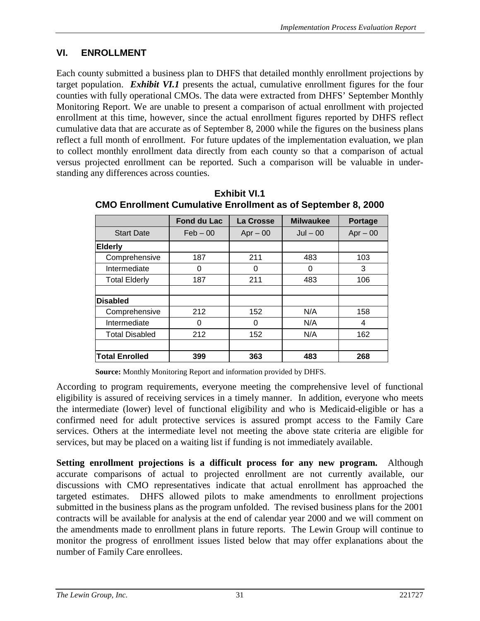# **VI. ENROLLMENT**

Each county submitted a business plan to DHFS that detailed monthly enrollment projections by target population. *Exhibit VI.1* presents the actual, cumulative enrollment figures for the four counties with fully operational CMOs. The data were extracted from DHFS' September Monthly Monitoring Report. We are unable to present a comparison of actual enrollment with projected enrollment at this time, however, since the actual enrollment figures reported by DHFS reflect cumulative data that are accurate as of September 8, 2000 while the figures on the business plans reflect a full month of enrollment. For future updates of the implementation evaluation, we plan to collect monthly enrollment data directly from each county so that a comparison of actual versus projected enrollment can be reported. Such a comparison will be valuable in understanding any differences across counties.

|                       | <b>Fond du Lac</b> | La Crosse  | <b>Milwaukee</b> | <b>Portage</b> |
|-----------------------|--------------------|------------|------------------|----------------|
| <b>Start Date</b>     | $Feb - 00$         | $Apr - 00$ | $Jul - 00$       | $Apr - 00$     |
| <b>Elderly</b>        |                    |            |                  |                |
| Comprehensive         | 187                | 211        | 483              | 103            |
| Intermediate          | 0                  | 0          | 0                | 3              |
| <b>Total Elderly</b>  | 187                | 211        | 483              | 106            |
|                       |                    |            |                  |                |
| <b>Disabled</b>       |                    |            |                  |                |
| Comprehensive         | 212                | 152        | N/A              | 158            |
| Intermediate          | 0                  | 0          | N/A              | 4              |
| <b>Total Disabled</b> | 212                | 152        | N/A              | 162            |
|                       |                    |            |                  |                |
| <b>Total Enrolled</b> | 399                | 363        | 483              | 268            |

#### **Exhibit VI.1 CMO Enrollment Cumulative Enrollment as of September 8, 2000**

**Source:** Monthly Monitoring Report and information provided by DHFS.

According to program requirements, everyone meeting the comprehensive level of functional eligibility is assured of receiving services in a timely manner. In addition, everyone who meets the intermediate (lower) level of functional eligibility and who is Medicaid-eligible or has a confirmed need for adult protective services is assured prompt access to the Family Care services. Others at the intermediate level not meeting the above state criteria are eligible for services, but may be placed on a waiting list if funding is not immediately available.

**Setting enrollment projections is a difficult process for any new program.** Although accurate comparisons of actual to projected enrollment are not currently available, our discussions with CMO representatives indicate that actual enrollment has approached the targeted estimates. DHFS allowed pilots to make amendments to enrollment projections submitted in the business plans as the program unfolded. The revised business plans for the 2001 contracts will be available for analysis at the end of calendar year 2000 and we will comment on the amendments made to enrollment plans in future reports. The Lewin Group will continue to monitor the progress of enrollment issues listed below that may offer explanations about the number of Family Care enrollees.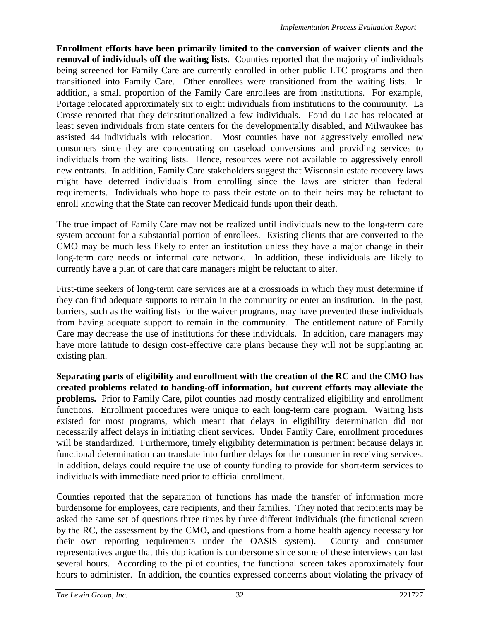**Enrollment efforts have been primarily limited to the conversion of waiver clients and the removal of individuals off the waiting lists.** Counties reported that the majority of individuals being screened for Family Care are currently enrolled in other public LTC programs and then transitioned into Family Care. Other enrollees were transitioned from the waiting lists. In addition, a small proportion of the Family Care enrollees are from institutions. For example, Portage relocated approximately six to eight individuals from institutions to the community. La Crosse reported that they deinstitutionalized a few individuals. Fond du Lac has relocated at least seven individuals from state centers for the developmentally disabled, and Milwaukee has assisted 44 individuals with relocation. Most counties have not aggressively enrolled new consumers since they are concentrating on caseload conversions and providing services to individuals from the waiting lists. Hence, resources were not available to aggressively enroll new entrants. In addition, Family Care stakeholders suggest that Wisconsin estate recovery laws might have deterred individuals from enrolling since the laws are stricter than federal requirements. Individuals who hope to pass their estate on to their heirs may be reluctant to enroll knowing that the State can recover Medicaid funds upon their death.

The true impact of Family Care may not be realized until individuals new to the long-term care system account for a substantial portion of enrollees. Existing clients that are converted to the CMO may be much less likely to enter an institution unless they have a major change in their long-term care needs or informal care network. In addition, these individuals are likely to currently have a plan of care that care managers might be reluctant to alter.

First-time seekers of long-term care services are at a crossroads in which they must determine if they can find adequate supports to remain in the community or enter an institution. In the past, barriers, such as the waiting lists for the waiver programs, may have prevented these individuals from having adequate support to remain in the community. The entitlement nature of Family Care may decrease the use of institutions for these individuals. In addition, care managers may have more latitude to design cost-effective care plans because they will not be supplanting an existing plan.

**Separating parts of eligibility and enrollment with the creation of the RC and the CMO has created problems related to handing-off information, but current efforts may alleviate the problems.** Prior to Family Care, pilot counties had mostly centralized eligibility and enrollment functions. Enrollment procedures were unique to each long-term care program. Waiting lists existed for most programs, which meant that delays in eligibility determination did not necessarily affect delays in initiating client services. Under Family Care, enrollment procedures will be standardized. Furthermore, timely eligibility determination is pertinent because delays in functional determination can translate into further delays for the consumer in receiving services. In addition, delays could require the use of county funding to provide for short-term services to individuals with immediate need prior to official enrollment.

Counties reported that the separation of functions has made the transfer of information more burdensome for employees, care recipients, and their families. They noted that recipients may be asked the same set of questions three times by three different individuals (the functional screen by the RC, the assessment by the CMO, and questions from a home health agency necessary for their own reporting requirements under the OASIS system). County and consumer representatives argue that this duplication is cumbersome since some of these interviews can last several hours. According to the pilot counties, the functional screen takes approximately four hours to administer. In addition, the counties expressed concerns about violating the privacy of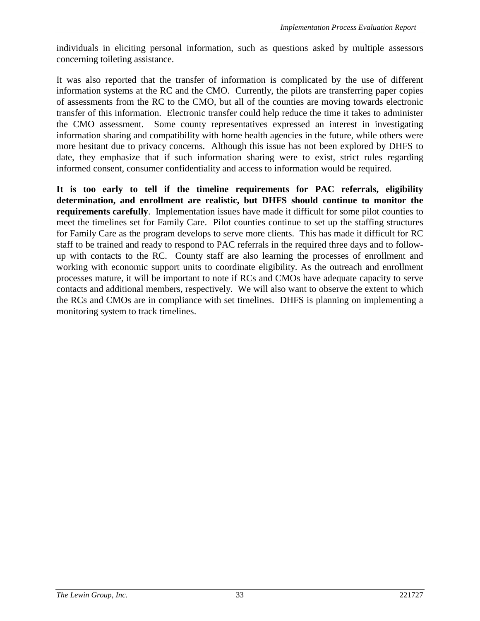individuals in eliciting personal information, such as questions asked by multiple assessors concerning toileting assistance.

It was also reported that the transfer of information is complicated by the use of different information systems at the RC and the CMO. Currently, the pilots are transferring paper copies of assessments from the RC to the CMO, but all of the counties are moving towards electronic transfer of this information. Electronic transfer could help reduce the time it takes to administer the CMO assessment. Some county representatives expressed an interest in investigating information sharing and compatibility with home health agencies in the future, while others were more hesitant due to privacy concerns. Although this issue has not been explored by DHFS to date, they emphasize that if such information sharing were to exist, strict rules regarding informed consent, consumer confidentiality and access to information would be required.

**It is too early to tell if the timeline requirements for PAC referrals, eligibility determination, and enrollment are realistic, but DHFS should continue to monitor the requirements carefully**. Implementation issues have made it difficult for some pilot counties to meet the timelines set for Family Care. Pilot counties continue to set up the staffing structures for Family Care as the program develops to serve more clients. This has made it difficult for RC staff to be trained and ready to respond to PAC referrals in the required three days and to followup with contacts to the RC. County staff are also learning the processes of enrollment and working with economic support units to coordinate eligibility. As the outreach and enrollment processes mature, it will be important to note if RCs and CMOs have adequate capacity to serve contacts and additional members, respectively. We will also want to observe the extent to which the RCs and CMOs are in compliance with set timelines. DHFS is planning on implementing a monitoring system to track timelines.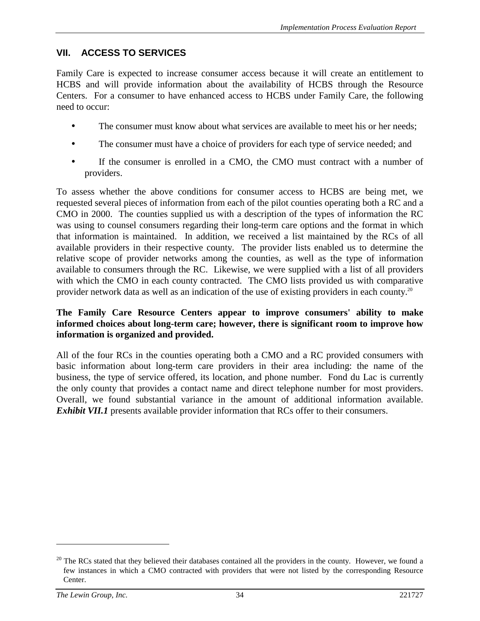## **VII. ACCESS TO SERVICES**

Family Care is expected to increase consumer access because it will create an entitlement to HCBS and will provide information about the availability of HCBS through the Resource Centers. For a consumer to have enhanced access to HCBS under Family Care, the following need to occur:

- The consumer must know about what services are available to meet his or her needs;
- The consumer must have a choice of providers for each type of service needed; and
- If the consumer is enrolled in a CMO, the CMO must contract with a number of providers.

To assess whether the above conditions for consumer access to HCBS are being met, we requested several pieces of information from each of the pilot counties operating both a RC and a CMO in 2000. The counties supplied us with a description of the types of information the RC was using to counsel consumers regarding their long-term care options and the format in which that information is maintained. In addition, we received a list maintained by the RCs of all available providers in their respective county. The provider lists enabled us to determine the relative scope of provider networks among the counties, as well as the type of information available to consumers through the RC. Likewise, we were supplied with a list of all providers with which the CMO in each county contracted. The CMO lists provided us with comparative provider network data as well as an indication of the use of existing providers in each county.20

#### **The Family Care Resource Centers appear to improve consumers' ability to make informed choices about long-term care; however, there is significant room to improve how information is organized and provided.**

All of the four RCs in the counties operating both a CMO and a RC provided consumers with basic information about long-term care providers in their area including: the name of the business, the type of service offered, its location, and phone number. Fond du Lac is currently the only county that provides a contact name and direct telephone number for most providers. Overall, we found substantial variance in the amount of additional information available. *Exhibit VII.1* presents available provider information that RCs offer to their consumers.

 $20$  The RCs stated that they believed their databases contained all the providers in the county. However, we found a few instances in which a CMO contracted with providers that were not listed by the corresponding Resource Center.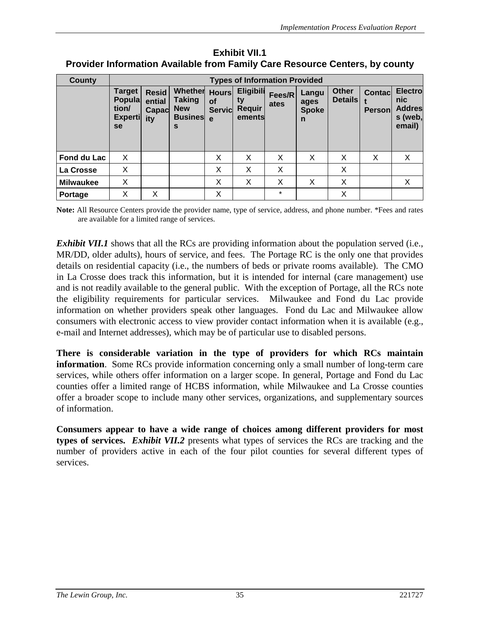| <b>County</b>    |                                                                 | <b>Types of Information Provided</b>   |                                                        |                                          |                                                   |                |                                               |                                |                                 |                                                             |
|------------------|-----------------------------------------------------------------|----------------------------------------|--------------------------------------------------------|------------------------------------------|---------------------------------------------------|----------------|-----------------------------------------------|--------------------------------|---------------------------------|-------------------------------------------------------------|
|                  | <b>Target</b><br><b>Popula</b><br>tion/<br><b>Experti</b><br>se | <b>Resid</b><br>ential<br>Capac<br>ity | Whether<br>Taking<br><b>New</b><br><b>Busines</b><br>s | <b>Hours</b><br>Οf<br><b>Servic</b><br>e | <b>Eligibili</b><br>ty<br><b>Requir</b><br>ements | Fees/R<br>ates | Langu<br>ages<br><b>Spoke</b><br>$\mathsf{n}$ | <b>Other</b><br><b>Details</b> | <b>Contacl</b><br><b>Person</b> | <b>Electro</b><br>nic<br><b>Addres</b><br>s (web,<br>email) |
| Fond du Lac      | X                                                               |                                        |                                                        | X                                        | X                                                 | X              | X                                             | X                              | X                               | X                                                           |
| La Crosse        | X                                                               |                                        |                                                        | X                                        | X                                                 | X              |                                               | X                              |                                 |                                                             |
| <b>Milwaukee</b> | X                                                               |                                        |                                                        | X                                        | X                                                 | X              | X                                             | X                              |                                 | X                                                           |
| Portage          | X                                                               | х                                      |                                                        | X                                        |                                                   | $\star$        |                                               | Χ                              |                                 |                                                             |

**Exhibit VII.1 Provider Information Available from Family Care Resource Centers, by county**

**Note:** All Resource Centers provide the provider name, type of service, address, and phone number. \*Fees and rates are available for a limited range of services.

*Exhibit VII.1* shows that all the RCs are providing information about the population served (i.e., MR/DD, older adults), hours of service, and fees. The Portage RC is the only one that provides details on residential capacity (i.e., the numbers of beds or private rooms available). The CMO in La Crosse does track this information, but it is intended for internal (care management) use and is not readily available to the general public. With the exception of Portage, all the RCs note the eligibility requirements for particular services. Milwaukee and Fond du Lac provide information on whether providers speak other languages. Fond du Lac and Milwaukee allow consumers with electronic access to view provider contact information when it is available (e.g., e-mail and Internet addresses), which may be of particular use to disabled persons.

**There is considerable variation in the type of providers for which RCs maintain information**. Some RCs provide information concerning only a small number of long-term care services, while others offer information on a larger scope. In general, Portage and Fond du Lac counties offer a limited range of HCBS information, while Milwaukee and La Crosse counties offer a broader scope to include many other services, organizations, and supplementary sources of information.

**Consumers appear to have a wide range of choices among different providers for most types of services.** *Exhibit VII.2* presents what types of services the RCs are tracking and the number of providers active in each of the four pilot counties for several different types of services.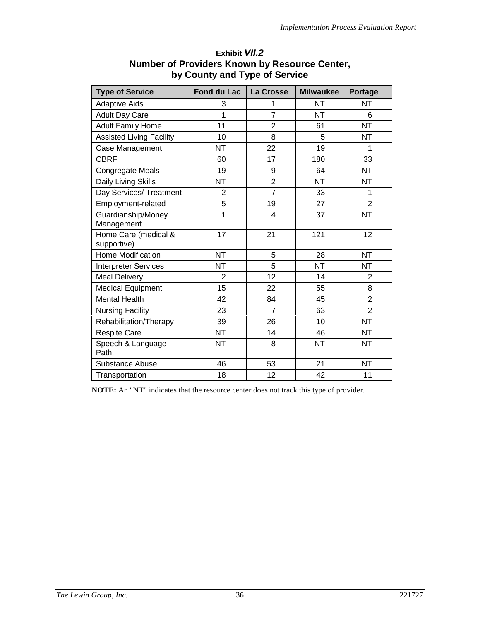| <b>Type of Service</b>              | <b>Fond du Lac</b> | La Crosse      | <b>Milwaukee</b> | <b>Portage</b> |
|-------------------------------------|--------------------|----------------|------------------|----------------|
| <b>Adaptive Aids</b>                | 3                  | 1              | <b>NT</b>        | NT             |
| <b>Adult Day Care</b>               | $\overline{1}$     | $\overline{7}$ | <b>NT</b>        | 6              |
| <b>Adult Family Home</b>            | 11                 | $\overline{2}$ | 61               | <b>NT</b>      |
| <b>Assisted Living Facility</b>     | 10                 | 8              | 5                | <b>NT</b>      |
| Case Management                     | <b>NT</b>          | 22             | 19               | 1              |
| <b>CBRF</b>                         | 60                 | 17             | 180              | 33             |
| <b>Congregate Meals</b>             | 19                 | 9              | 64               | <b>NT</b>      |
| Daily Living Skills                 | <b>NT</b>          | $\overline{2}$ | <b>NT</b>        | <b>NT</b>      |
| Day Services/ Treatment             | $\overline{2}$     | $\overline{7}$ | 33               | 1              |
| Employment-related                  | 5                  | 19             | 27               | $\overline{2}$ |
| Guardianship/Money<br>Management    | $\overline{1}$     | 4              | 37               | <b>NT</b>      |
| Home Care (medical &<br>supportive) | 17                 | 21             | 121              | 12             |
| <b>Home Modification</b>            | <b>NT</b>          | 5              | 28               | <b>NT</b>      |
| <b>Interpreter Services</b>         | <b>NT</b>          | 5              | <b>NT</b>        | <b>NT</b>      |
| <b>Meal Delivery</b>                | $\overline{2}$     | 12             | 14               | $\overline{2}$ |
| <b>Medical Equipment</b>            | 15                 | 22             | 55               | 8              |
| <b>Mental Health</b>                | 42                 | 84             | 45               | $\overline{2}$ |
| <b>Nursing Facility</b>             | 23                 | $\overline{7}$ | 63               | $\overline{2}$ |
| Rehabilitation/Therapy              | 39                 | 26             | 10               | <b>NT</b>      |
| <b>Respite Care</b>                 | <b>NT</b>          | 14             | 46               | <b>NT</b>      |
| Speech & Language<br>Path.          | <b>NT</b>          | 8              | <b>NT</b>        | <b>NT</b>      |
| Substance Abuse                     | 46                 | 53             | 21               | <b>NT</b>      |
| Transportation                      | 18                 | 12             | 42               | 11             |

### **Exhibit** *VII.2* **Number of Providers Known by Resource Center, by County and Type of Service**

**NOTE:** An "NT" indicates that the resource center does not track this type of provider.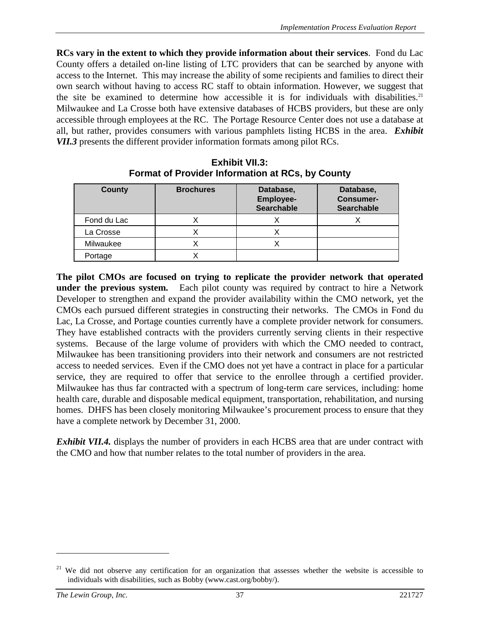**RCs vary in the extent to which they provide information about their services**. Fond du Lac County offers a detailed on-line listing of LTC providers that can be searched by anyone with access to the Internet. This may increase the ability of some recipients and families to direct their own search without having to access RC staff to obtain information. However, we suggest that the site be examined to determine how accessible it is for individuals with disabilities.<sup>21</sup> Milwaukee and La Crosse both have extensive databases of HCBS providers, but these are only accessible through employees at the RC. The Portage Resource Center does not use a database at all, but rather, provides consumers with various pamphlets listing HCBS in the area. *Exhibit VII.3* presents the different provider information formats among pilot RCs.

| <b>County</b> | <b>Brochures</b> | Database,<br><b>Employee-</b><br><b>Searchable</b> | Database,<br><b>Consumer-</b><br><b>Searchable</b> |
|---------------|------------------|----------------------------------------------------|----------------------------------------------------|
| Fond du Lac   |                  |                                                    |                                                    |
| La Crosse     | ∧                |                                                    |                                                    |
| Milwaukee     |                  |                                                    |                                                    |
| Portage       |                  |                                                    |                                                    |

**Exhibit VII.3: Format of Provider Information at RCs, by County**

**The pilot CMOs are focused on trying to replicate the provider network that operated under the previous system.** Each pilot county was required by contract to hire a Network Developer to strengthen and expand the provider availability within the CMO network, yet the CMOs each pursued different strategies in constructing their networks. The CMOs in Fond du Lac, La Crosse, and Portage counties currently have a complete provider network for consumers. They have established contracts with the providers currently serving clients in their respective systems. Because of the large volume of providers with which the CMO needed to contract, Milwaukee has been transitioning providers into their network and consumers are not restricted access to needed services. Even if the CMO does not yet have a contract in place for a particular service, they are required to offer that service to the enrollee through a certified provider. Milwaukee has thus far contracted with a spectrum of long-term care services, including: home health care, durable and disposable medical equipment, transportation, rehabilitation, and nursing homes. DHFS has been closely monitoring Milwaukee's procurement process to ensure that they have a complete network by December 31, 2000.

**Exhibit VII.4.** displays the number of providers in each HCBS area that are under contract with the CMO and how that number relates to the total number of providers in the area.

<sup>&</sup>lt;sup>21</sup> We did not observe any certification for an organization that assesses whether the website is accessible to individuals with disabilities, such as Bobby (www.cast.org/bobby/).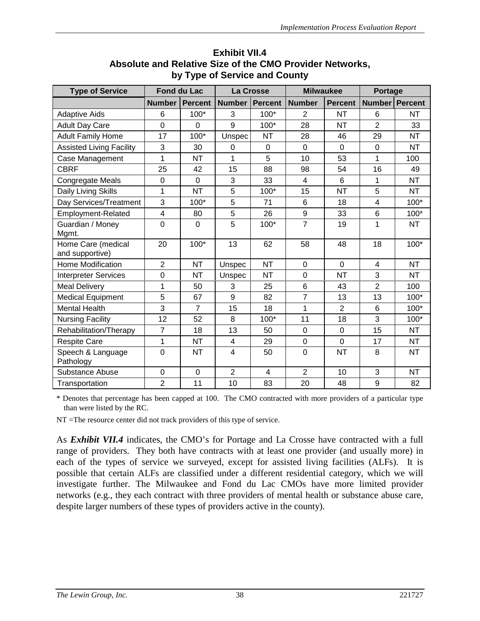| <b>Type of Service</b>                | <b>Fond du Lac</b>      |                |                | La Crosse      | <b>Milwaukee</b> |                | <b>Portage</b>   |           |
|---------------------------------------|-------------------------|----------------|----------------|----------------|------------------|----------------|------------------|-----------|
|                                       | <b>Number</b>           | <b>Percent</b> | <b>Number</b>  | <b>Percent</b> | <b>Number</b>    | <b>Percent</b> | Number   Percent |           |
| <b>Adaptive Aids</b>                  | 6                       | 100*           | 3              | 100*           | $\overline{2}$   | <b>NT</b>      | 6                | <b>NT</b> |
| <b>Adult Day Care</b>                 | $\overline{0}$          | $\Omega$       | 9              | $100*$         | 28               | <b>NT</b>      | $\overline{2}$   | 33        |
| <b>Adult Family Home</b>              | 17                      | $100*$         | Unspec         | <b>NT</b>      | 28               | 46             | 29               | <b>NT</b> |
| <b>Assisted Living Facility</b>       | 3                       | 30             | $\Omega$       | $\Omega$       | $\overline{0}$   | 0              | $\overline{0}$   | <b>NT</b> |
| Case Management                       | 1                       | <b>NT</b>      | 1              | 5              | 10               | 53             | 1                | 100       |
| <b>CBRF</b>                           | 25                      | 42             | 15             | 88             | 98               | 54             | 16               | 49        |
| Congregate Meals                      | 0                       | $\overline{0}$ | 3              | 33             | $\overline{4}$   | 6              | $\mathbf{1}$     | <b>NT</b> |
| Daily Living Skills                   | 1                       | <b>NT</b>      | 5              | 100*           | 15               | <b>NT</b>      | 5                | <b>NT</b> |
| Day Services/Treatment                | 3                       | $100*$         | 5              | 71             | 6                | 18             | $\overline{4}$   | 100*      |
| Employment-Related                    | $\overline{\mathbf{4}}$ | 80             | 5              | 26             | 9                | 33             | 6                | 100*      |
| Guardian / Money<br>Mgmt.             | $\mathbf 0$             | $\overline{0}$ | 5              | 100*           | $\overline{7}$   | 19             | 1                | <b>NT</b> |
| Home Care (medical<br>and supportive) | 20                      | 100*           | 13             | 62             | 58               | 48             | 18               | 100*      |
| Home Modification                     | $\overline{2}$          | <b>NT</b>      | Unspec         | <b>NT</b>      | $\overline{0}$   | $\overline{0}$ | $\overline{4}$   | <b>NT</b> |
| <b>Interpreter Services</b>           | $\overline{0}$          | <b>NT</b>      | Unspec         | <b>NT</b>      | $\overline{0}$   | <b>NT</b>      | 3                | <b>NT</b> |
| <b>Meal Delivery</b>                  | 1                       | 50             | 3              | 25             | $6\phantom{1}$   | 43             | $\overline{2}$   | 100       |
| <b>Medical Equipment</b>              | 5                       | 67             | 9              | 82             | $\overline{7}$   | 13             | 13               | 100*      |
| <b>Mental Health</b>                  | 3                       | $\overline{7}$ | 15             | 18             | $\mathbf{1}$     | $\overline{2}$ | $6\phantom{1}$   | 100*      |
| <b>Nursing Facility</b>               | 12                      | 52             | 8              | 100*           | 11               | 18             | 3                | 100*      |
| Rehabilitation/Therapy                | $\overline{7}$          | 18             | 13             | 50             | $\mathbf 0$      | 0              | 15               | <b>NT</b> |
| <b>Respite Care</b>                   | 1                       | <b>NT</b>      | $\overline{4}$ | 29             | $\mathbf 0$      | $\overline{0}$ | 17               | <b>NT</b> |
| Speech & Language<br>Pathology        | $\mathbf 0$             | <b>NT</b>      | $\overline{4}$ | 50             | $\overline{0}$   | <b>NT</b>      | 8                | <b>NT</b> |
| <b>Substance Abuse</b>                | 0                       | $\mathbf 0$    | $\overline{2}$ | 4              | $\overline{2}$   | 10             | 3                | <b>NT</b> |
| Transportation                        | $\overline{2}$          | 11             | 10             | 83             | 20               | 48             | 9                | 82        |

## **Exhibit VII.4 Absolute and Relative Size of the CMO Provider Networks, by Type of Service and County**

\* Denotes that percentage has been capped at 100. The CMO contracted with more providers of a particular type than were listed by the RC.

NT =The resource center did not track providers of this type of service.

As *Exhibit VII.4* indicates, the CMO's for Portage and La Crosse have contracted with a full range of providers. They both have contracts with at least one provider (and usually more) in each of the types of service we surveyed, except for assisted living facilities (ALFs). It is possible that certain ALFs are classified under a different residential category, which we will investigate further. The Milwaukee and Fond du Lac CMOs have more limited provider networks (e.g., they each contract with three providers of mental health or substance abuse care, despite larger numbers of these types of providers active in the county).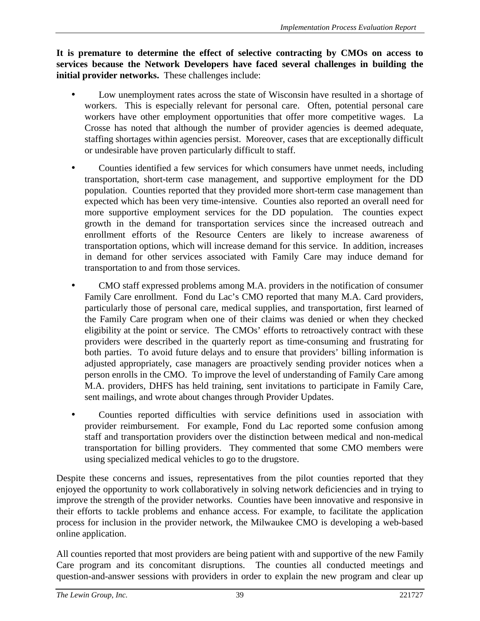**It is premature to determine the effect of selective contracting by CMOs on access to services because the Network Developers have faced several challenges in building the initial provider networks.** These challenges include:

- Low unemployment rates across the state of Wisconsin have resulted in a shortage of workers. This is especially relevant for personal care. Often, potential personal care workers have other employment opportunities that offer more competitive wages. La Crosse has noted that although the number of provider agencies is deemed adequate, staffing shortages within agencies persist. Moreover, cases that are exceptionally difficult or undesirable have proven particularly difficult to staff.
- Counties identified a few services for which consumers have unmet needs, including transportation, short-term case management, and supportive employment for the DD population. Counties reported that they provided more short-term case management than expected which has been very time-intensive. Counties also reported an overall need for more supportive employment services for the DD population. The counties expect growth in the demand for transportation services since the increased outreach and enrollment efforts of the Resource Centers are likely to increase awareness of transportation options, which will increase demand for this service. In addition, increases in demand for other services associated with Family Care may induce demand for transportation to and from those services.
- CMO staff expressed problems among M.A. providers in the notification of consumer Family Care enrollment. Fond du Lac's CMO reported that many M.A. Card providers, particularly those of personal care, medical supplies, and transportation, first learned of the Family Care program when one of their claims was denied or when they checked eligibility at the point or service. The CMOs' efforts to retroactively contract with these providers were described in the quarterly report as time-consuming and frustrating for both parties. To avoid future delays and to ensure that providers' billing information is adjusted appropriately, case managers are proactively sending provider notices when a person enrolls in the CMO. To improve the level of understanding of Family Care among M.A. providers, DHFS has held training, sent invitations to participate in Family Care, sent mailings, and wrote about changes through Provider Updates.
- Counties reported difficulties with service definitions used in association with provider reimbursement. For example, Fond du Lac reported some confusion among staff and transportation providers over the distinction between medical and non-medical transportation for billing providers. They commented that some CMO members were using specialized medical vehicles to go to the drugstore.

Despite these concerns and issues, representatives from the pilot counties reported that they enjoyed the opportunity to work collaboratively in solving network deficiencies and in trying to improve the strength of the provider networks. Counties have been innovative and responsive in their efforts to tackle problems and enhance access. For example, to facilitate the application process for inclusion in the provider network, the Milwaukee CMO is developing a web-based online application.

All counties reported that most providers are being patient with and supportive of the new Family Care program and its concomitant disruptions. The counties all conducted meetings and question-and-answer sessions with providers in order to explain the new program and clear up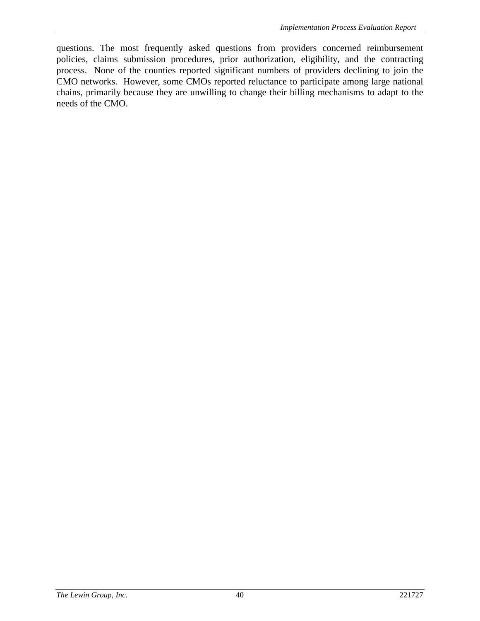questions. The most frequently asked questions from providers concerned reimbursement policies, claims submission procedures, prior authorization, eligibility, and the contracting process. None of the counties reported significant numbers of providers declining to join the CMO networks. However, some CMOs reported reluctance to participate among large national chains, primarily because they are unwilling to change their billing mechanisms to adapt to the needs of the CMO.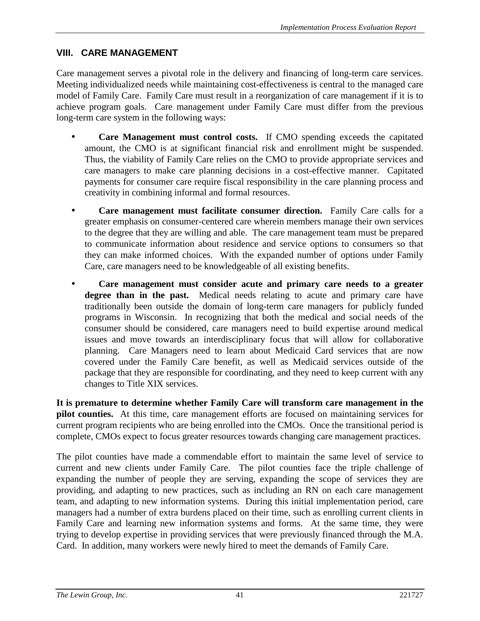## **VIII. CARE MANAGEMENT**

Care management serves a pivotal role in the delivery and financing of long-term care services. Meeting individualized needs while maintaining cost-effectiveness is central to the managed care model of Family Care. Family Care must result in a reorganization of care management if it is to achieve program goals. Care management under Family Care must differ from the previous long-term care system in the following ways:

- **Care Management must control costs.** If CMO spending exceeds the capitated amount, the CMO is at significant financial risk and enrollment might be suspended. Thus, the viability of Family Care relies on the CMO to provide appropriate services and care managers to make care planning decisions in a cost-effective manner. Capitated payments for consumer care require fiscal responsibility in the care planning process and creativity in combining informal and formal resources.
- **Care management must facilitate consumer direction.** Family Care calls for a greater emphasis on consumer-centered care wherein members manage their own services to the degree that they are willing and able. The care management team must be prepared to communicate information about residence and service options to consumers so that they can make informed choices. With the expanded number of options under Family Care, care managers need to be knowledgeable of all existing benefits.
- **Care management must consider acute and primary care needs to a greater degree than in the past.** Medical needs relating to acute and primary care have traditionally been outside the domain of long-term care managers for publicly funded programs in Wisconsin. In recognizing that both the medical and social needs of the consumer should be considered, care managers need to build expertise around medical issues and move towards an interdisciplinary focus that will allow for collaborative planning. Care Managers need to learn about Medicaid Card services that are now covered under the Family Care benefit, as well as Medicaid services outside of the package that they are responsible for coordinating, and they need to keep current with any changes to Title XIX services.

**It is premature to determine whether Family Care will transform care management in the pilot counties.** At this time, care management efforts are focused on maintaining services for current program recipients who are being enrolled into the CMOs. Once the transitional period is complete, CMOs expect to focus greater resources towards changing care management practices.

The pilot counties have made a commendable effort to maintain the same level of service to current and new clients under Family Care. The pilot counties face the triple challenge of expanding the number of people they are serving, expanding the scope of services they are providing, and adapting to new practices, such as including an RN on each care management team, and adapting to new information systems. During this initial implementation period, care managers had a number of extra burdens placed on their time, such as enrolling current clients in Family Care and learning new information systems and forms. At the same time, they were trying to develop expertise in providing services that were previously financed through the M.A. Card. In addition, many workers were newly hired to meet the demands of Family Care.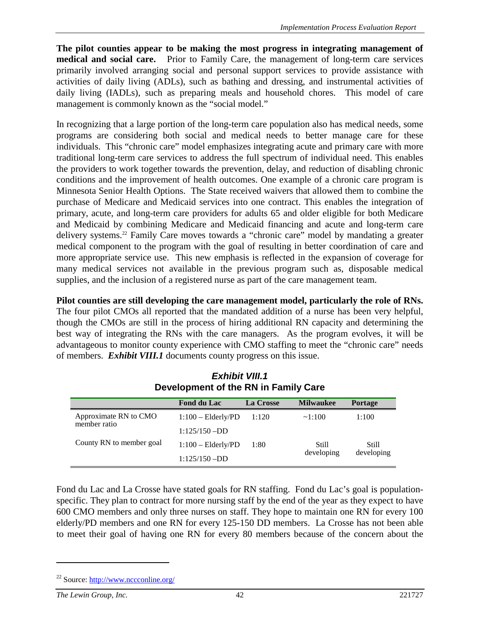**The pilot counties appear to be making the most progress in integrating management of medical and social care.** Prior to Family Care, the management of long-term care services primarily involved arranging social and personal support services to provide assistance with activities of daily living (ADLs), such as bathing and dressing, and instrumental activities of daily living (IADLs), such as preparing meals and household chores. This model of care management is commonly known as the "social model."

In recognizing that a large portion of the long-term care population also has medical needs, some programs are considering both social and medical needs to better manage care for these individuals. This "chronic care" model emphasizes integrating acute and primary care with more traditional long-term care services to address the full spectrum of individual need. This enables the providers to work together towards the prevention, delay, and reduction of disabling chronic conditions and the improvement of health outcomes. One example of a chronic care program is Minnesota Senior Health Options. The State received waivers that allowed them to combine the purchase of Medicare and Medicaid services into one contract. This enables the integration of primary, acute, and long-term care providers for adults 65 and older eligible for both Medicare and Medicaid by combining Medicare and Medicaid financing and acute and long-term care delivery systems.22 Family Care moves towards a "chronic care" model by mandating a greater medical component to the program with the goal of resulting in better coordination of care and more appropriate service use. This new emphasis is reflected in the expansion of coverage for many medical services not available in the previous program such as, disposable medical supplies, and the inclusion of a registered nurse as part of the care management team.

**Pilot counties are still developing the care management model, particularly the role of RNs.** The four pilot CMOs all reported that the mandated addition of a nurse has been very helpful, though the CMOs are still in the process of hiring additional RN capacity and determining the best way of integrating the RNs with the care managers. As the program evolves, it will be advantageous to monitor county experience with CMO staffing to meet the "chronic care" needs of members. *Exhibit VIII.1* documents county progress on this issue.

|                                       | <b>Fond du Lac</b>   | La Crosse | <b>Milwaukee</b> | <b>Portage</b> |  |
|---------------------------------------|----------------------|-----------|------------------|----------------|--|
| Approximate RN to CMO<br>member ratio | $1:100$ - Elderly/PD | 1:120     | $\sim 1:100$     | 1:100          |  |
|                                       | $1:125/150 - DD$     |           |                  |                |  |
| County RN to member goal              | $1:100$ - Elderly/PD | 1:80      | Still            | <b>Still</b>   |  |
|                                       | $1:125/150 - DD$     |           | developing       | developing     |  |

*Exhibit VIII.1* **Development of the RN in Family Care**

Fond du Lac and La Crosse have stated goals for RN staffing. Fond du Lac's goal is populationspecific. They plan to contract for more nursing staff by the end of the year as they expect to have 600 CMO members and only three nurses on staff. They hope to maintain one RN for every 100 elderly/PD members and one RN for every 125-150 DD members. La Crosse has not been able to meet their goal of having one RN for every 80 members because of the concern about the

<sup>22</sup> Source: http://www.nccconline.org/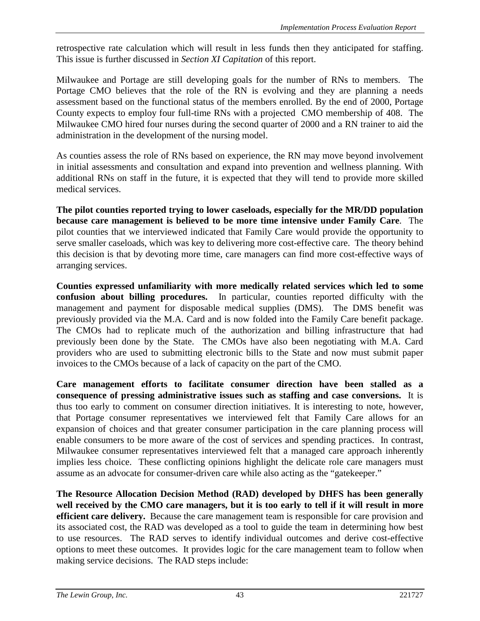retrospective rate calculation which will result in less funds then they anticipated for staffing. This issue is further discussed in *Section XI Capitation* of this report.

Milwaukee and Portage are still developing goals for the number of RNs to members. The Portage CMO believes that the role of the RN is evolving and they are planning a needs assessment based on the functional status of the members enrolled. By the end of 2000, Portage County expects to employ four full-time RNs with a projected CMO membership of 408. The Milwaukee CMO hired four nurses during the second quarter of 2000 and a RN trainer to aid the administration in the development of the nursing model.

As counties assess the role of RNs based on experience, the RN may move beyond involvement in initial assessments and consultation and expand into prevention and wellness planning. With additional RNs on staff in the future, it is expected that they will tend to provide more skilled medical services.

**The pilot counties reported trying to lower caseloads, especially for the MR/DD population because care management is believed to be more time intensive under Family Care**. The pilot counties that we interviewed indicated that Family Care would provide the opportunity to serve smaller caseloads, which was key to delivering more cost-effective care. The theory behind this decision is that by devoting more time, care managers can find more cost-effective ways of arranging services.

**Counties expressed unfamiliarity with more medically related services which led to some confusion about billing procedures.** In particular, counties reported difficulty with the management and payment for disposable medical supplies (DMS). The DMS benefit was previously provided via the M.A. Card and is now folded into the Family Care benefit package. The CMOs had to replicate much of the authorization and billing infrastructure that had previously been done by the State. The CMOs have also been negotiating with M.A. Card providers who are used to submitting electronic bills to the State and now must submit paper invoices to the CMOs because of a lack of capacity on the part of the CMO.

**Care management efforts to facilitate consumer direction have been stalled as a consequence of pressing administrative issues such as staffing and case conversions.** It is thus too early to comment on consumer direction initiatives. It is interesting to note, however, that Portage consumer representatives we interviewed felt that Family Care allows for an expansion of choices and that greater consumer participation in the care planning process will enable consumers to be more aware of the cost of services and spending practices. In contrast, Milwaukee consumer representatives interviewed felt that a managed care approach inherently implies less choice. These conflicting opinions highlight the delicate role care managers must assume as an advocate for consumer-driven care while also acting as the "gatekeeper."

**The Resource Allocation Decision Method (RAD) developed by DHFS has been generally well received by the CMO care managers, but it is too early to tell if it will result in more efficient care delivery.** Because the care management team is responsible for care provision and its associated cost, the RAD was developed as a tool to guide the team in determining how best to use resources. The RAD serves to identify individual outcomes and derive cost-effective options to meet these outcomes. It provides logic for the care management team to follow when making service decisions. The RAD steps include: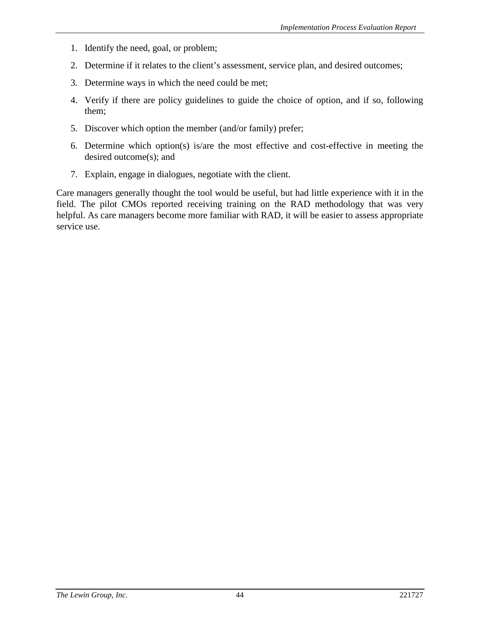- 1. Identify the need, goal, or problem;
- 2. Determine if it relates to the client's assessment, service plan, and desired outcomes;
- 3. Determine ways in which the need could be met;
- 4. Verify if there are policy guidelines to guide the choice of option, and if so, following them;
- 5. Discover which option the member (and/or family) prefer;
- 6. Determine which option(s) is/are the most effective and cost-effective in meeting the desired outcome(s); and
- 7. Explain, engage in dialogues, negotiate with the client.

Care managers generally thought the tool would be useful, but had little experience with it in the field. The pilot CMOs reported receiving training on the RAD methodology that was very helpful. As care managers become more familiar with RAD, it will be easier to assess appropriate service use.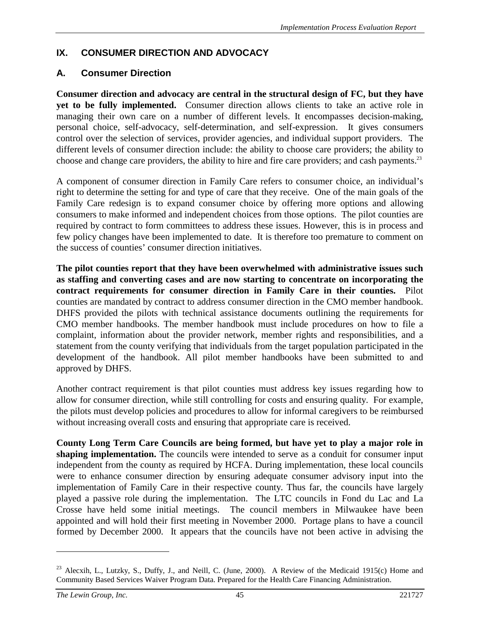## **IX. CONSUMER DIRECTION AND ADVOCACY**

## **A. Consumer Direction**

**Consumer direction and advocacy are central in the structural design of FC, but they have yet to be fully implemented.** Consumer direction allows clients to take an active role in managing their own care on a number of different levels. It encompasses decision-making, personal choice, self-advocacy, self-determination, and self-expression. It gives consumers control over the selection of services, provider agencies, and individual support providers. The different levels of consumer direction include: the ability to choose care providers; the ability to choose and change care providers, the ability to hire and fire care providers; and cash payments.<sup>23</sup>

A component of consumer direction in Family Care refers to consumer choice, an individual's right to determine the setting for and type of care that they receive. One of the main goals of the Family Care redesign is to expand consumer choice by offering more options and allowing consumers to make informed and independent choices from those options. The pilot counties are required by contract to form committees to address these issues. However, this is in process and few policy changes have been implemented to date. It is therefore too premature to comment on the success of counties' consumer direction initiatives.

**The pilot counties report that they have been overwhelmed with administrative issues such as staffing and converting cases and are now starting to concentrate on incorporating the contract requirements for consumer direction in Family Care in their counties.**Pilot counties are mandated by contract to address consumer direction in the CMO member handbook. DHFS provided the pilots with technical assistance documents outlining the requirements for CMO member handbooks. The member handbook must include procedures on how to file a complaint, information about the provider network, member rights and responsibilities, and a statement from the county verifying that individuals from the target population participated in the development of the handbook. All pilot member handbooks have been submitted to and approved by DHFS.

Another contract requirement is that pilot counties must address key issues regarding how to allow for consumer direction, while still controlling for costs and ensuring quality. For example, the pilots must develop policies and procedures to allow for informal caregivers to be reimbursed without increasing overall costs and ensuring that appropriate care is received.

**County Long Term Care Councils are being formed, but have yet to play a major role in shaping implementation.** The councils were intended to serve as a conduit for consumer input independent from the county as required by HCFA. During implementation, these local councils were to enhance consumer direction by ensuring adequate consumer advisory input into the implementation of Family Care in their respective county. Thus far, the councils have largely played a passive role during the implementation. The LTC councils in Fond du Lac and La Crosse have held some initial meetings. The council members in Milwaukee have been appointed and will hold their first meeting in November 2000. Portage plans to have a council formed by December 2000. It appears that the councils have not been active in advising the

<sup>&</sup>lt;sup>23</sup> Alecxih, L., Lutzky, S., Duffy, J., and Neill, C. (June, 2000). A Review of the Medicaid 1915(c) Home and Community Based Services Waiver Program Data. Prepared for the Health Care Financing Administration.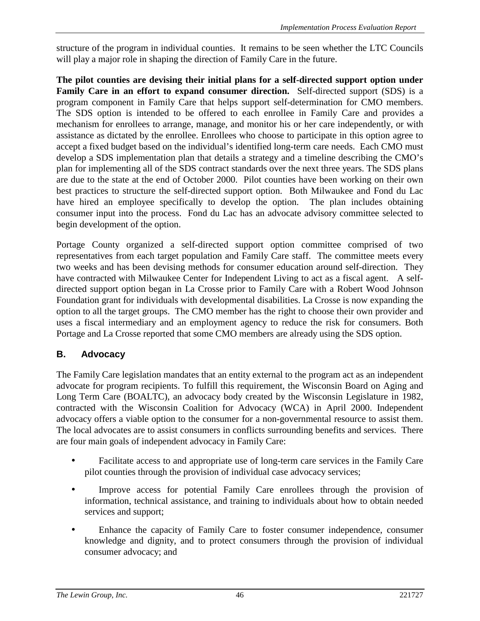structure of the program in individual counties. It remains to be seen whether the LTC Councils will play a major role in shaping the direction of Family Care in the future.

**The pilot counties are devising their initial plans for a self-directed support option under Family Care in an effort to expand consumer direction.** Self-directed support (SDS) is a program component in Family Care that helps support self-determination for CMO members. The SDS option is intended to be offered to each enrollee in Family Care and provides a mechanism for enrollees to arrange, manage, and monitor his or her care independently, or with assistance as dictated by the enrollee. Enrollees who choose to participate in this option agree to accept a fixed budget based on the individual's identified long-term care needs. Each CMO must develop a SDS implementation plan that details a strategy and a timeline describing the CMO's plan for implementing all of the SDS contract standards over the next three years. The SDS plans are due to the state at the end of October 2000. Pilot counties have been working on their own best practices to structure the self-directed support option. Both Milwaukee and Fond du Lac have hired an employee specifically to develop the option. The plan includes obtaining consumer input into the process. Fond du Lac has an advocate advisory committee selected to begin development of the option.

Portage County organized a self-directed support option committee comprised of two representatives from each target population and Family Care staff. The committee meets every two weeks and has been devising methods for consumer education around self-direction. They have contracted with Milwaukee Center for Independent Living to act as a fiscal agent. A selfdirected support option began in La Crosse prior to Family Care with a Robert Wood Johnson Foundation grant for individuals with developmental disabilities. La Crosse is now expanding the option to all the target groups. The CMO member has the right to choose their own provider and uses a fiscal intermediary and an employment agency to reduce the risk for consumers. Both Portage and La Crosse reported that some CMO members are already using the SDS option.

# **B. Advocacy**

The Family Care legislation mandates that an entity external to the program act as an independent advocate for program recipients. To fulfill this requirement, the Wisconsin Board on Aging and Long Term Care (BOALTC), an advocacy body created by the Wisconsin Legislature in 1982, contracted with the Wisconsin Coalition for Advocacy (WCA) in April 2000. Independent advocacy offers a viable option to the consumer for a non-governmental resource to assist them. The local advocates are to assist consumers in conflicts surrounding benefits and services. There are four main goals of independent advocacy in Family Care:

- Facilitate access to and appropriate use of long-term care services in the Family Care pilot counties through the provision of individual case advocacy services;
- Improve access for potential Family Care enrollees through the provision of information, technical assistance, and training to individuals about how to obtain needed services and support;
- Enhance the capacity of Family Care to foster consumer independence, consumer knowledge and dignity, and to protect consumers through the provision of individual consumer advocacy; and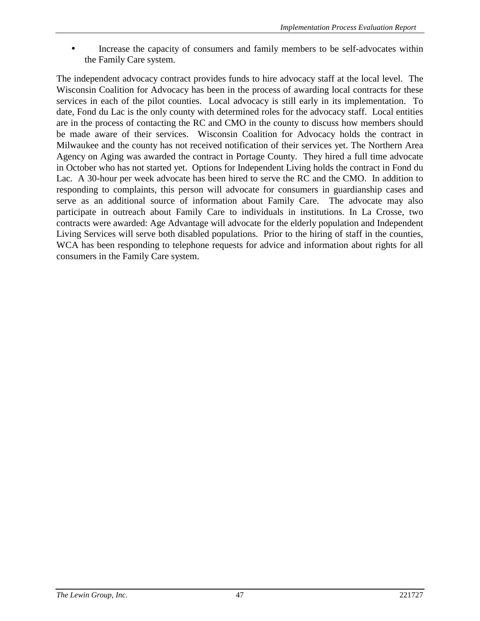Increase the capacity of consumers and family members to be self-advocates within the Family Care system.

The independent advocacy contract provides funds to hire advocacy staff at the local level. The Wisconsin Coalition for Advocacy has been in the process of awarding local contracts for these services in each of the pilot counties. Local advocacy is still early in its implementation. To date, Fond du Lac is the only county with determined roles for the advocacy staff. Local entities are in the process of contacting the RC and CMO in the county to discuss how members should be made aware of their services. Wisconsin Coalition for Advocacy holds the contract in Milwaukee and the county has not received notification of their services yet. The Northern Area Agency on Aging was awarded the contract in Portage County. They hired a full time advocate in October who has not started yet. Options for Independent Living holds the contract in Fond du Lac. A 30-hour per week advocate has been hired to serve the RC and the CMO. In addition to responding to complaints, this person will advocate for consumers in guardianship cases and serve as an additional source of information about Family Care. The advocate may also participate in outreach about Family Care to individuals in institutions. In La Crosse, two contracts were awarded: Age Advantage will advocate for the elderly population and Independent Living Services will serve both disabled populations. Prior to the hiring of staff in the counties, WCA has been responding to telephone requests for advice and information about rights for all consumers in the Family Care system.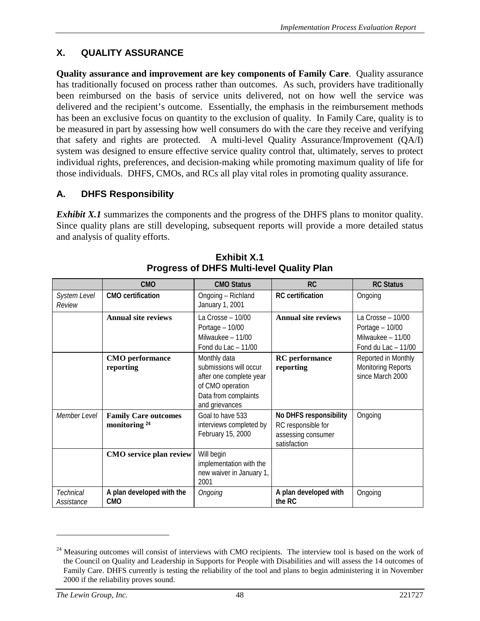# **X. QUALITY ASSURANCE**

**Quality assurance and improvement are key components of Family Care**. Quality assurance has traditionally focused on process rather than outcomes. As such, providers have traditionally been reimbursed on the basis of service units delivered, not on how well the service was delivered and the recipient's outcome. Essentially, the emphasis in the reimbursement methods has been an exclusive focus on quantity to the exclusion of quality. In Family Care, quality is to be measured in part by assessing how well consumers do with the care they receive and verifying that safety and rights are protected. A multi-level Quality Assurance/Improvement (QA/I) system was designed to ensure effective service quality control that, ultimately, serves to protect individual rights, preferences, and decision-making while promoting maximum quality of life for those individuals. DHFS, CMOs, and RCs all play vital roles in promoting quality assurance.

# **A. DHFS Responsibility**

*Exhibit X.1* summarizes the components and the progress of the DHFS plans to monitor quality. Since quality plans are still developing, subsequent reports will provide a more detailed status and analysis of quality efforts.

|                         | <b>CMO</b>                                              | <b>CMO Status</b>                                                                                                               | <b>RC</b>                                                                                 | <b>RC Status</b>                                                                   |
|-------------------------|---------------------------------------------------------|---------------------------------------------------------------------------------------------------------------------------------|-------------------------------------------------------------------------------------------|------------------------------------------------------------------------------------|
| System Level<br>Review  | <b>CMO</b> certification                                | Ongoing - Richland<br>January 1, 2001                                                                                           | <b>RC</b> certification                                                                   | Ongoing                                                                            |
|                         | <b>Annual site reviews</b>                              | La Crosse - 10/00<br>Portage $-10/00$<br>Milwaukee - 11/00<br>Fond du Lac $-11/00$                                              | <b>Annual site reviews</b>                                                                | La Crosse - 10/00<br>Portage $-10/00$<br>Milwaukee - 11/00<br>Fond du Lac $-11/00$ |
|                         | <b>CMO</b> performance<br>reporting                     | Monthly data<br>submissions will occur<br>after one complete year<br>of CMO operation<br>Data from complaints<br>and grievances | <b>RC</b> performance<br>reporting                                                        | Reported in Monthly<br><b>Monitoring Reports</b><br>since March 2000               |
| Member Level            | <b>Family Care outcomes</b><br>monitoring <sup>24</sup> | Goal to have 533<br>interviews completed by<br>February 15, 2000                                                                | <b>No DHFS responsibility</b><br>RC responsible for<br>assessing consumer<br>satisfaction | Ongoing                                                                            |
|                         | CMO service plan review                                 | Will begin<br>implementation with the<br>new waiver in January 1,<br>2001                                                       |                                                                                           |                                                                                    |
| Technical<br>Assistance | A plan developed with the<br><b>CMO</b>                 | Ongoing                                                                                                                         | A plan developed with<br>the RC                                                           | Ongoing                                                                            |

**Exhibit X.1 Progress of DHFS Multi-level Quality Plan**

<sup>&</sup>lt;sup>24</sup> Measuring outcomes will consist of interviews with CMO recipients. The interview tool is based on the work of the Council on Quality and Leadership in Supports for People with Disabilities and will assess the 14 outcomes of Family Care. DHFS currently is testing the reliability of the tool and plans to begin administering it in November 2000 if the reliability proves sound.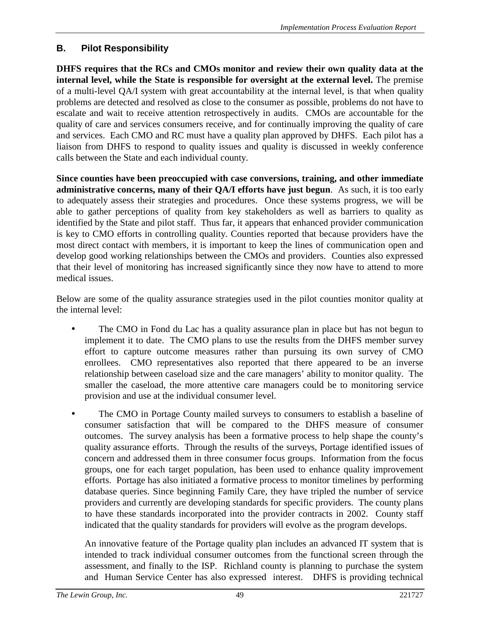# **B. Pilot Responsibility**

**DHFS requires that the RCs and CMOs monitor and review their own quality data at the internal level, while the State is responsible for oversight at the external level.** The premise of a multi-level QA/I system with great accountability at the internal level, is that when quality problems are detected and resolved as close to the consumer as possible, problems do not have to escalate and wait to receive attention retrospectively in audits. CMOs are accountable for the quality of care and services consumers receive, and for continually improving the quality of care and services. Each CMO and RC must have a quality plan approved by DHFS. Each pilot has a liaison from DHFS to respond to quality issues and quality is discussed in weekly conference calls between the State and each individual county.

**Since counties have been preoccupied with case conversions, training, and other immediate administrative concerns, many of their QA/I efforts have just begun**. As such, it is too early to adequately assess their strategies and procedures. Once these systems progress, we will be able to gather perceptions of quality from key stakeholders as well as barriers to quality as identified by the State and pilot staff. Thus far, it appears that enhanced provider communication is key to CMO efforts in controlling quality. Counties reported that because providers have the most direct contact with members, it is important to keep the lines of communication open and develop good working relationships between the CMOs and providers. Counties also expressed that their level of monitoring has increased significantly since they now have to attend to more medical issues.

Below are some of the quality assurance strategies used in the pilot counties monitor quality at the internal level:

- The CMO in Fond du Lac has a quality assurance plan in place but has not begun to implement it to date. The CMO plans to use the results from the DHFS member survey effort to capture outcome measures rather than pursuing its own survey of CMO enrollees. CMO representatives also reported that there appeared to be an inverse relationship between caseload size and the care managers' ability to monitor quality. The smaller the caseload, the more attentive care managers could be to monitoring service provision and use at the individual consumer level.
- The CMO in Portage County mailed surveys to consumers to establish a baseline of consumer satisfaction that will be compared to the DHFS measure of consumer outcomes. The survey analysis has been a formative process to help shape the county's quality assurance efforts. Through the results of the surveys, Portage identified issues of concern and addressed them in three consumer focus groups. Information from the focus groups, one for each target population, has been used to enhance quality improvement efforts. Portage has also initiated a formative process to monitor timelines by performing database queries. Since beginning Family Care, they have tripled the number of service providers and currently are developing standards for specific providers. The county plans to have these standards incorporated into the provider contracts in 2002. County staff indicated that the quality standards for providers will evolve as the program develops.

An innovative feature of the Portage quality plan includes an advanced IT system that is intended to track individual consumer outcomes from the functional screen through the assessment, and finally to the ISP. Richland county is planning to purchase the system and Human Service Center has also expressed interest. DHFS is providing technical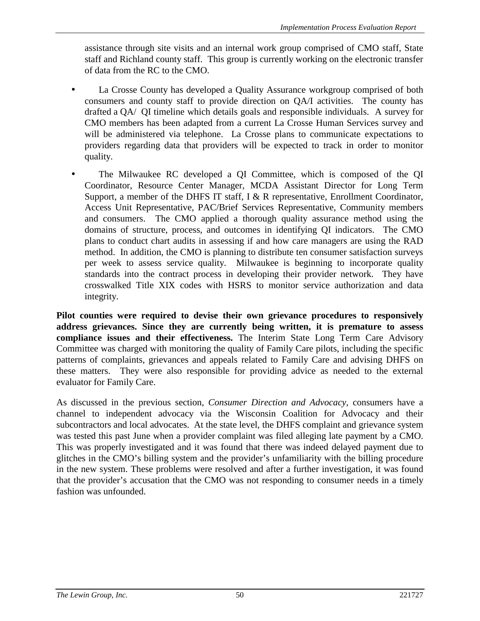assistance through site visits and an internal work group comprised of CMO staff, State staff and Richland county staff. This group is currently working on the electronic transfer of data from the RC to the CMO.

- La Crosse County has developed a Quality Assurance workgroup comprised of both consumers and county staff to provide direction on QA/I activities. The county has drafted a QA/ QI timeline which details goals and responsible individuals. A survey for CMO members has been adapted from a current La Crosse Human Services survey and will be administered via telephone. La Crosse plans to communicate expectations to providers regarding data that providers will be expected to track in order to monitor quality.
- The Milwaukee RC developed a QI Committee, which is composed of the QI Coordinator, Resource Center Manager, MCDA Assistant Director for Long Term Support, a member of the DHFS IT staff, I & R representative, Enrollment Coordinator, Access Unit Representative, PAC/Brief Services Representative, Community members and consumers. The CMO applied a thorough quality assurance method using the domains of structure, process, and outcomes in identifying QI indicators. The CMO plans to conduct chart audits in assessing if and how care managers are using the RAD method. In addition, the CMO is planning to distribute ten consumer satisfaction surveys per week to assess service quality. Milwaukee is beginning to incorporate quality standards into the contract process in developing their provider network. They have crosswalked Title XIX codes with HSRS to monitor service authorization and data integrity.

**Pilot counties were required to devise their own grievance procedures to responsively address grievances. Since they are currently being written, it is premature to assess compliance issues and their effectiveness.** The Interim State Long Term Care Advisory Committee was charged with monitoring the quality of Family Care pilots, including the specific patterns of complaints, grievances and appeals related to Family Care and advising DHFS on these matters. They were also responsible for providing advice as needed to the external evaluator for Family Care.

As discussed in the previous section, *Consumer Direction and Advocacy*, consumers have a channel to independent advocacy via the Wisconsin Coalition for Advocacy and their subcontractors and local advocates. At the state level, the DHFS complaint and grievance system was tested this past June when a provider complaint was filed alleging late payment by a CMO. This was properly investigated and it was found that there was indeed delayed payment due to glitches in the CMO's billing system and the provider's unfamiliarity with the billing procedure in the new system. These problems were resolved and after a further investigation, it was found that the provider's accusation that the CMO was not responding to consumer needs in a timely fashion was unfounded.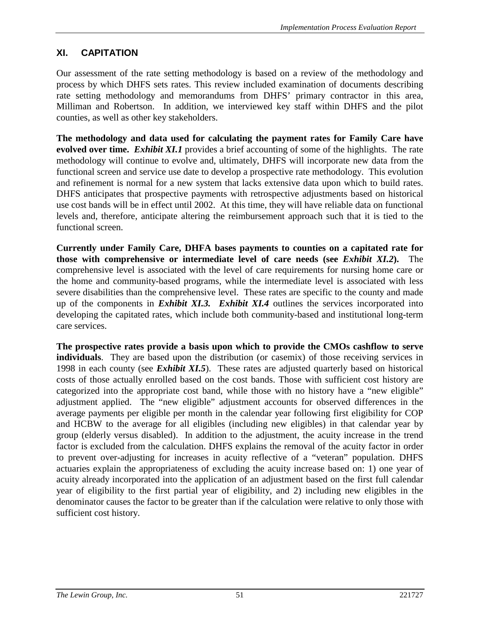## **XI. CAPITATION**

Our assessment of the rate setting methodology is based on a review of the methodology and process by which DHFS sets rates. This review included examination of documents describing rate setting methodology and memorandums from DHFS' primary contractor in this area, Milliman and Robertson. In addition, we interviewed key staff within DHFS and the pilot counties, as well as other key stakeholders.

**The methodology and data used for calculating the payment rates for Family Care have evolved over time.** *Exhibit XI.1* provides a brief accounting of some of the highlights. The rate methodology will continue to evolve and, ultimately, DHFS will incorporate new data from the functional screen and service use date to develop a prospective rate methodology. This evolution and refinement is normal for a new system that lacks extensive data upon which to build rates. DHFS anticipates that prospective payments with retrospective adjustments based on historical use cost bands will be in effect until 2002. At this time, they will have reliable data on functional levels and, therefore, anticipate altering the reimbursement approach such that it is tied to the functional screen.

**Currently under Family Care, DHFA bases payments to counties on a capitated rate for those with comprehensive or intermediate level of care needs (see** *Exhibit XI.2***).** The comprehensive level is associated with the level of care requirements for nursing home care or the home and community-based programs, while the intermediate level is associated with less severe disabilities than the comprehensive level. These rates are specific to the county and made up of the components in *Exhibit XI.3. Exhibit XI.4* outlines the services incorporated into developing the capitated rates, which include both community-based and institutional long-term care services.

**The prospective rates provide a basis upon which to provide the CMOs cashflow to serve individuals**. They are based upon the distribution (or casemix) of those receiving services in 1998 in each county (see *Exhibit XI.5*). These rates are adjusted quarterly based on historical costs of those actually enrolled based on the cost bands. Those with sufficient cost history are categorized into the appropriate cost band, while those with no history have a "new eligible" adjustment applied. The "new eligible" adjustment accounts for observed differences in the average payments per eligible per month in the calendar year following first eligibility for COP and HCBW to the average for all eligibles (including new eligibles) in that calendar year by group (elderly versus disabled). In addition to the adjustment, the acuity increase in the trend factor is excluded from the calculation. DHFS explains the removal of the acuity factor in order to prevent over-adjusting for increases in acuity reflective of a "veteran" population. DHFS actuaries explain the appropriateness of excluding the acuity increase based on: 1) one year of acuity already incorporated into the application of an adjustment based on the first full calendar year of eligibility to the first partial year of eligibility, and 2) including new eligibles in the denominator causes the factor to be greater than if the calculation were relative to only those with sufficient cost history.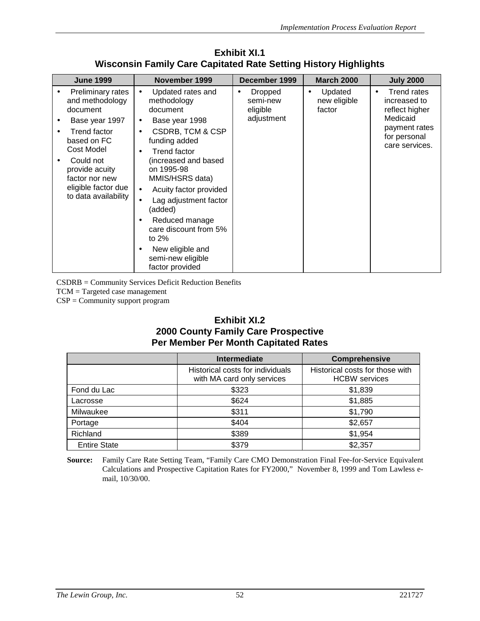| <b>June 1999</b>                                                                                                                                                                                                | November 1999                                                                                                                                                                                                                                                                                                                                                                                                                            | December 1999                                              | <b>March 2000</b>                              | <b>July 2000</b>                                                                                                                 |
|-----------------------------------------------------------------------------------------------------------------------------------------------------------------------------------------------------------------|------------------------------------------------------------------------------------------------------------------------------------------------------------------------------------------------------------------------------------------------------------------------------------------------------------------------------------------------------------------------------------------------------------------------------------------|------------------------------------------------------------|------------------------------------------------|----------------------------------------------------------------------------------------------------------------------------------|
| Preliminary rates<br>and methodology<br>document<br>Base year 1997<br>Trend factor<br>based on FC<br>Cost Model<br>Could not<br>provide acuity<br>factor nor new<br>eligible factor due<br>to data availability | Updated rates and<br>$\bullet$<br>methodology<br>document<br>Base year 1998<br>٠<br><b>CSDRB, TCM &amp; CSP</b><br>$\bullet$<br>funding added<br><b>Trend factor</b><br>$\bullet$<br>(increased and based<br>on 1995-98<br>MMIS/HSRS data)<br>Acuity factor provided<br>$\bullet$<br>Lag adjustment factor<br>(added)<br>Reduced manage<br>care discount from 5%<br>to $2\%$<br>New eligible and<br>semi-new eligible<br>factor provided | Dropped<br>$\bullet$<br>semi-new<br>eligible<br>adjustment | Updated<br>$\bullet$<br>new eligible<br>factor | <b>Trend rates</b><br>$\bullet$<br>increased to<br>reflect higher<br>Medicaid<br>payment rates<br>for personal<br>care services. |

**Exhibit XI.1 Wisconsin Family Care Capitated Rate Setting History Highlights**

CSDRB = Community Services Deficit Reduction Benefits

TCM = Targeted case management

CSP = Community support program

#### **Exhibit XI.2 2000 County Family Care Prospective Per Member Per Month Capitated Rates**

|                     | <b>Intermediate</b>                                            | <b>Comprehensive</b>                                    |
|---------------------|----------------------------------------------------------------|---------------------------------------------------------|
|                     | Historical costs for individuals<br>with MA card only services | Historical costs for those with<br><b>HCBW</b> services |
| Fond du Lac         | \$323                                                          | \$1,839                                                 |
| Lacrosse            | \$624                                                          | \$1,885                                                 |
| Milwaukee           | \$311                                                          | \$1,790                                                 |
| Portage             | \$404                                                          | \$2,657                                                 |
| Richland            | \$389                                                          | \$1,954                                                 |
| <b>Entire State</b> | \$379                                                          | \$2,357                                                 |

**Source:** Family Care Rate Setting Team, "Family Care CMO Demonstration Final Fee-for-Service Equivalent Calculations and Prospective Capitation Rates for FY2000," November 8, 1999 and Tom Lawless email, 10/30/00.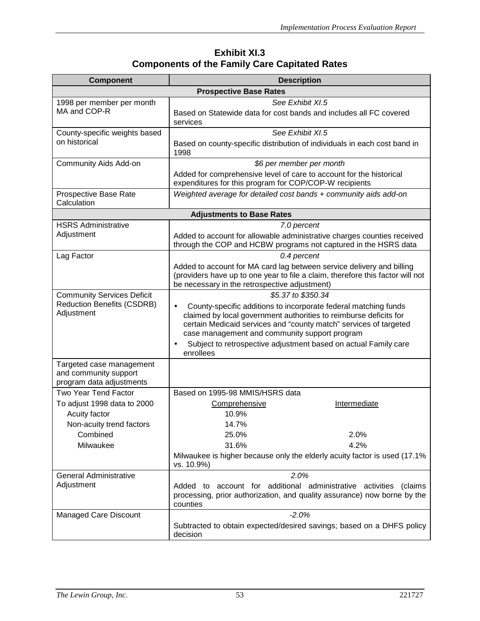## **Exhibit XI.3 Components of the Family Care Capitated Rates**

| <b>Component</b>                                                              | <b>Description</b>                                                                                                                                                                                                                                                      |
|-------------------------------------------------------------------------------|-------------------------------------------------------------------------------------------------------------------------------------------------------------------------------------------------------------------------------------------------------------------------|
|                                                                               | <b>Prospective Base Rates</b>                                                                                                                                                                                                                                           |
| 1998 per member per month                                                     | See Exhibit XI.5                                                                                                                                                                                                                                                        |
| MA and COP-R                                                                  | Based on Statewide data for cost bands and includes all FC covered<br>services                                                                                                                                                                                          |
| County-specific weights based                                                 | See Exhibit XI.5                                                                                                                                                                                                                                                        |
| on historical                                                                 | Based on county-specific distribution of individuals in each cost band in<br>1998                                                                                                                                                                                       |
| Community Aids Add-on                                                         | \$6 per member per month                                                                                                                                                                                                                                                |
|                                                                               | Added for comprehensive level of care to account for the historical<br>expenditures for this program for COP/COP-W recipients                                                                                                                                           |
| Prospective Base Rate<br>Calculation                                          | Weighted average for detailed cost bands + community aids add-on                                                                                                                                                                                                        |
|                                                                               | <b>Adjustments to Base Rates</b>                                                                                                                                                                                                                                        |
| <b>HSRS Administrative</b>                                                    | 7.0 percent                                                                                                                                                                                                                                                             |
| Adjustment                                                                    | Added to account for allowable administrative charges counties received<br>through the COP and HCBW programs not captured in the HSRS data                                                                                                                              |
| Lag Factor                                                                    | 0.4 percent                                                                                                                                                                                                                                                             |
|                                                                               | Added to account for MA card lag between service delivery and billing<br>(providers have up to one year to file a claim, therefore this factor will not<br>be necessary in the retrospective adjustment)                                                                |
| <b>Community Services Deficit</b>                                             | \$5.37 to \$350.34                                                                                                                                                                                                                                                      |
| <b>Reduction Benefits (CSDRB)</b><br>Adjustment                               | County-specific additions to incorporate federal matching funds<br>$\bullet$<br>claimed by local government authorities to reimburse deficits for<br>certain Medicaid services and "county match" services of targeted<br>case management and community support program |
|                                                                               | Subject to retrospective adjustment based on actual Family care<br>$\bullet$<br>enrollees                                                                                                                                                                               |
| Targeted case management<br>and community support<br>program data adjustments |                                                                                                                                                                                                                                                                         |
| <b>Two Year Tend Factor</b>                                                   | Based on 1995-98 MMIS/HSRS data                                                                                                                                                                                                                                         |
| To adjust 1998 data to 2000                                                   | Intermediate<br>Comprehensive                                                                                                                                                                                                                                           |
| Acuity factor                                                                 | 10.9%                                                                                                                                                                                                                                                                   |
| Non-acuity trend factors                                                      | 14.7%                                                                                                                                                                                                                                                                   |
| Combined                                                                      | 2.0%<br>25.0%                                                                                                                                                                                                                                                           |
| Milwaukee                                                                     | 31.6%<br>4.2%                                                                                                                                                                                                                                                           |
|                                                                               | Milwaukee is higher because only the elderly acuity factor is used (17.1%<br>vs. 10.9%)                                                                                                                                                                                 |
| <b>General Administrative</b>                                                 | 2.0%                                                                                                                                                                                                                                                                    |
| Adjustment                                                                    | account for additional administrative activities<br>(claims<br>Added to<br>processing, prior authorization, and quality assurance) now borne by the<br>counties                                                                                                         |
| <b>Managed Care Discount</b>                                                  | $-2.0%$                                                                                                                                                                                                                                                                 |
|                                                                               | Subtracted to obtain expected/desired savings; based on a DHFS policy<br>decision                                                                                                                                                                                       |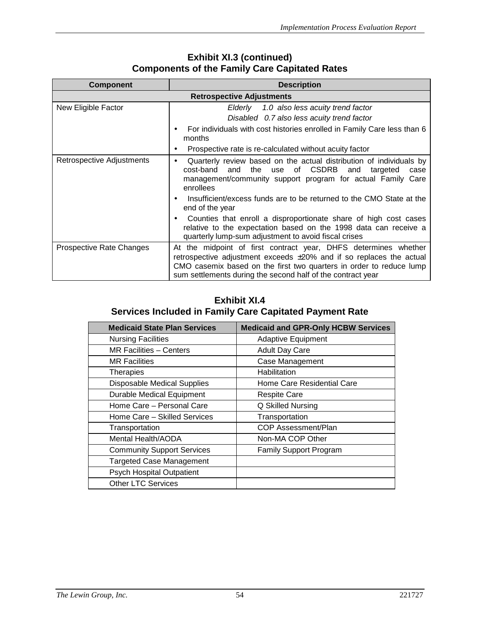| <b>Component</b>          | <b>Description</b>                                                                                                                                                                                                                                                                                                   |
|---------------------------|----------------------------------------------------------------------------------------------------------------------------------------------------------------------------------------------------------------------------------------------------------------------------------------------------------------------|
|                           | <b>Retrospective Adjustments</b>                                                                                                                                                                                                                                                                                     |
| New Eligible Factor       | Elderly 1.0 also less acuity trend factor                                                                                                                                                                                                                                                                            |
|                           | Disabled 0.7 also less acuity trend factor                                                                                                                                                                                                                                                                           |
|                           | For individuals with cost histories enrolled in Family Care less than 6<br>months                                                                                                                                                                                                                                    |
|                           | Prospective rate is re-calculated without acuity factor<br>٠                                                                                                                                                                                                                                                         |
| Retrospective Adjustments | Quarterly review based on the actual distribution of individuals by<br>$\bullet$<br>cost-band and the use of CSDRB<br>and<br>targeted<br>case<br>management/community support program for actual Family Care<br>enrollees<br>Insufficient/excess funds are to be returned to the CMO State at the<br>end of the year |
|                           | Counties that enroll a disproportionate share of high cost cases<br>relative to the expectation based on the 1998 data can receive a<br>quarterly lump-sum adjustment to avoid fiscal crises                                                                                                                         |
| Prospective Rate Changes  | At the midpoint of first contract year, DHFS determines whether<br>retrospective adjustment exceeds $\pm 20\%$ and if so replaces the actual<br>CMO casemix based on the first two quarters in order to reduce lump<br>sum settlements during the second half of the contract year                                   |

## **Exhibit XI.3 (continued) Components of the Family Care Capitated Rates**

## **Exhibit XI.4 Services Included in Family Care Capitated Payment Rate**

| <b>Medicaid State Plan Services</b> | <b>Medicaid and GPR-Only HCBW Services</b> |
|-------------------------------------|--------------------------------------------|
| <b>Nursing Facilities</b>           | <b>Adaptive Equipment</b>                  |
| MR Facilities - Centers             | <b>Adult Day Care</b>                      |
| <b>MR Facilities</b>                | Case Management                            |
| <b>Therapies</b>                    | Habilitation                               |
| <b>Disposable Medical Supplies</b>  | Home Care Residential Care                 |
| <b>Durable Medical Equipment</b>    | Respite Care                               |
| Home Care - Personal Care           | Q Skilled Nursing                          |
| Home Care - Skilled Services        | Transportation                             |
| Transportation                      | COP Assessment/Plan                        |
| <b>Mental Health/AODA</b>           | Non-MA COP Other                           |
| <b>Community Support Services</b>   | <b>Family Support Program</b>              |
| <b>Targeted Case Management</b>     |                                            |
| Psych Hospital Outpatient           |                                            |
| <b>Other LTC Services</b>           |                                            |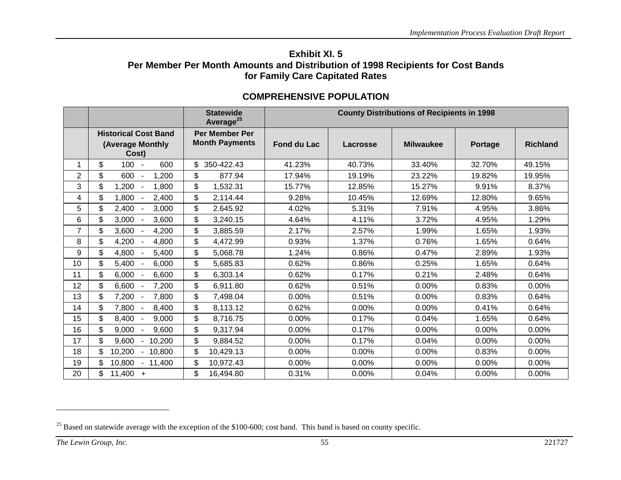### **Exhibit XI. 5Per Member Per Month Amounts and Distribution of 1998 Recipients for Cost Bands for Family Care Capitated Rates**

|                |                                                          | <b>Statewide</b><br>Average <sup>25</sup>      |                    |          | <b>County Distributions of Recipients in 1998</b> |                |                 |  |
|----------------|----------------------------------------------------------|------------------------------------------------|--------------------|----------|---------------------------------------------------|----------------|-----------------|--|
|                | <b>Historical Cost Band</b><br>(Average Monthly<br>Cost) | <b>Per Member Per</b><br><b>Month Payments</b> | <b>Fond du Lac</b> | Lacrosse | <b>Milwaukee</b>                                  | <b>Portage</b> | <b>Richland</b> |  |
| 1              | \$<br>$100 -$<br>600                                     | 350-422.43                                     | 41.23%             | 40.73%   | 33.40%                                            | 32.70%         | 49.15%          |  |
| $\overline{2}$ | \$<br>600<br>1,200                                       | \$<br>877.94                                   | 17.94%             | 19.19%   | 23.22%                                            | 19.82%         | 19.95%          |  |
| 3              | \$<br>1,200<br>1,800                                     | \$<br>1,532.31                                 | 15.77%             | 12.85%   | 15.27%                                            | 9.91%          | 8.37%           |  |
| 4              | \$<br>1,800<br>2,400                                     | \$<br>2,114.44                                 | 9.28%              | 10.45%   | 12.69%                                            | 12.80%         | 9.65%           |  |
| 5              | \$<br>2,400<br>3,000                                     | \$<br>2.645.92                                 | 4.02%              | 5.31%    | 7.91%                                             | 4.95%          | 3.86%           |  |
| 6              | \$<br>$3,000 -$<br>3,600                                 | \$<br>3,240.15                                 | 4.64%              | 4.11%    | 3.72%                                             | 4.95%          | 1.29%           |  |
| $\overline{7}$ | \$<br>3,600<br>4,200                                     | \$<br>3,885.59                                 | 2.17%              | 2.57%    | 1.99%                                             | 1.65%          | 1.93%           |  |
| 8              | \$<br>$4,200 -$<br>4,800                                 | \$<br>4,472.99                                 | 0.93%              | 1.37%    | 0.76%                                             | 1.65%          | 0.64%           |  |
| 9              | \$<br>4,800<br>5,400                                     | \$<br>5,068.78                                 | 1.24%              | 0.86%    | 0.47%                                             | 2.89%          | 1.93%           |  |
| 10             | \$<br>5,400<br>6,000                                     | \$<br>5,685.83                                 | 0.62%              | 0.86%    | 0.25%                                             | 1.65%          | 0.64%           |  |
| 11             | \$<br>6,000<br>6,600                                     | \$<br>6,303.14                                 | 0.62%              | 0.17%    | 0.21%                                             | 2.48%          | 0.64%           |  |
| 12             | \$<br>6,600<br>7,200                                     | \$<br>6,911.80                                 | 0.62%              | 0.51%    | 0.00%                                             | 0.83%          | 0.00%           |  |
| 13             | \$<br>$7,200 -$<br>7,800                                 | \$<br>7,498.04                                 | 0.00%              | 0.51%    | 0.00%                                             | 0.83%          | 0.64%           |  |
| 14             | \$<br>7,800<br>8,400                                     | \$<br>8,113.12                                 | 0.62%              | 0.00%    | 0.00%                                             | 0.41%          | 0.64%           |  |
| 15             | \$<br>8,400<br>9,000<br>$\overline{\phantom{a}}$         | \$<br>8,716.75                                 | 0.00%              | 0.17%    | 0.04%                                             | 1.65%          | 0.64%           |  |
| 16             | \$<br>9,000<br>9,600                                     | \$<br>9,317.94                                 | 0.00%              | 0.17%    | 0.00%                                             | 0.00%          | 0.00%           |  |
| 17             | \$<br>9,600<br>10,200<br>$\overline{\phantom{a}}$        | \$<br>9,884.52                                 | 0.00%              | 0.17%    | 0.04%                                             | 0.00%          | 0.00%           |  |
| 18             | \$<br>10,200<br>10,800                                   | \$<br>10,429.13                                | 0.00%              | 0.00%    | 0.00%                                             | 0.83%          | 0.00%           |  |
| 19             | \$<br>10,800<br>11,400<br>$\blacksquare$                 | \$<br>10,972.43                                | 0.00%              | $0.00\%$ | 0.00%                                             | 0.00%          | 0.00%           |  |
| 20             | \$<br>$11,400 +$                                         | \$<br>16,494.80                                | 0.31%              | 0.00%    | 0.04%                                             | 0.00%          | 0.00%           |  |

## **COMPREHENSIVE POPULATION**

<sup>&</sup>lt;sup>25</sup> Based on statewide average with the exception of the \$100-600; cost band. This band is based on county specific.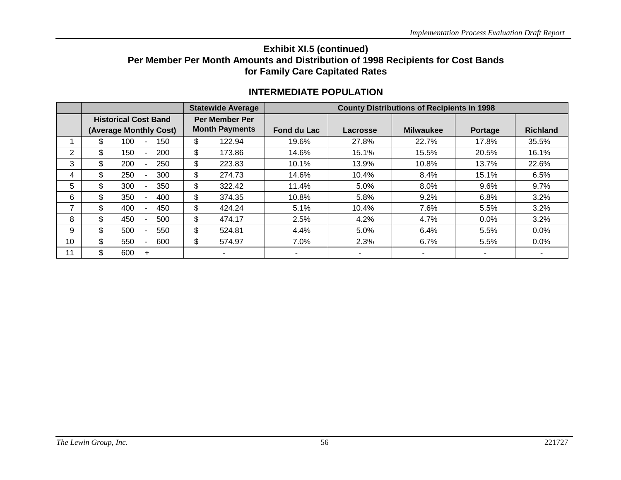### **Exhibit XI.5 (continued) Per Member Per Month Amounts and Distribution of 1998 Recipients for Cost Bands for Family Care Capitated Rates**

|                |    |                             |     |                        | <b>Statewide Average</b><br><b>County Distributions of Recipients in 1998</b> |        |             |          |                  |                          |                 |
|----------------|----|-----------------------------|-----|------------------------|-------------------------------------------------------------------------------|--------|-------------|----------|------------------|--------------------------|-----------------|
|                |    | <b>Historical Cost Band</b> |     |                        | <b>Per Member Per</b>                                                         |        |             |          |                  |                          |                 |
|                |    |                             |     | (Average Monthly Cost) | <b>Month Payments</b>                                                         |        | Fond du Lac | Lacrosse | <b>Milwaukee</b> | Portage                  | <b>Richland</b> |
|                | \$ | 100                         |     | 150                    | \$                                                                            | 122.94 | 19.6%       | 27.8%    | 22.7%            | 17.8%                    | 35.5%           |
| 2              | \$ | 150                         | Ξ.  | 200                    | \$                                                                            | 173.86 | 14.6%       | 15.1%    | 15.5%            | 20.5%                    | 16.1%           |
| 3              | \$ | 200                         |     | 250                    | \$                                                                            | 223.83 | 10.1%       | 13.9%    | 10.8%            | 13.7%                    | 22.6%           |
| 4              | \$ | 250                         |     | 300                    | \$                                                                            | 274.73 | 14.6%       | 10.4%    | 8.4%             | 15.1%                    | 6.5%            |
| 5              | \$ | 300                         |     | 350                    | \$                                                                            | 322.42 | 11.4%       | 5.0%     | 8.0%             | 9.6%                     | 9.7%            |
| 6              | \$ | 350                         |     | 400                    | \$                                                                            | 374.35 | 10.8%       | 5.8%     | 9.2%             | 6.8%                     | 3.2%            |
| $\overline{ }$ | \$ | 400                         |     | 450                    | \$                                                                            | 424.24 | 5.1%        | 10.4%    | 7.6%             | 5.5%                     | 3.2%            |
| 8              | \$ | 450                         |     | 500                    | \$                                                                            | 474.17 | 2.5%        | 4.2%     | 4.7%             | 0.0%                     | 3.2%            |
| 9              | \$ | 500                         |     | 550                    | \$                                                                            | 524.81 | 4.4%        | 5.0%     | 6.4%             | 5.5%                     | $0.0\%$         |
| 10             | \$ | 550                         |     | 600                    | \$                                                                            | 574.97 | 7.0%        | 2.3%     | 6.7%             | 5.5%                     | $0.0\%$         |
| 11             | \$ | 600                         | $+$ |                        |                                                                               | ۰      | -           | ۰        |                  | $\overline{\phantom{a}}$ |                 |

### **INTERMEDIATE POPULATION**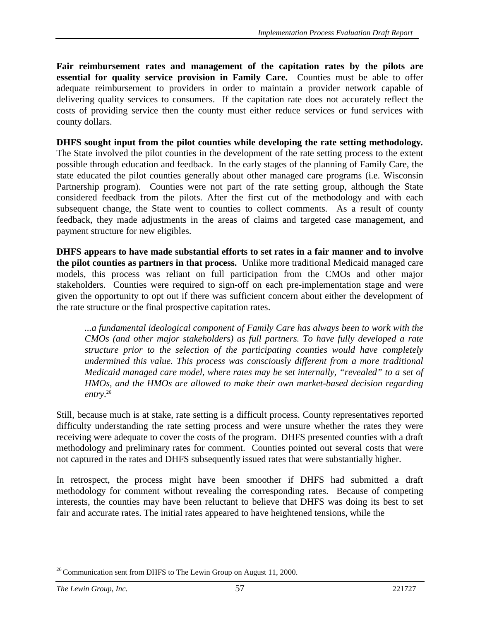**Fair reimbursement rates and management of the capitation rates by the pilots are essential for quality service provision in Family Care.** Counties must be able to offer adequate reimbursement to providers in order to maintain a provider network capable of delivering quality services to consumers. If the capitation rate does not accurately reflect the costs of providing service then the county must either reduce services or fund services with county dollars.

**DHFS sought input from the pilot counties while developing the rate setting methodology***.* The State involved the pilot counties in the development of the rate setting process to the extent possible through education and feedback. In the early stages of the planning of Family Care, the state educated the pilot counties generally about other managed care programs (i.e. Wisconsin Partnership program). Counties were not part of the rate setting group, although the State considered feedback from the pilots. After the first cut of the methodology and with each subsequent change, the State went to counties to collect comments. As a result of county feedback, they made adjustments in the areas of claims and targeted case management, and payment structure for new eligibles.

**DHFS appears to have made substantial efforts to set rates in a fair manner and to involve the pilot counties as partners in that process.** Unlike more traditional Medicaid managed care models, this process was reliant on full participation from the CMOs and other major stakeholders. Counties were required to sign-off on each pre-implementation stage and were given the opportunity to opt out if there was sufficient concern about either the development of the rate structure or the final prospective capitation rates.

*...a fundamental ideological component of Family Care has always been to work with the CMOs (and other major stakeholders) as full partners. To have fully developed a rate structure prior to the selection of the participating counties would have completely undermined this value. This process was consciously different from a more traditional Medicaid managed care model, where rates may be set internally, "revealed" to a set of HMOs, and the HMOs are allowed to make their own market-based decision regarding entry*. 26

Still, because much is at stake, rate setting is a difficult process. County representatives reported difficulty understanding the rate setting process and were unsure whether the rates they were receiving were adequate to cover the costs of the program. DHFS presented counties with a draft methodology and preliminary rates for comment. Counties pointed out several costs that were not captured in the rates and DHFS subsequently issued rates that were substantially higher.

In retrospect, the process might have been smoother if DHFS had submitted a draft methodology for comment without revealing the corresponding rates. Because of competing interests, the counties may have been reluctant to believe that DHFS was doing its best to set fair and accurate rates. The initial rates appeared to have heightened tensions, while the

 $26$  Communication sent from DHFS to The Lewin Group on August 11, 2000.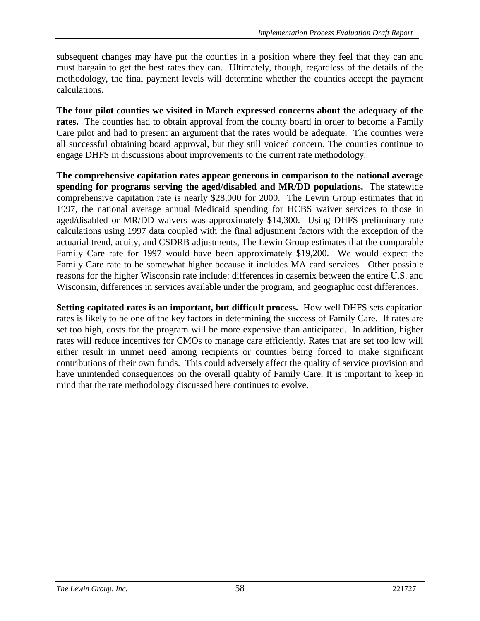subsequent changes may have put the counties in a position where they feel that they can and must bargain to get the best rates they can. Ultimately, though, regardless of the details of the methodology, the final payment levels will determine whether the counties accept the payment calculations.

**The four pilot counties we visited in March expressed concerns about the adequacy of the** rates. The counties had to obtain approval from the county board in order to become a Family Care pilot and had to present an argument that the rates would be adequate. The counties were all successful obtaining board approval, but they still voiced concern. The counties continue to engage DHFS in discussions about improvements to the current rate methodology.

**The comprehensive capitation rates appear generous in comparison to the national average spending for programs serving the aged/disabled and MR/DD populations.** The statewide comprehensive capitation rate is nearly \$28,000 for 2000. The Lewin Group estimates that in 1997, the national average annual Medicaid spending for HCBS waiver services to those in aged/disabled or MR/DD waivers was approximately \$14,300. Using DHFS preliminary rate calculations using 1997 data coupled with the final adjustment factors with the exception of the actuarial trend, acuity, and CSDRB adjustments, The Lewin Group estimates that the comparable Family Care rate for 1997 would have been approximately \$19,200. We would expect the Family Care rate to be somewhat higher because it includes MA card services. Other possible reasons for the higher Wisconsin rate include: differences in casemix between the entire U.S. and Wisconsin, differences in services available under the program, and geographic cost differences.

**Setting capitated rates is an important, but difficult process***.* How well DHFS sets capitation rates is likely to be one of the key factors in determining the success of Family Care. If rates are set too high, costs for the program will be more expensive than anticipated. In addition, higher rates will reduce incentives for CMOs to manage care efficiently. Rates that are set too low will either result in unmet need among recipients or counties being forced to make significant contributions of their own funds. This could adversely affect the quality of service provision and have unintended consequences on the overall quality of Family Care. It is important to keep in mind that the rate methodology discussed here continues to evolve.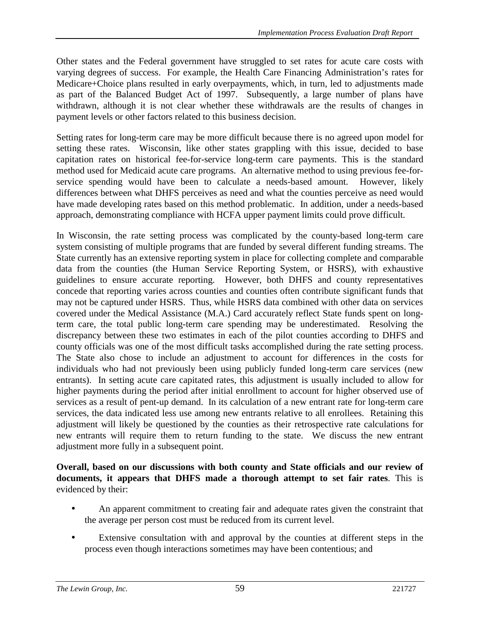Other states and the Federal government have struggled to set rates for acute care costs with varying degrees of success. For example, the Health Care Financing Administration's rates for Medicare+Choice plans resulted in early overpayments, which, in turn, led to adjustments made as part of the Balanced Budget Act of 1997. Subsequently, a large number of plans have withdrawn, although it is not clear whether these withdrawals are the results of changes in payment levels or other factors related to this business decision.

Setting rates for long-term care may be more difficult because there is no agreed upon model for setting these rates. Wisconsin, like other states grappling with this issue, decided to base capitation rates on historical fee-for-service long-term care payments. This is the standard method used for Medicaid acute care programs. An alternative method to using previous fee-forservice spending would have been to calculate a needs-based amount. However, likely differences between what DHFS perceives as need and what the counties perceive as need would have made developing rates based on this method problematic. In addition, under a needs-based approach, demonstrating compliance with HCFA upper payment limits could prove difficult.

In Wisconsin, the rate setting process was complicated by the county-based long-term care system consisting of multiple programs that are funded by several different funding streams. The State currently has an extensive reporting system in place for collecting complete and comparable data from the counties (the Human Service Reporting System, or HSRS), with exhaustive guidelines to ensure accurate reporting. However, both DHFS and county representatives concede that reporting varies across counties and counties often contribute significant funds that may not be captured under HSRS. Thus, while HSRS data combined with other data on services covered under the Medical Assistance (M.A.) Card accurately reflect State funds spent on longterm care, the total public long-term care spending may be underestimated. Resolving the discrepancy between these two estimates in each of the pilot counties according to DHFS and county officials was one of the most difficult tasks accomplished during the rate setting process. The State also chose to include an adjustment to account for differences in the costs for individuals who had not previously been using publicly funded long-term care services (new entrants). In setting acute care capitated rates, this adjustment is usually included to allow for higher payments during the period after initial enrollment to account for higher observed use of services as a result of pent-up demand. In its calculation of a new entrant rate for long-term care services, the data indicated less use among new entrants relative to all enrollees. Retaining this adjustment will likely be questioned by the counties as their retrospective rate calculations for new entrants will require them to return funding to the state. We discuss the new entrant adjustment more fully in a subsequent point.

#### **Overall, based on our discussions with both county and State officials and our review of documents, it appears that DHFS made a thorough attempt to set fair rates**. This is evidenced by their:

- An apparent commitment to creating fair and adequate rates given the constraint that the average per person cost must be reduced from its current level.
- Extensive consultation with and approval by the counties at different steps in the process even though interactions sometimes may have been contentious; and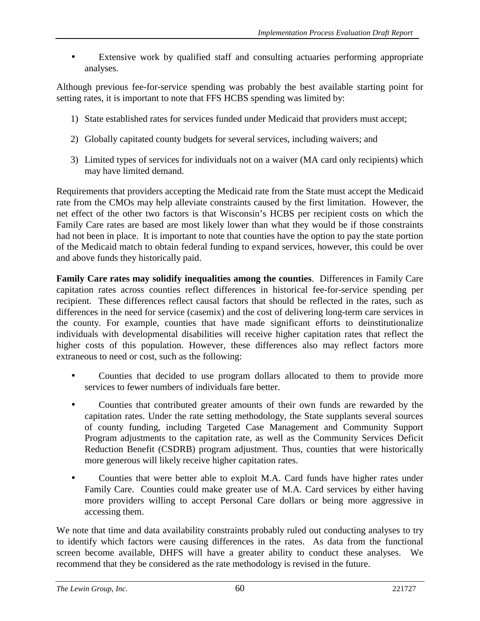Extensive work by qualified staff and consulting actuaries performing appropriate analyses.

Although previous fee-for-service spending was probably the best available starting point for setting rates, it is important to note that FFS HCBS spending was limited by:

- 1) State established rates for services funded under Medicaid that providers must accept;
- 2) Globally capitated county budgets for several services, including waivers; and
- 3) Limited types of services for individuals not on a waiver (MA card only recipients) which may have limited demand.

Requirements that providers accepting the Medicaid rate from the State must accept the Medicaid rate from the CMOs may help alleviate constraints caused by the first limitation. However, the net effect of the other two factors is that Wisconsin's HCBS per recipient costs on which the Family Care rates are based are most likely lower than what they would be if those constraints had not been in place. It is important to note that counties have the option to pay the state portion of the Medicaid match to obtain federal funding to expand services, however, this could be over and above funds they historically paid.

**Family Care rates may solidify inequalities among the counties**. Differences in Family Care capitation rates across counties reflect differences in historical fee-for-service spending per recipient. These differences reflect causal factors that should be reflected in the rates, such as differences in the need for service (casemix) and the cost of delivering long-term care services in the county. For example, counties that have made significant efforts to deinstitutionalize individuals with developmental disabilities will receive higher capitation rates that reflect the higher costs of this population. However, these differences also may reflect factors more extraneous to need or cost, such as the following:

- Counties that decided to use program dollars allocated to them to provide more services to fewer numbers of individuals fare better.
- Counties that contributed greater amounts of their own funds are rewarded by the capitation rates. Under the rate setting methodology, the State supplants several sources of county funding, including Targeted Case Management and Community Support Program adjustments to the capitation rate, as well as the Community Services Deficit Reduction Benefit (CSDRB) program adjustment. Thus, counties that were historically more generous will likely receive higher capitation rates.
- Counties that were better able to exploit M.A. Card funds have higher rates under Family Care. Counties could make greater use of M.A. Card services by either having more providers willing to accept Personal Care dollars or being more aggressive in accessing them.

We note that time and data availability constraints probably ruled out conducting analyses to try to identify which factors were causing differences in the rates. As data from the functional screen become available, DHFS will have a greater ability to conduct these analyses. We recommend that they be considered as the rate methodology is revised in the future.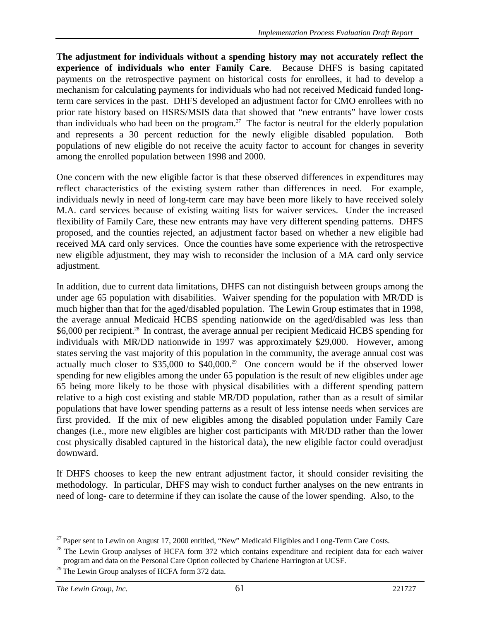**The adjustment for individuals without a spending history may not accurately reflect the experience of individuals who enter Family Care**. Because DHFS is basing capitated payments on the retrospective payment on historical costs for enrollees, it had to develop a mechanism for calculating payments for individuals who had not received Medicaid funded longterm care services in the past. DHFS developed an adjustment factor for CMO enrollees with no prior rate history based on HSRS/MSIS data that showed that "new entrants" have lower costs than individuals who had been on the program.<sup>27</sup> The factor is neutral for the elderly population and represents a 30 percent reduction for the newly eligible disabled population. Both populations of new eligible do not receive the acuity factor to account for changes in severity among the enrolled population between 1998 and 2000.

One concern with the new eligible factor is that these observed differences in expenditures may reflect characteristics of the existing system rather than differences in need. For example, individuals newly in need of long-term care may have been more likely to have received solely M.A. card services because of existing waiting lists for waiver services. Under the increased flexibility of Family Care, these new entrants may have very different spending patterns. DHFS proposed, and the counties rejected, an adjustment factor based on whether a new eligible had received MA card only services. Once the counties have some experience with the retrospective new eligible adjustment, they may wish to reconsider the inclusion of a MA card only service adjustment.

In addition, due to current data limitations, DHFS can not distinguish between groups among the under age 65 population with disabilities. Waiver spending for the population with MR/DD is much higher than that for the aged/disabled population. The Lewin Group estimates that in 1998, the average annual Medicaid HCBS spending nationwide on the aged/disabled was less than \$6,000 per recipient.<sup>28</sup> In contrast, the average annual per recipient Medicaid HCBS spending for individuals with MR/DD nationwide in 1997 was approximately \$29,000. However, among states serving the vast majority of this population in the community, the average annual cost was actually much closer to \$35,000 to \$40,000.<sup>29</sup> One concern would be if the observed lower spending for new eligibles among the under 65 population is the result of new eligibles under age 65 being more likely to be those with physical disabilities with a different spending pattern relative to a high cost existing and stable MR/DD population, rather than as a result of similar populations that have lower spending patterns as a result of less intense needs when services are first provided. If the mix of new eligibles among the disabled population under Family Care changes (i.e., more new eligibles are higher cost participants with MR/DD rather than the lower cost physically disabled captured in the historical data), the new eligible factor could overadjust downward.

If DHFS chooses to keep the new entrant adjustment factor, it should consider revisiting the methodology. In particular, DHFS may wish to conduct further analyses on the new entrants in need of long- care to determine if they can isolate the cause of the lower spending. Also, to the

<sup>&</sup>lt;sup>27</sup> Paper sent to Lewin on August 17, 2000 entitled, "New" Medicaid Eligibles and Long-Term Care Costs.

<sup>&</sup>lt;sup>28</sup> The Lewin Group analyses of HCFA form 372 which contains expenditure and recipient data for each waiver program and data on the Personal Care Option collected by Charlene Harrington at UCSF.

<sup>&</sup>lt;sup>29</sup> The Lewin Group analyses of HCFA form 372 data.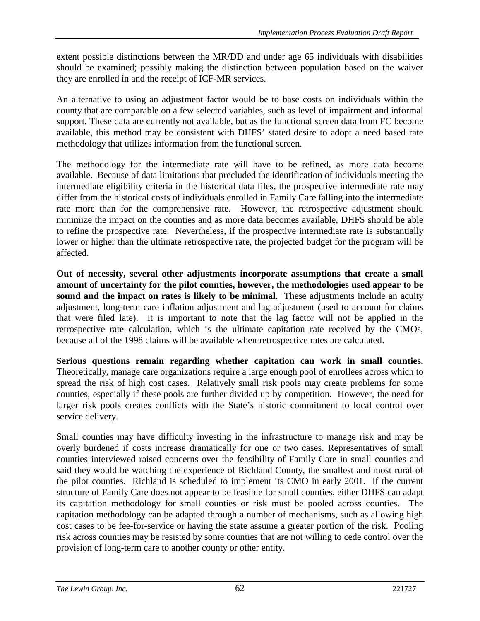extent possible distinctions between the MR/DD and under age 65 individuals with disabilities should be examined; possibly making the distinction between population based on the waiver they are enrolled in and the receipt of ICF-MR services.

An alternative to using an adjustment factor would be to base costs on individuals within the county that are comparable on a few selected variables, such as level of impairment and informal support. These data are currently not available, but as the functional screen data from FC become available, this method may be consistent with DHFS' stated desire to adopt a need based rate methodology that utilizes information from the functional screen.

The methodology for the intermediate rate will have to be refined, as more data become available. Because of data limitations that precluded the identification of individuals meeting the intermediate eligibility criteria in the historical data files, the prospective intermediate rate may differ from the historical costs of individuals enrolled in Family Care falling into the intermediate rate more than for the comprehensive rate. However, the retrospective adjustment should minimize the impact on the counties and as more data becomes available, DHFS should be able to refine the prospective rate. Nevertheless, if the prospective intermediate rate is substantially lower or higher than the ultimate retrospective rate, the projected budget for the program will be affected.

**Out of necessity, several other adjustments incorporate assumptions that create a small amount of uncertainty for the pilot counties, however, the methodologies used appear to be sound and the impact on rates is likely to be minimal**. These adjustments include an acuity adjustment, long-term care inflation adjustment and lag adjustment (used to account for claims that were filed late). It is important to note that the lag factor will not be applied in the retrospective rate calculation, which is the ultimate capitation rate received by the CMOs, because all of the 1998 claims will be available when retrospective rates are calculated.

**Serious questions remain regarding whether capitation can work in small counties.** Theoretically, manage care organizations require a large enough pool of enrollees across which to spread the risk of high cost cases. Relatively small risk pools may create problems for some counties, especially if these pools are further divided up by competition. However, the need for larger risk pools creates conflicts with the State's historic commitment to local control over service delivery.

Small counties may have difficulty investing in the infrastructure to manage risk and may be overly burdened if costs increase dramatically for one or two cases. Representatives of small counties interviewed raised concerns over the feasibility of Family Care in small counties and said they would be watching the experience of Richland County, the smallest and most rural of the pilot counties. Richland is scheduled to implement its CMO in early 2001.If the current structure of Family Care does not appear to be feasible for small counties, either DHFS can adapt its capitation methodology for small counties or risk must be pooled across counties. The capitation methodology can be adapted through a number of mechanisms, such as allowing high cost cases to be fee-for-service or having the state assume a greater portion of the risk. Pooling risk across counties may be resisted by some counties that are not willing to cede control over the provision of long-term care to another county or other entity.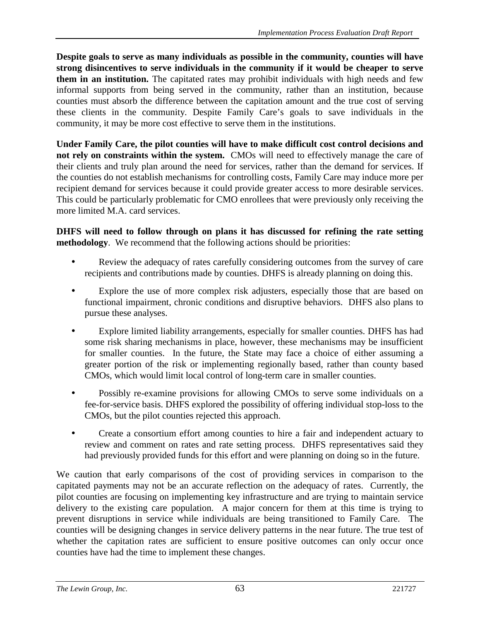**Despite goals to serve as many individuals as possible in the community, counties will have strong disincentives to serve individuals in the community if it would be cheaper to serve them in an institution.** The capitated rates may prohibit individuals with high needs and few informal supports from being served in the community, rather than an institution, because counties must absorb the difference between the capitation amount and the true cost of serving these clients in the community. Despite Family Care's goals to save individuals in the community, it may be more cost effective to serve them in the institutions.

**Under Family Care, the pilot counties will have to make difficult cost control decisions and not rely on constraints within the system.** CMOs will need to effectively manage the care of their clients and truly plan around the need for services, rather than the demand for services. If the counties do not establish mechanisms for controlling costs, Family Care may induce more per recipient demand for services because it could provide greater access to more desirable services. This could be particularly problematic for CMO enrollees that were previously only receiving the more limited M.A. card services.

**DHFS will need to follow through on plans it has discussed for refining the rate setting methodology**. We recommend that the following actions should be priorities:

- Review the adequacy of rates carefully considering outcomes from the survey of care recipients and contributions made by counties. DHFS is already planning on doing this.
- Explore the use of more complex risk adjusters, especially those that are based on functional impairment, chronic conditions and disruptive behaviors. DHFS also plans to pursue these analyses.
- Explore limited liability arrangements, especially for smaller counties. DHFS has had some risk sharing mechanisms in place, however, these mechanisms may be insufficient for smaller counties. In the future, the State may face a choice of either assuming a greater portion of the risk or implementing regionally based, rather than county based CMOs, which would limit local control of long-term care in smaller counties.
- Possibly re-examine provisions for allowing CMOs to serve some individuals on a fee-for-service basis. DHFS explored the possibility of offering individual stop-loss to the CMOs, but the pilot counties rejected this approach.
- Create a consortium effort among counties to hire a fair and independent actuary to review and comment on rates and rate setting process. DHFS representatives said they had previously provided funds for this effort and were planning on doing so in the future.

We caution that early comparisons of the cost of providing services in comparison to the capitated payments may not be an accurate reflection on the adequacy of rates. Currently, the pilot counties are focusing on implementing key infrastructure and are trying to maintain service delivery to the existing care population. A major concern for them at this time is trying to prevent disruptions in service while individuals are being transitioned to Family Care. The counties will be designing changes in service delivery patterns in the near future. The true test of whether the capitation rates are sufficient to ensure positive outcomes can only occur once counties have had the time to implement these changes.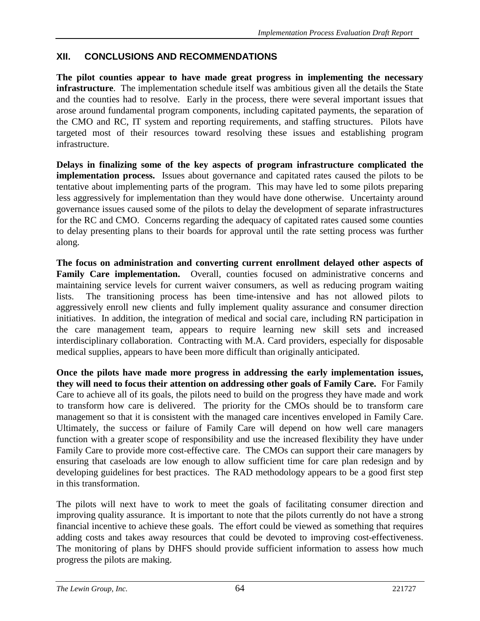# **XII. CONCLUSIONS AND RECOMMENDATIONS**

**The pilot counties appear to have made great progress in implementing the necessary infrastructure**. The implementation schedule itself was ambitious given all the details the State and the counties had to resolve. Early in the process, there were several important issues that arose around fundamental program components, including capitated payments, the separation of the CMO and RC, IT system and reporting requirements, and staffing structures. Pilots have targeted most of their resources toward resolving these issues and establishing program infrastructure.

**Delays in finalizing some of the key aspects of program infrastructure complicated the implementation process.** Issues about governance and capitated rates caused the pilots to be tentative about implementing parts of the program. This may have led to some pilots preparing less aggressively for implementation than they would have done otherwise. Uncertainty around governance issues caused some of the pilots to delay the development of separate infrastructures for the RC and CMO. Concerns regarding the adequacy of capitated rates caused some counties to delay presenting plans to their boards for approval until the rate setting process was further along.

**The focus on administration and converting current enrollment delayed other aspects of** Family Care implementation. Overall, counties focused on administrative concerns and maintaining service levels for current waiver consumers, as well as reducing program waiting lists. The transitioning process has been time-intensive and has not allowed pilots to aggressively enroll new clients and fully implement quality assurance and consumer direction initiatives. In addition, the integration of medical and social care, including RN participation in the care management team, appears to require learning new skill sets and increased interdisciplinary collaboration. Contracting with M.A. Card providers, especially for disposable medical supplies, appears to have been more difficult than originally anticipated.

**Once the pilots have made more progress in addressing the early implementation issues, they will need to focus their attention on addressing other goals of Family Care.** For Family Care to achieve all of its goals, the pilots need to build on the progress they have made and work to transform how care is delivered. The priority for the CMOs should be to transform care management so that it is consistent with the managed care incentives enveloped in Family Care. Ultimately, the success or failure of Family Care will depend on how well care managers function with a greater scope of responsibility and use the increased flexibility they have under Family Care to provide more cost-effective care. The CMOs can support their care managers by ensuring that caseloads are low enough to allow sufficient time for care plan redesign and by developing guidelines for best practices. The RAD methodology appears to be a good first step in this transformation.

The pilots will next have to work to meet the goals of facilitating consumer direction and improving quality assurance. It is important to note that the pilots currently do not have a strong financial incentive to achieve these goals. The effort could be viewed as something that requires adding costs and takes away resources that could be devoted to improving cost-effectiveness. The monitoring of plans by DHFS should provide sufficient information to assess how much progress the pilots are making.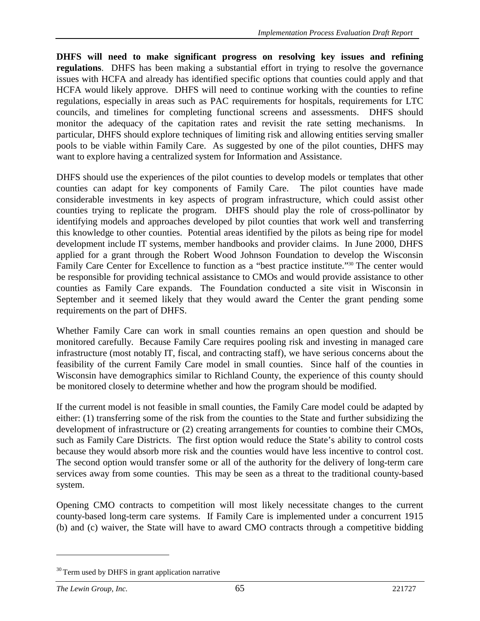**DHFS will need to make significant progress on resolving key issues and refining regulations**. DHFS has been making a substantial effort in trying to resolve the governance issues with HCFA and already has identified specific options that counties could apply and that HCFA would likely approve. DHFS will need to continue working with the counties to refine regulations, especially in areas such as PAC requirements for hospitals, requirements for LTC councils, and timelines for completing functional screens and assessments. DHFS should monitor the adequacy of the capitation rates and revisit the rate setting mechanisms. In particular, DHFS should explore techniques of limiting risk and allowing entities serving smaller pools to be viable within Family Care. As suggested by one of the pilot counties, DHFS may want to explore having a centralized system for Information and Assistance.

DHFS should use the experiences of the pilot counties to develop models or templates that other counties can adapt for key components of Family Care. The pilot counties have made considerable investments in key aspects of program infrastructure, which could assist other counties trying to replicate the program. DHFS should play the role of cross-pollinator by identifying models and approaches developed by pilot counties that work well and transferring this knowledge to other counties. Potential areas identified by the pilots as being ripe for model development include IT systems, member handbooks and provider claims. In June 2000, DHFS applied for a grant through the Robert Wood Johnson Foundation to develop the Wisconsin Family Care Center for Excellence to function as a "best practice institute."30 The center would be responsible for providing technical assistance to CMOs and would provide assistance to other counties as Family Care expands. The Foundation conducted a site visit in Wisconsin in September and it seemed likely that they would award the Center the grant pending some requirements on the part of DHFS.

Whether Family Care can work in small counties remains an open question and should be monitored carefully. Because Family Care requires pooling risk and investing in managed care infrastructure (most notably IT, fiscal, and contracting staff), we have serious concerns about the feasibility of the current Family Care model in small counties. Since half of the counties in Wisconsin have demographics similar to Richland County, the experience of this county should be monitored closely to determine whether and how the program should be modified.

If the current model is not feasible in small counties, the Family Care model could be adapted by either: (1) transferring some of the risk from the counties to the State and further subsidizing the development of infrastructure or  $(2)$  creating arrangements for counties to combine their CMOs, such as Family Care Districts. The first option would reduce the State's ability to control costs because they would absorb more risk and the counties would have less incentive to control cost. The second option would transfer some or all of the authority for the delivery of long-term care services away from some counties. This may be seen as a threat to the traditional county-based system.

Opening CMO contracts to competition will most likely necessitate changes to the current county-based long-term care systems. If Family Care is implemented under a concurrent 1915 (b) and (c) waiver, the State will have to award CMO contracts through a competitive bidding

 $30$  Term used by DHFS in grant application narrative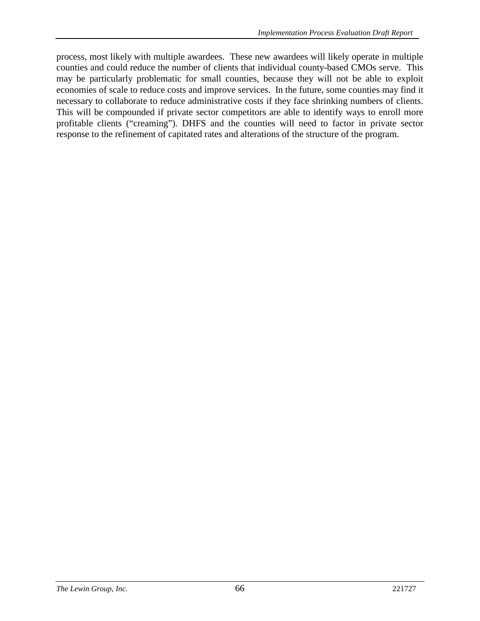process, most likely with multiple awardees. These new awardees will likely operate in multiple counties and could reduce the number of clients that individual county-based CMOs serve. This may be particularly problematic for small counties, because they will not be able to exploit economies of scale to reduce costs and improve services. In the future, some counties may find it necessary to collaborate to reduce administrative costs if they face shrinking numbers of clients. This will be compounded if private sector competitors are able to identify ways to enroll more profitable clients ("creaming"). DHFS and the counties will need to factor in private sector response to the refinement of capitated rates and alterations of the structure of the program.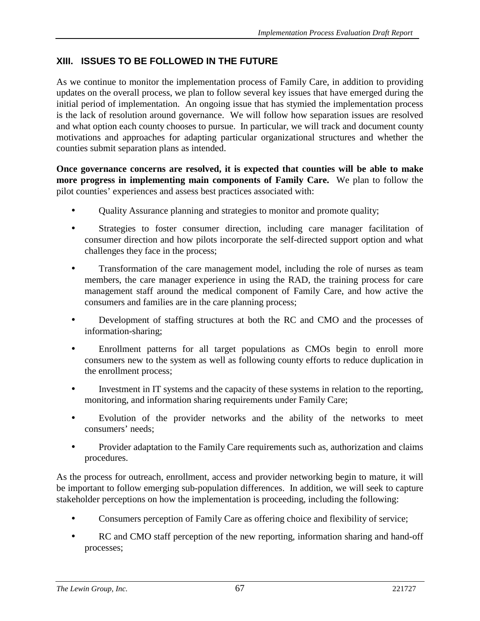# **XIII. ISSUES TO BE FOLLOWED IN THE FUTURE**

As we continue to monitor the implementation process of Family Care, in addition to providing updates on the overall process, we plan to follow several key issues that have emerged during the initial period of implementation. An ongoing issue that has stymied the implementation process is the lack of resolution around governance. We will follow how separation issues are resolved and what option each county chooses to pursue. In particular, we will track and document county motivations and approaches for adapting particular organizational structures and whether the counties submit separation plans as intended.

**Once governance concerns are resolved, it is expected that counties will be able to make more progress in implementing main components of Family Care.** We plan to follow the pilot counties' experiences and assess best practices associated with:

- Quality Assurance planning and strategies to monitor and promote quality;
- Strategies to foster consumer direction, including care manager facilitation of consumer direction and how pilots incorporate the self-directed support option and what challenges they face in the process;
- Transformation of the care management model, including the role of nurses as team members, the care manager experience in using the RAD, the training process for care management staff around the medical component of Family Care, and how active the consumers and families are in the care planning process;
- Development of staffing structures at both the RC and CMO and the processes of information-sharing;
- Enrollment patterns for all target populations as CMOs begin to enroll more consumers new to the system as well as following county efforts to reduce duplication in the enrollment process;
- Investment in IT systems and the capacity of these systems in relation to the reporting, monitoring, and information sharing requirements under Family Care;
- Evolution of the provider networks and the ability of the networks to meet consumers' needs;
- Provider adaptation to the Family Care requirements such as, authorization and claims procedures.

As the process for outreach, enrollment, access and provider networking begin to mature, it will be important to follow emerging sub-population differences. In addition, we will seek to capture stakeholder perceptions on how the implementation is proceeding, including the following:

- Consumers perception of Family Care as offering choice and flexibility of service;
- RC and CMO staff perception of the new reporting, information sharing and hand-off processes;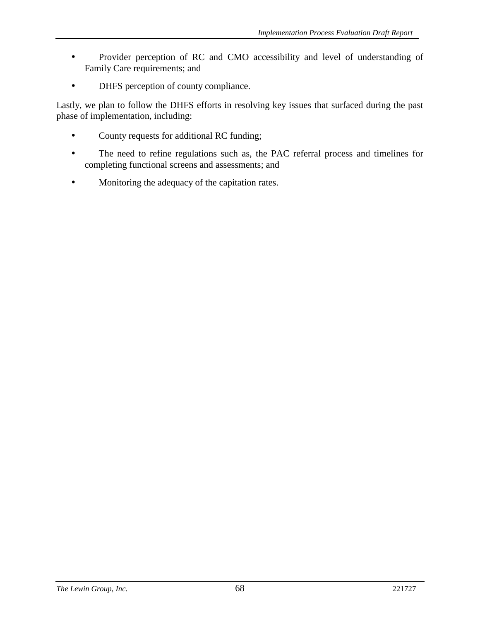- Provider perception of RC and CMO accessibility and level of understanding of Family Care requirements; and
- DHFS perception of county compliance.

Lastly, we plan to follow the DHFS efforts in resolving key issues that surfaced during the past phase of implementation, including:

- County requests for additional RC funding;
- The need to refine regulations such as, the PAC referral process and timelines for completing functional screens and assessments; and
- Monitoring the adequacy of the capitation rates.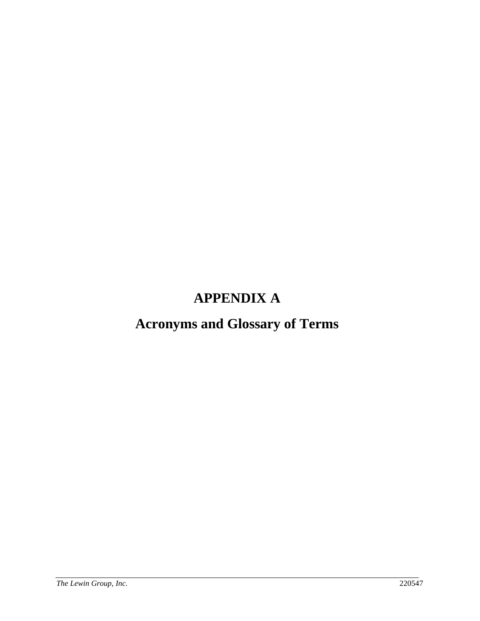# **APPENDIX A**

# **Acronyms and Glossary of Terms**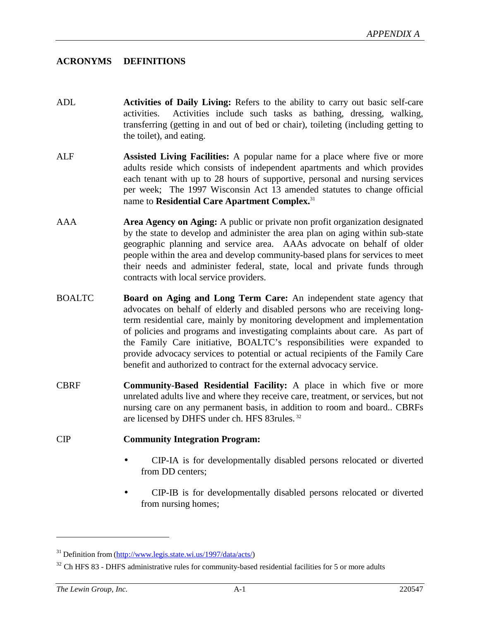#### **ACRONYMS DEFINITIONS**

- ADL **Activities of Daily Living:** Refers to the ability to carry out basic self-care activities. Activities include such tasks as bathing, dressing, walking, transferring (getting in and out of bed or chair), toileting (including getting to the toilet), and eating.
- ALF **Assisted Living Facilities:** A popular name for a place where five or more adults reside which consists of independent apartments and which provides each tenant with up to 28 hours of supportive, personal and nursing services per week; The 1997 Wisconsin Act 13 amended statutes to change official name to **Residential Care Apartment Complex.**<sup>31</sup>
- AAA **Area Agency on Aging:** A public or private non profit organization designated by the state to develop and administer the area plan on aging within sub-state geographic planning and service area. AAAs advocate on behalf of older people within the area and develop community-based plans for services to meet their needs and administer federal, state, local and private funds through contracts with local service providers.
- BOALTC **Board on Aging and Long Term Care:** An independent state agency that advocates on behalf of elderly and disabled persons who are receiving longterm residential care, mainly by monitoring development and implementation of policies and programs and investigating complaints about care. As part of the Family Care initiative, BOALTC's responsibilities were expanded to provide advocacy services to potential or actual recipients of the Family Care benefit and authorized to contract for the external advocacy service.
- CBRF **Community-Based Residential Facility:** A place in which five or more unrelated adults live and where they receive care, treatment, or services, but not nursing care on any permanent basis, in addition to room and board.. CBRFs are licensed by DHFS under ch. HFS 83rules. 32

#### CIP **Community Integration Program:**

- CIP-IA is for developmentally disabled persons relocated or diverted from DD centers;
- CIP-IB is for developmentally disabled persons relocated or diverted from nursing homes;

 $31$  Definition from (http://www.legis.state.wi.us/1997/data/acts/)

<sup>&</sup>lt;sup>32</sup> Ch HFS 83 - DHFS administrative rules for community-based residential facilities for 5 or more adults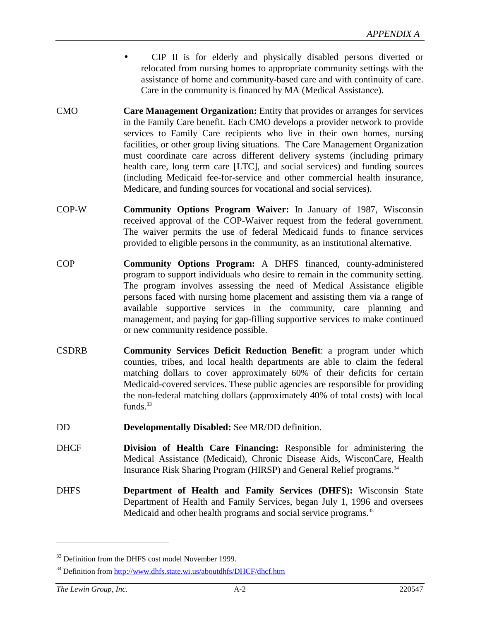- CIP II is for elderly and physically disabled persons diverted or relocated from nursing homes to appropriate community settings with the assistance of home and community-based care and with continuity of care. Care in the community is financed by MA (Medical Assistance).
- CMO **Care Management Organization:** Entity that provides or arranges for services in the Family Care benefit. Each CMO develops a provider network to provide services to Family Care recipients who live in their own homes, nursing facilities, or other group living situations. The Care Management Organization must coordinate care across different delivery systems (including primary health care, long term care [LTC], and social services) and funding sources (including Medicaid fee-for-service and other commercial health insurance, Medicare, and funding sources for vocational and social services).
- COP-W **Community Options Program Waiver:** In January of 1987, Wisconsin received approval of the COP-Waiver request from the federal government. The waiver permits the use of federal Medicaid funds to finance services provided to eligible persons in the community, as an institutional alternative.
- COP **Community Options Program:** A DHFS financed, county-administered program to support individuals who desire to remain in the community setting. The program involves assessing the need of Medical Assistance eligible persons faced with nursing home placement and assisting them via a range of available supportive services in the community, care planning and management, and paying for gap-filling supportive services to make continued or new community residence possible.
- CSDRB **Community Services Deficit Reduction Benefit**: a program under which counties, tribes, and local health departments are able to claim the federal matching dollars to cover approximately 60% of their deficits for certain Medicaid-covered services. These public agencies are responsible for providing the non-federal matching dollars (approximately 40% of total costs) with local funds. $33$
- DD **Developmentally Disabled:** See MR/DD definition.
- DHCF **Division of Health Care Financing:** Responsible for administering the Medical Assistance (Medicaid), Chronic Disease Aids, WisconCare, Health Insurance Risk Sharing Program (HIRSP) and General Relief programs.<sup>34</sup>
- DHFS **Department of Health and Family Services (DHFS):** Wisconsin State Department of Health and Family Services, began July 1, 1996 and oversees Medicaid and other health programs and social service programs.<sup>35</sup>

<sup>&</sup>lt;sup>33</sup> Definition from the DHFS cost model November 1999.

<sup>&</sup>lt;sup>34</sup> Definition from http://www.dhfs.state.wi.us/aboutdhfs/DHCF/dhcf.htm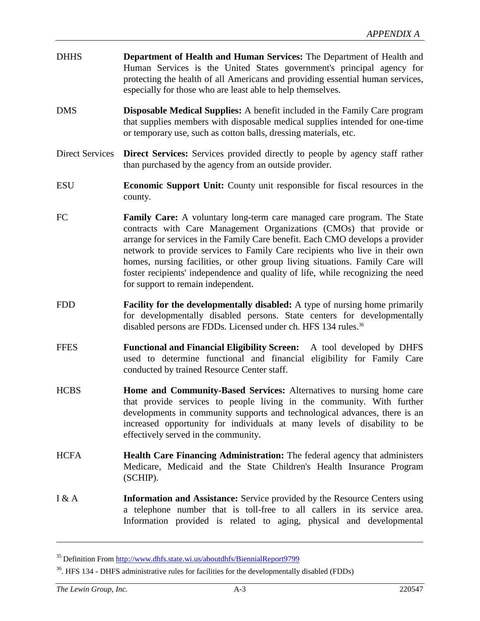- DHHS **Department of Health and Human Services:** The Department of Health and Human Services is the United States government's principal agency for protecting the health of all Americans and providing essential human services, especially for those who are least able to help themselves.
- DMS **Disposable Medical Supplies:** A benefit included in the Family Care program that supplies members with disposable medical supplies intended for one-time or temporary use, such as cotton balls, dressing materials, etc.
- Direct Services **Direct Services:** Services provided directly to people by agency staff rather than purchased by the agency from an outside provider.
- ESU **Economic Support Unit:** County unit responsible for fiscal resources in the county.
- FC **Family Care:** A voluntary long-term care managed care program. The State contracts with Care Management Organizations (CMOs) that provide or arrange for services in the Family Care benefit. Each CMO develops a provider network to provide services to Family Care recipients who live in their own homes, nursing facilities, or other group living situations. Family Care will foster recipients' independence and quality of life, while recognizing the need for support to remain independent.
- FDD **Facility for the developmentally disabled:** A type of nursing home primarily for developmentally disabled persons. State centers for developmentally disabled persons are FDDs. Licensed under ch. HFS 134 rules.<sup>36</sup>
- FFES **Functional and Financial Eligibility Screen:** A tool developed by DHFS used to determine functional and financial eligibility for Family Care conducted by trained Resource Center staff.
- HCBS **Home and Community-Based Services:** Alternatives to nursing home care that provide services to people living in the community. With further developments in community supports and technological advances, there is an increased opportunity for individuals at many levels of disability to be effectively served in the community.
- HCFA **Health Care Financing Administration:** The federal agency that administers Medicare, Medicaid and the State Children's Health Insurance Program (SCHIP).
- I & A **Information and Assistance:** Service provided by the Resource Centers using a telephone number that is toll-free to all callers in its service area. Information provided is related to aging, physical and developmental

<sup>35</sup> Definition From http://www.dhfs.state.wi.us/aboutdhfs/BiennialReport9799

<sup>36.</sup> HFS 134 - DHFS administrative rules for facilities for the developmentally disabled (FDDs)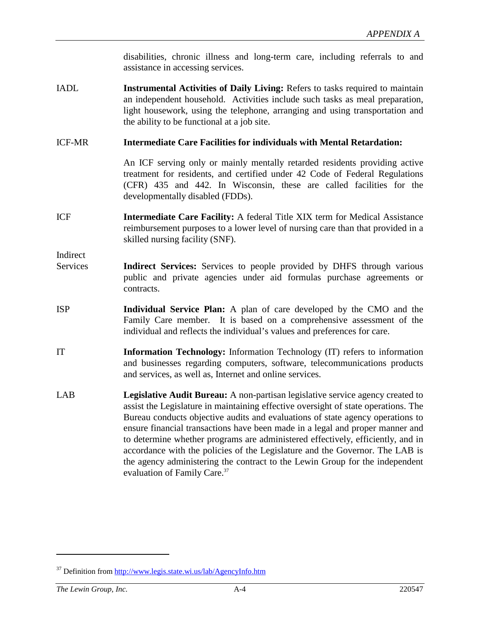disabilities, chronic illness and long-term care, including referrals to and assistance in accessing services.

IADL **Instrumental Activities of Daily Living:** Refers to tasks required to maintain an independent household. Activities include such tasks as meal preparation, light housework, using the telephone, arranging and using transportation and the ability to be functional at a job site.

#### ICF-MR **Intermediate Care Facilities for individuals with Mental Retardation:**

An ICF serving only or mainly mentally retarded residents providing active treatment for residents, and certified under 42 Code of Federal Regulations (CFR) 435 and 442. In Wisconsin, these are called facilities for the developmentally disabled (FDDs).

ICF **Intermediate Care Facility:** A federal Title XIX term for Medical Assistance reimbursement purposes to a lower level of nursing care than that provided in a skilled nursing facility (SNF).

Indirect

- Services **Indirect Services:** Services to people provided by DHFS through various public and private agencies under aid formulas purchase agreements or contracts.
- ISP **Individual Service Plan:** A plan of care developed by the CMO and the Family Care member. It is based on a comprehensive assessment of the individual and reflects the individual's values and preferences for care.
- IT **Information Technology:** Information Technology (IT) refers to information and businesses regarding computers, software, telecommunications products and services, as well as, Internet and online services.
- LAB **Legislative Audit Bureau:** A non-partisan legislative service agency created to assist the Legislature in maintaining effective oversight of state operations. The Bureau conducts objective audits and evaluations of state agency operations to ensure financial transactions have been made in a legal and proper manner and to determine whether programs are administered effectively, efficiently, and in accordance with the policies of the Legislature and the Governor. The LAB is the agency administering the contract to the Lewin Group for the independent evaluation of Family Care.<sup>37</sup>

<sup>&</sup>lt;sup>37</sup> Definition from http://www.legis.state.wi.us/lab/AgencyInfo.htm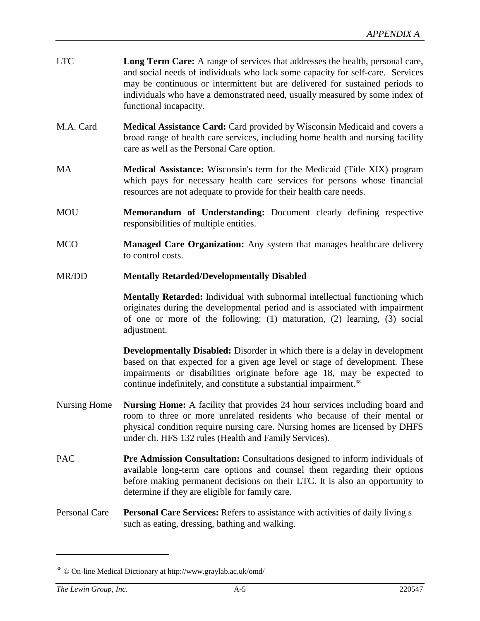| <b>LTC</b> | <b>Long Term Care:</b> A range of services that addresses the health, personal care, |
|------------|--------------------------------------------------------------------------------------|
|            | and social needs of individuals who lack some capacity for self-care. Services       |
|            | may be continuous or intermittent but are delivered for sustained periods to         |
|            | individuals who have a demonstrated need, usually measured by some index of          |
|            | functional incapacity.                                                               |

- M.A. Card **Medical Assistance Card:** Card provided by Wisconsin Medicaid and covers a broad range of health care services, including home health and nursing facility care as well as the Personal Care option.
- MA **Medical Assistance:** Wisconsin's term for the Medicaid (Title XIX) program which pays for necessary health care services for persons whose financial resources are not adequate to provide for their health care needs.
- MOU **Memorandum of Understanding:** Document clearly defining respective responsibilities of multiple entities.
- MCO **Managed Care Organization:** Any system that manages healthcare delivery to control costs.
- MR/DD **Mentally Retarded/Developmentally Disabled**

**Mentally Retarded:** Individual with subnormal intellectual functioning which originates during the developmental period and is associated with impairment of one or more of the following: (1) maturation, (2) learning, (3) social adjustment.

**Developmentally Disabled:** Disorder in which there is a delay in development based on that expected for a given age level or stage of development. These impairments or disabilities originate before age 18, may be expected to continue indefinitely, and constitute a substantial impairment.<sup>38</sup>

- Nursing Home **Nursing Home:** A facility that provides 24 hour services including board and room to three or more unrelated residents who because of their mental or physical condition require nursing care. Nursing homes are licensed by DHFS under ch. HFS 132 rules (Health and Family Services).
- PAC **Pre Admission Consultation:** Consultations designed to inform individuals of available long-term care options and counsel them regarding their options before making permanent decisions on their LTC. It is also an opportunity to determine if they are eligible for family care.
- Personal Care **Personal Care Services:** Refers to assistance with activities of daily living s such as eating, dressing, bathing and walking.

<sup>38 ©</sup> On-line Medical Dictionary at http://www.graylab.ac.uk/omd/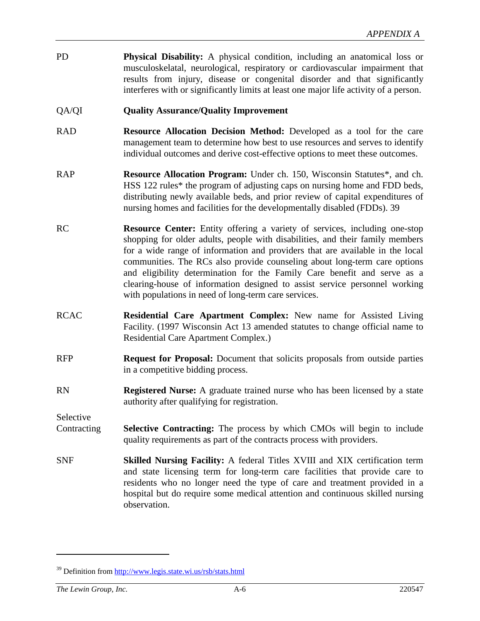PD **Physical Disability:** A physical condition, including an anatomical loss or musculoskelatal, neurological, respiratory or cardiovascular impairment that results from injury, disease or congenital disorder and that significantly interferes with or significantly limits at least one major life activity of a person.

#### QA/QI **Quality Assurance/Quality Improvement**

- RAD **Resource Allocation Decision Method:** Developed as a tool for the care management team to determine how best to use resources and serves to identify individual outcomes and derive cost-effective options to meet these outcomes.
- RAP **Resource Allocation Program:** Under ch. 150, Wisconsin Statutes\*, and ch. HSS 122 rules\* the program of adjusting caps on nursing home and FDD beds, distributing newly available beds, and prior review of capital expenditures of nursing homes and facilities for the developmentally disabled (FDDs). 39
- RC **Resource Center:** Entity offering a variety of services, including one-stop shopping for older adults, people with disabilities, and their family members for a wide range of information and providers that are available in the local communities. The RCs also provide counseling about long-term care options and eligibility determination for the Family Care benefit and serve as a clearing-house of information designed to assist service personnel working with populations in need of long-term care services.
- RCAC **Residential Care Apartment Complex:** New name for Assisted Living Facility. (1997 Wisconsin Act 13 amended statutes to change official name to Residential Care Apartment Complex.)
- RFP **Request for Proposal:** Document that solicits proposals from outside parties in a competitive bidding process.
- RN **Registered Nurse:** A graduate trained nurse who has been licensed by a state authority after qualifying for registration.

Selective

- Contracting **Selective Contracting:** The process by which CMOs will begin to include quality requirements as part of the contracts process with providers.
- SNF **Skilled Nursing Facility:** A federal Titles XVIII and XIX certification term and state licensing term for long-term care facilities that provide care to residents who no longer need the type of care and treatment provided in a hospital but do require some medical attention and continuous skilled nursing observation.

<sup>39</sup> Definition from http://www.legis.state.wi.us/rsb/stats.html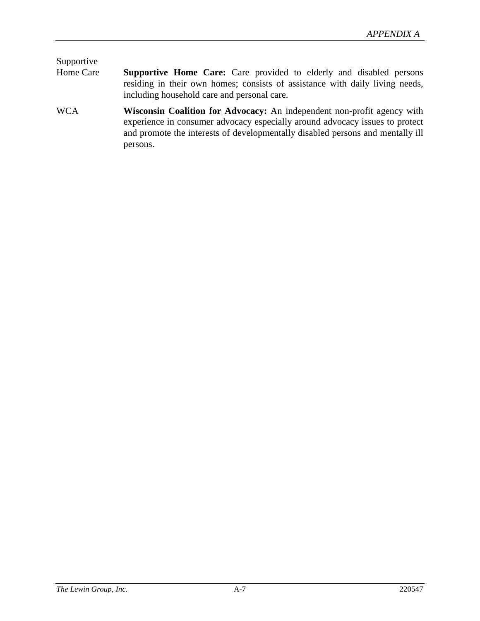# Supportive

- Home Care **Supportive Home Care:** Care provided to elderly and disabled persons residing in their own homes; consists of assistance with daily living needs, including household care and personal care.
- WCA **Wisconsin Coalition for Advocacy:** An independent non-profit agency with experience in consumer advocacy especially around advocacy issues to protect and promote the interests of developmentally disabled persons and mentally ill persons.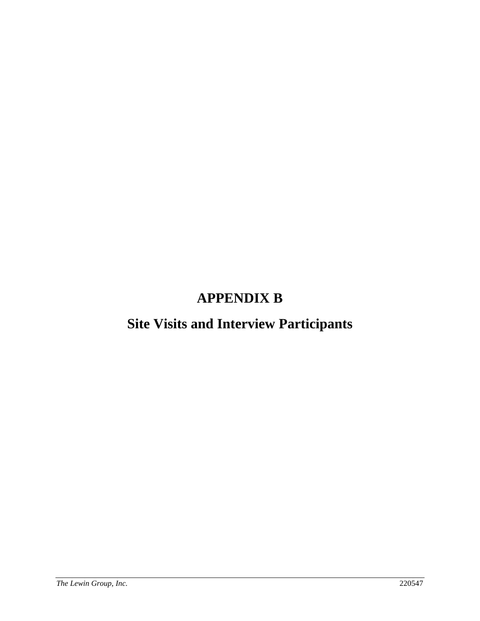# **APPENDIX B**

# **Site Visits and Interview Participants**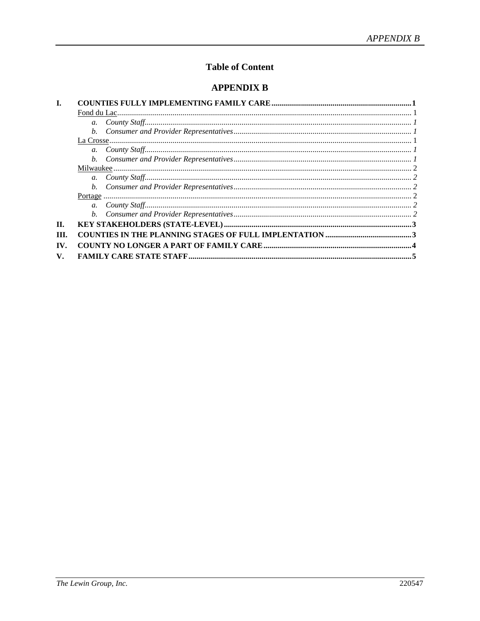# **Table of Content**

### **APPENDIX B**

| H.   |  |
|------|--|
| III. |  |
| IV.  |  |
| V.   |  |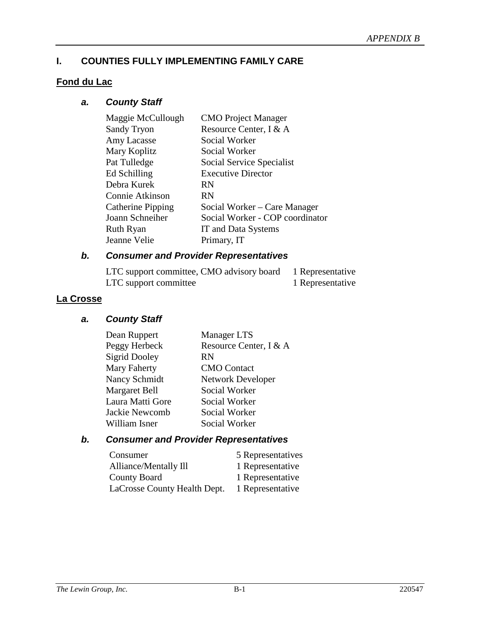# <span id="page-87-0"></span>**I. COUNTIES FULLY IMPLEMENTING FAMILY CARE**

#### **Fond du Lac**

# *a. County Staff*

| Maggie McCullough  | <b>CMO</b> Project Manager      |
|--------------------|---------------------------------|
| <b>Sandy Tryon</b> | Resource Center, I & A          |
| Amy Lacasse        | Social Worker                   |
| Mary Koplitz       | Social Worker                   |
| Pat Tulledge       | Social Service Specialist       |
| Ed Schilling       | <b>Executive Director</b>       |
| Debra Kurek        | <b>RN</b>                       |
| Connie Atkinson    | RN                              |
| Catherine Pipping  | Social Worker – Care Manager    |
| Joann Schneiher    | Social Worker - COP coordinator |
| <b>Ruth Ryan</b>   | IT and Data Systems             |
| Jeanne Velie       | Primary, IT                     |
|                    |                                 |

# *b. Consumer and Provider Representatives*

| LTC support committee, CMO advisory board | 1 Representative |
|-------------------------------------------|------------------|
| LTC support committee                     | 1 Representative |

# **La Crosse**

### *a. County Staff*

| Dean Ruppert         | <b>Manager LTS</b>       |
|----------------------|--------------------------|
| Peggy Herbeck        | Resource Center, I & A   |
| <b>Sigrid Dooley</b> | RN                       |
| Mary Faherty         | <b>CMO</b> Contact       |
| Nancy Schmidt        | <b>Network Developer</b> |
| Margaret Bell        | Social Worker            |
| Laura Matti Gore     | Social Worker            |
| Jackie Newcomb       | Social Worker            |
| William Isner        | Social Worker            |
|                      |                          |

# *b. Consumer and Provider Representatives*

| Consumer                     | 5 Representatives |
|------------------------------|-------------------|
| Alliance/Mentally Ill        | 1 Representative  |
| <b>County Board</b>          | 1 Representative  |
| LaCrosse County Health Dept. | 1 Representative  |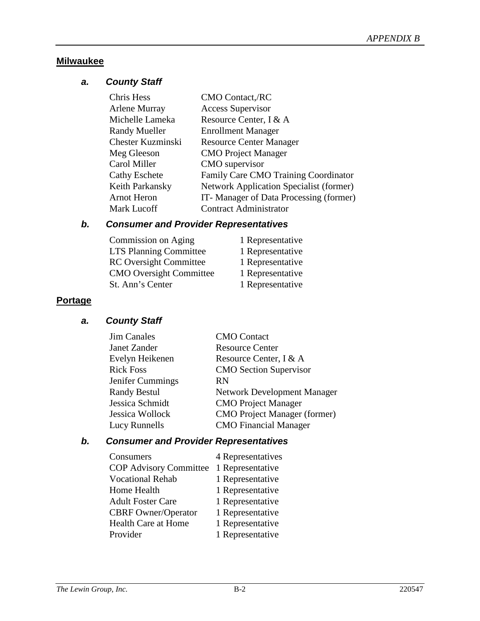### <span id="page-88-0"></span>**Milwaukee**

# *a. County Staff*

| Chris Hess           | <b>CMO Contact, RC</b>                         |
|----------------------|------------------------------------------------|
| Arlene Murray        | <b>Access Supervisor</b>                       |
| Michelle Lameka      | Resource Center, I & A                         |
| <b>Randy Mueller</b> | <b>Enrollment Manager</b>                      |
| Chester Kuzminski    | <b>Resource Center Manager</b>                 |
| Meg Gleeson          | <b>CMO</b> Project Manager                     |
| Carol Miller         | CMO supervisor                                 |
| <b>Cathy Eschete</b> | Family Care CMO Training Coordinator           |
| Keith Parkansky      | <b>Network Application Specialist (former)</b> |
| <b>Arnot Heron</b>   | IT-Manager of Data Processing (former)         |
| Mark Lucoff          | <b>Contract Administrator</b>                  |

# *b. Consumer and Provider Representatives*

| Commission on Aging            | 1 Representative |
|--------------------------------|------------------|
| <b>LTS Planning Committee</b>  | 1 Representative |
| <b>RC</b> Oversight Committee  | 1 Representative |
| <b>CMO</b> Oversight Committee | 1 Representative |
| St. Ann's Center               | 1 Representative |

# **Portage**

# *a. County Staff*

| <b>Jim Canales</b>  | <b>CMO</b> Contact                  |
|---------------------|-------------------------------------|
| Janet Zander        | <b>Resource Center</b>              |
| Evelyn Heikenen     | Resource Center, I & A              |
| <b>Rick Foss</b>    | <b>CMO</b> Section Supervisor       |
| Jenifer Cummings    | RN                                  |
| <b>Randy Bestul</b> | <b>Network Development Manager</b>  |
| Jessica Schmidt     | <b>CMO</b> Project Manager          |
| Jessica Wollock     | <b>CMO</b> Project Manager (former) |
| Lucy Runnells       | <b>CMO</b> Financial Manager        |

# *b. Consumer and Provider Representatives*

| Consumers                     | 4 Representatives |
|-------------------------------|-------------------|
| <b>COP Advisory Committee</b> | 1 Representative  |
| <b>Vocational Rehab</b>       | 1 Representative  |
| Home Health                   | 1 Representative  |
| <b>Adult Foster Care</b>      | 1 Representative  |
| <b>CBRF</b> Owner/Operator    | 1 Representative  |
| Health Care at Home           | 1 Representative  |
| Provider                      | 1 Representative  |
|                               |                   |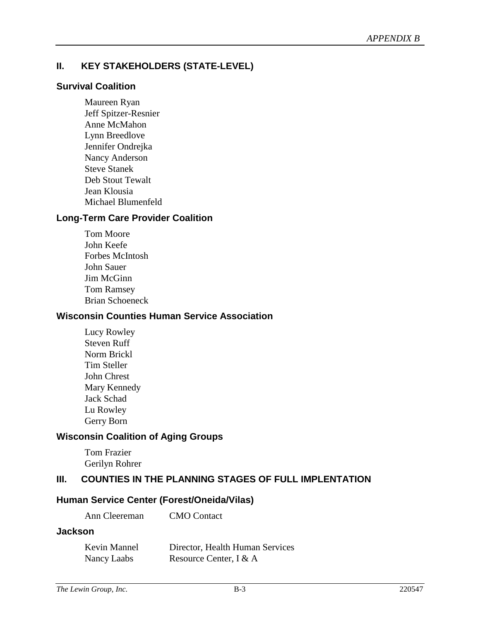# <span id="page-89-0"></span>**II. KEY STAKEHOLDERS (STATE-LEVEL)**

#### **Survival Coalition**

Maureen Ryan Jeff Spitzer-Resnier Anne McMahon Lynn Breedlove Jennifer Ondrejka Nancy Anderson Steve Stanek Deb Stout Tewalt Jean Klousia Michael Blumenfeld

#### **Long-Term Care Provider Coalition**

Tom Moore John Keefe Forbes McIntosh John Sauer Jim McGinn Tom Ramsey Brian Schoeneck

#### **Wisconsin Counties Human Service Association**

Lucy Rowley Steven Ruff Norm Brickl Tim Steller John Chrest Mary Kennedy Jack Schad Lu Rowley Gerry Born

# **Wisconsin Coalition of Aging Groups**

Tom Frazier Gerilyn Rohrer

#### **III. COUNTIES IN THE PLANNING STAGES OF FULL IMPLENTATION**

#### **Human Service Center (Forest/Oneida/Vilas)**

Ann Cleereman CMO Contact

#### **Jackson**

| Kevin Mannel | Director, Health Human Services |
|--------------|---------------------------------|
| Nancy Laabs  | Resource Center, I & A          |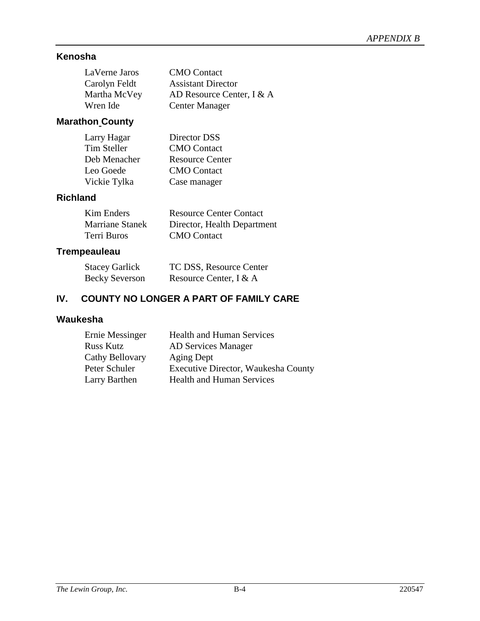# <span id="page-90-0"></span>**Kenosha**

| LaVerne Jaros | <b>CMO</b> Contact        |
|---------------|---------------------------|
| Carolyn Feldt | <b>Assistant Director</b> |
| Martha McVey  | AD Resource Center, I & A |
| Wren Ide      | <b>Center Manager</b>     |

# **Marathon County**

| Director DSS           |
|------------------------|
| <b>CMO</b> Contact     |
| <b>Resource Center</b> |
| <b>CMO</b> Contact     |
| Case manager           |
|                        |

# **Richland**

| Kim Enders      | <b>Resource Center Contact</b> |
|-----------------|--------------------------------|
| Marriane Stanek | Director, Health Department    |
| Terri Buros     | <b>CMO</b> Contact             |

# **Trempeauleau**

| <b>Stacey Garlick</b> | TC DSS, Resource Center |
|-----------------------|-------------------------|
| <b>Becky Severson</b> | Resource Center, I & A  |

# **IV. COUNTY NO LONGER A PART OF FAMILY CARE**

# **Waukesha**

| Ernie Messinger  | <b>Health and Human Services</b>    |
|------------------|-------------------------------------|
| <b>Russ Kutz</b> | <b>AD Services Manager</b>          |
| Cathy Bellovary  | Aging Dept                          |
| Peter Schuler    | Executive Director, Waukesha County |
| Larry Barthen    | <b>Health and Human Services</b>    |
|                  |                                     |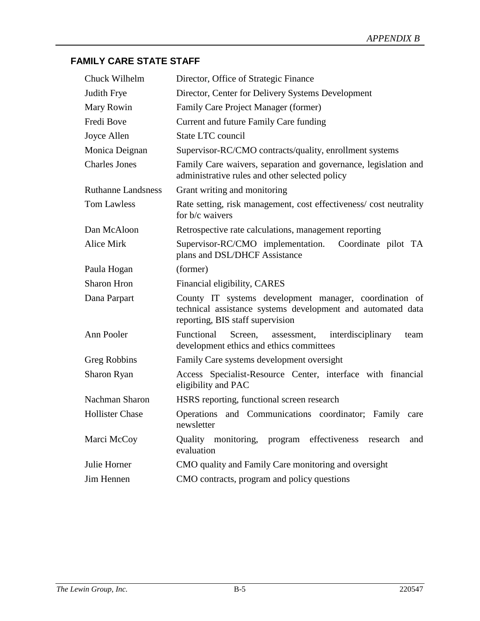# <span id="page-91-0"></span>**FAMILY CARE STATE STAFF**

| Chuck Wilhelm             | Director, Office of Strategic Finance                                                                                                                     |
|---------------------------|-----------------------------------------------------------------------------------------------------------------------------------------------------------|
| <b>Judith Frye</b>        | Director, Center for Delivery Systems Development                                                                                                         |
| Mary Rowin                | Family Care Project Manager (former)                                                                                                                      |
| Fredi Bove                | Current and future Family Care funding                                                                                                                    |
| Joyce Allen               | State LTC council                                                                                                                                         |
| Monica Deignan            | Supervisor-RC/CMO contracts/quality, enrollment systems                                                                                                   |
| <b>Charles Jones</b>      | Family Care waivers, separation and governance, legislation and<br>administrative rules and other selected policy                                         |
| <b>Ruthanne Landsness</b> | Grant writing and monitoring                                                                                                                              |
| <b>Tom Lawless</b>        | Rate setting, risk management, cost effectiveness/cost neutrality<br>for b/c waivers                                                                      |
| Dan McAloon               | Retrospective rate calculations, management reporting                                                                                                     |
| <b>Alice Mirk</b>         | Supervisor-RC/CMO implementation.<br>Coordinate pilot TA<br>plans and DSL/DHCF Assistance                                                                 |
| Paula Hogan               | (former)                                                                                                                                                  |
| <b>Sharon Hron</b>        | Financial eligibility, CARES                                                                                                                              |
| Dana Parpart              | County IT systems development manager, coordination of<br>technical assistance systems development and automated data<br>reporting, BIS staff supervision |
| Ann Pooler                | Functional<br>Screen,<br>interdisciplinary<br>assessment,<br>team<br>development ethics and ethics committees                                             |
| Greg Robbins              | Family Care systems development oversight                                                                                                                 |
| Sharon Ryan               | Access Specialist-Resource Center, interface with financial<br>eligibility and PAC                                                                        |
| Nachman Sharon            | HSRS reporting, functional screen research                                                                                                                |
| <b>Hollister Chase</b>    | Operations and Communications coordinator; Family care<br>newsletter                                                                                      |
| Marci McCoy               | Quality monitoring, program effectiveness<br>research<br>and<br>evaluation                                                                                |
| Julie Horner              | CMO quality and Family Care monitoring and oversight                                                                                                      |
| Jim Hennen                | CMO contracts, program and policy questions                                                                                                               |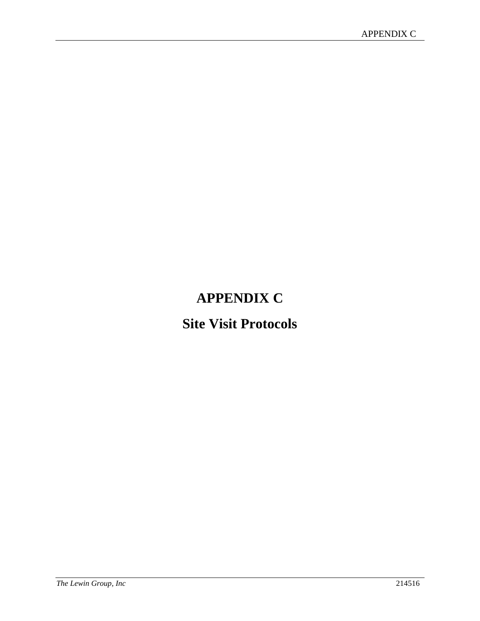# **APPENDIX C**

# **Site Visit Protocols**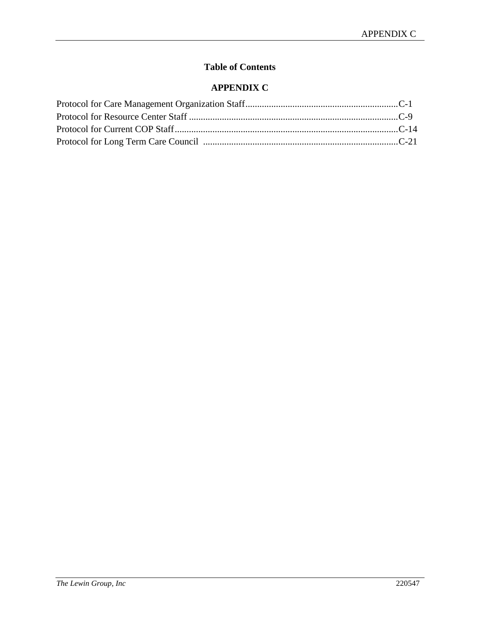# **Table of Contents**

# **APPENDIX C**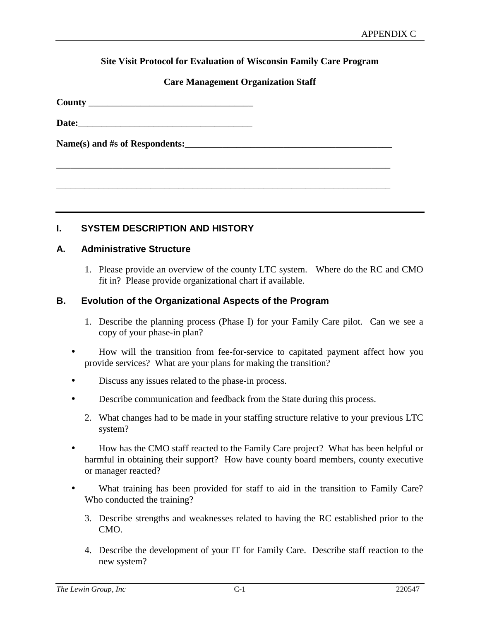#### **Site Visit Protocol for Evaluation of Wisconsin Family Care Program**

#### **Care Management Organization Staff**

\_\_\_\_\_\_\_\_\_\_\_\_\_\_\_\_\_\_\_\_\_\_\_\_\_\_\_\_\_\_\_\_\_\_\_\_\_\_\_\_\_\_\_\_\_\_\_\_\_\_\_\_\_\_\_\_\_\_\_\_\_\_\_\_\_\_\_\_\_\_\_

\_\_\_\_\_\_\_\_\_\_\_\_\_\_\_\_\_\_\_\_\_\_\_\_\_\_\_\_\_\_\_\_\_\_\_\_\_\_\_\_\_\_\_\_\_\_\_\_\_\_\_\_\_\_\_\_\_\_\_\_\_\_\_\_\_\_\_\_\_\_\_

**County** \_\_\_\_\_\_\_\_\_\_\_\_\_\_\_\_\_\_\_\_\_\_\_\_\_\_\_\_\_\_\_\_\_\_\_

Date:

Name(s) and #s of Respondents:

#### **I. SYSTEM DESCRIPTION AND HISTORY**

#### **A. Administrative Structure**

1. Please provide an overview of the county LTC system. Where do the RC and CMO fit in? Please provide organizational chart if available.

#### **B. Evolution of the Organizational Aspects of the Program**

- 1. Describe the planning process (Phase I) for your Family Care pilot. Can we see a copy of your phase-in plan?
- How will the transition from fee-for-service to capitated payment affect how you provide services? What are your plans for making the transition?
- Discuss any issues related to the phase-in process.
- Describe communication and feedback from the State during this process.
	- 2. What changes had to be made in your staffing structure relative to your previous LTC system?
- How has the CMO staff reacted to the Family Care project? What has been helpful or harmful in obtaining their support? How have county board members, county executive or manager reacted?
- What training has been provided for staff to aid in the transition to Family Care? Who conducted the training?
	- 3. Describe strengths and weaknesses related to having the RC established prior to the CMO.
	- 4. Describe the development of your IT for Family Care. Describe staff reaction to the new system?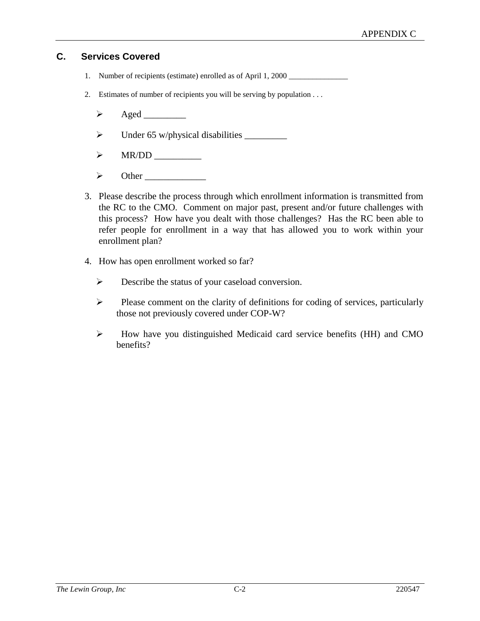# **C. Services Covered**

- 1. Number of recipients (estimate) enrolled as of April 1, 2000 \_\_\_\_\_\_\_\_\_\_\_\_\_\_\_\_
- 2. Estimates of number of recipients you will be serving by population . . .
	- Aged \_\_\_\_\_\_\_\_\_
	- Under 65 w/physical disabilities \_\_\_\_\_\_\_\_\_
	- $\triangleright$  MR/DD
	- Other \_\_\_\_\_\_\_\_\_\_\_\_\_
- 3. Please describe the process through which enrollment information is transmitted from the RC to the CMO. Comment on major past, present and/or future challenges with this process? How have you dealt with those challenges? Has the RC been able to refer people for enrollment in a way that has allowed you to work within your enrollment plan?
- 4. How has open enrollment worked so far?
	- $\triangleright$  Describe the status of your caseload conversion.
	- $\triangleright$  Please comment on the clarity of definitions for coding of services, particularly those not previously covered under COP-W?
	- $\triangleright$  How have you distinguished Medicaid card service benefits (HH) and CMO benefits?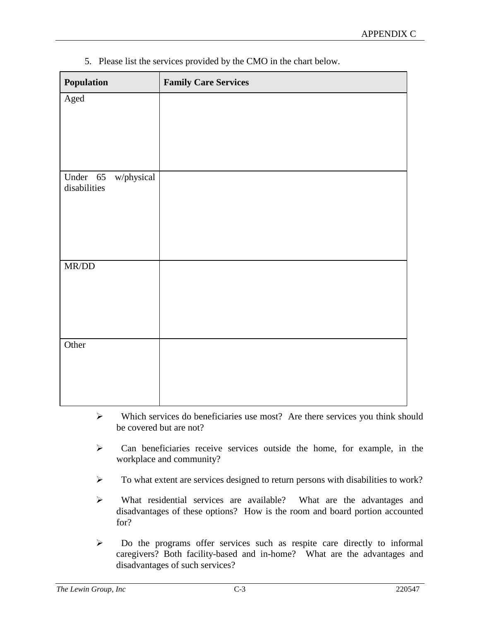5. Please list the services provided by the CMO in the chart below.

| Population                          | <b>Family Care Services</b> |
|-------------------------------------|-----------------------------|
| Aged                                |                             |
|                                     |                             |
|                                     |                             |
|                                     |                             |
| Under 65 w/physical<br>disabilities |                             |
|                                     |                             |
|                                     |                             |
|                                     |                             |
|                                     |                             |
| $\text{MR/DD}$                      |                             |
|                                     |                             |
|                                     |                             |
|                                     |                             |
| Other                               |                             |
|                                     |                             |
|                                     |                             |
|                                     |                             |

- $\triangleright$  Which services do beneficiaries use most? Are there services you think should be covered but are not?
- $\triangleright$  Can beneficiaries receive services outside the home, for example, in the workplace and community?
- $\triangleright$  To what extent are services designed to return persons with disabilities to work?
- What residential services are available? What are the advantages and disadvantages of these options? How is the room and board portion accounted for?
- $\triangleright$  Do the programs offer services such as respite care directly to informal caregivers? Both facility-based and in-home? What are the advantages and disadvantages of such services?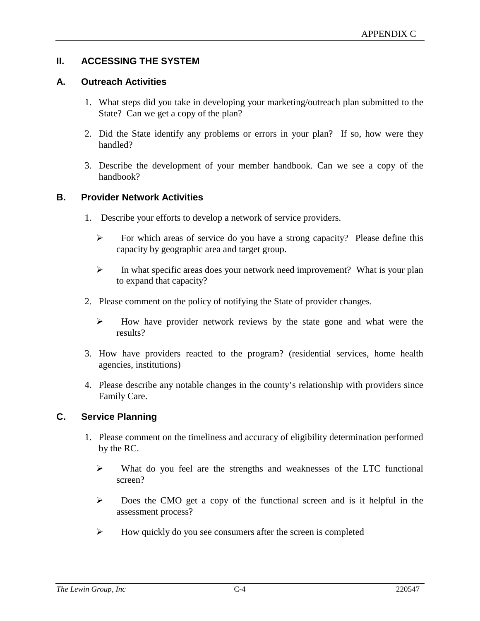### **II. ACCESSING THE SYSTEM**

#### **A. Outreach Activities**

- 1. What steps did you take in developing your marketing/outreach plan submitted to the State? Can we get a copy of the plan?
- 2. Did the State identify any problems or errors in your plan? If so, how were they handled?
- 3. Describe the development of your member handbook. Can we see a copy of the handbook?

#### **B. Provider Network Activities**

- 1. Describe your efforts to develop a network of service providers.
	- $\triangleright$  For which areas of service do you have a strong capacity? Please define this capacity by geographic area and target group.
	- $\triangleright$  In what specific areas does your network need improvement? What is your plan to expand that capacity?
- 2. Please comment on the policy of notifying the State of provider changes.
	- $\triangleright$  How have provider network reviews by the state gone and what were the results?
- 3. How have providers reacted to the program? (residential services, home health agencies, institutions)
- 4. Please describe any notable changes in the county's relationship with providers since Family Care.

#### **C. Service Planning**

- 1. Please comment on the timeliness and accuracy of eligibility determination performed by the RC.
	- $\triangleright$  What do you feel are the strengths and weaknesses of the LTC functional screen?
	- $\triangleright$  Does the CMO get a copy of the functional screen and is it helpful in the assessment process?
	- $\triangleright$  How quickly do you see consumers after the screen is completed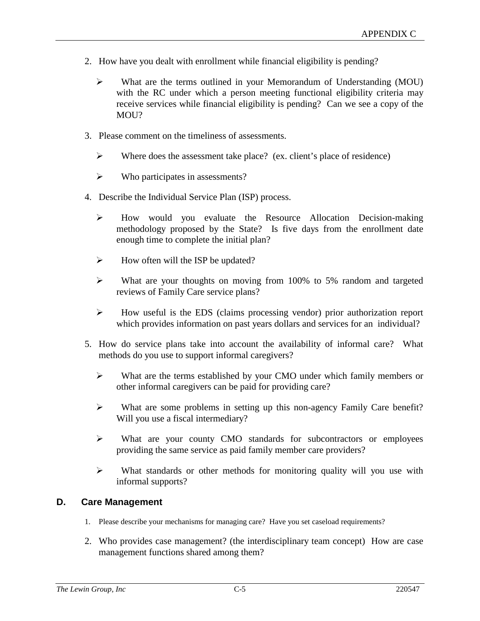- 2. How have you dealt with enrollment while financial eligibility is pending?
	- What are the terms outlined in your Memorandum of Understanding (MOU) with the RC under which a person meeting functional eligibility criteria may receive services while financial eligibility is pending? Can we see a copy of the MOU?
- 3. Please comment on the timeliness of assessments.
	- $\triangleright$  Where does the assessment take place? (ex. client's place of residence)
	- $\triangleright$  Who participates in assessments?
- 4. Describe the Individual Service Plan (ISP) process.
	- How would you evaluate the Resource Allocation Decision-making methodology proposed by the State? Is five days from the enrollment date enough time to complete the initial plan?
	- $\triangleright$  How often will the ISP be updated?
	- $\triangleright$  What are your thoughts on moving from 100% to 5% random and targeted reviews of Family Care service plans?
	- How useful is the EDS (claims processing vendor) prior authorization report which provides information on past years dollars and services for an individual?
- 5. How do service plans take into account the availability of informal care? What methods do you use to support informal caregivers?
	- $\triangleright$  What are the terms established by your CMO under which family members or other informal caregivers can be paid for providing care?
	- $\triangleright$  What are some problems in setting up this non-agency Family Care benefit? Will you use a fiscal intermediary?
	- What are your county CMO standards for subcontractors or employees providing the same service as paid family member care providers?
	- $\triangleright$  What standards or other methods for monitoring quality will you use with informal supports?

#### **D. Care Management**

- 1. Please describe your mechanisms for managing care? Have you set caseload requirements?
- 2. Who provides case management? (the interdisciplinary team concept) How are case management functions shared among them?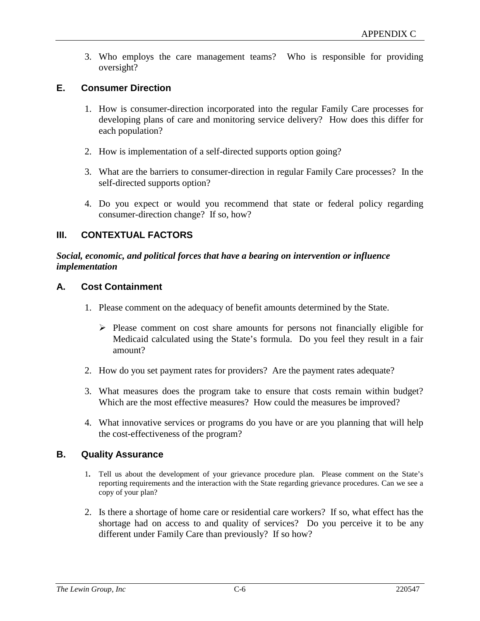3. Who employs the care management teams? Who is responsible for providing oversight?

#### **E. Consumer Direction**

- 1. How is consumer-direction incorporated into the regular Family Care processes for developing plans of care and monitoring service delivery? How does this differ for each population?
- 2. How is implementation of a self-directed supports option going?
- 3. What are the barriers to consumer-direction in regular Family Care processes? In the self-directed supports option?
- 4. Do you expect or would you recommend that state or federal policy regarding consumer-direction change? If so, how?

#### **III. CONTEXTUAL FACTORS**

#### *Social, economic, and political forces that have a bearing on intervention or influence implementation*

#### **A. Cost Containment**

- 1. Please comment on the adequacy of benefit amounts determined by the State.
	- $\triangleright$  Please comment on cost share amounts for persons not financially eligible for Medicaid calculated using the State's formula. Do you feel they result in a fair amount?
- 2. How do you set payment rates for providers? Are the payment rates adequate?
- 3. What measures does the program take to ensure that costs remain within budget? Which are the most effective measures? How could the measures be improved?
- 4. What innovative services or programs do you have or are you planning that will help the cost-effectiveness of the program?

#### **B. Quality Assurance**

- 1**.** Tell us about the development of your grievance procedure plan. Please comment on the State's reporting requirements and the interaction with the State regarding grievance procedures. Can we see a copy of your plan?
- 2. Is there a shortage of home care or residential care workers? If so, what effect has the shortage had on access to and quality of services? Do you perceive it to be any different under Family Care than previously? If so how?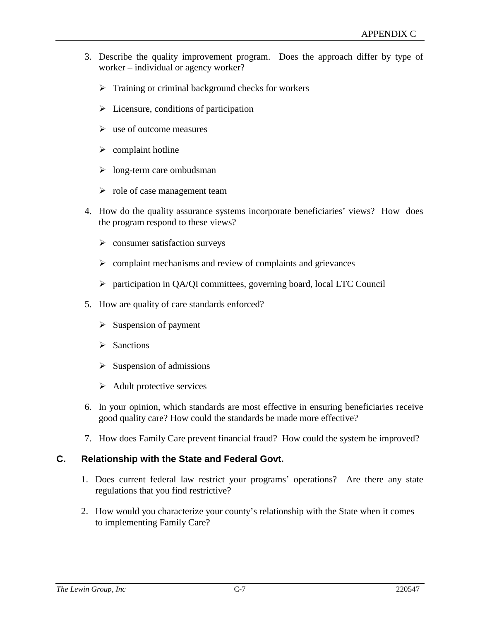- 3. Describe the quality improvement program. Does the approach differ by type of worker – individual or agency worker?
	- $\triangleright$  Training or criminal background checks for workers
	- $\triangleright$  Licensure, conditions of participation
	- $\triangleright$  use of outcome measures
	- $\triangleright$  complaint hotline
	- $\triangleright$  long-term care ombudsman
	- $\triangleright$  role of case management team
- 4. How do the quality assurance systems incorporate beneficiaries' views? How does the program respond to these views?
	- $\triangleright$  consumer satisfaction surveys
	- $\triangleright$  complaint mechanisms and review of complaints and grievances
	- participation in QA/QI committees, governing board, local LTC Council
- 5. How are quality of care standards enforced?
	- $\triangleright$  Suspension of payment
	- $\triangleright$  Sanctions
	- $\triangleright$  Suspension of admissions
	- $\triangleright$  Adult protective services
- 6. In your opinion, which standards are most effective in ensuring beneficiaries receive good quality care? How could the standards be made more effective?
- 7. How does Family Care prevent financial fraud? How could the system be improved?

#### **C. Relationship with the State and Federal Govt.**

- 1. Does current federal law restrict your programs' operations? Are there any state regulations that you find restrictive?
- 2. How would you characterize your county's relationship with the State when it comes to implementing Family Care?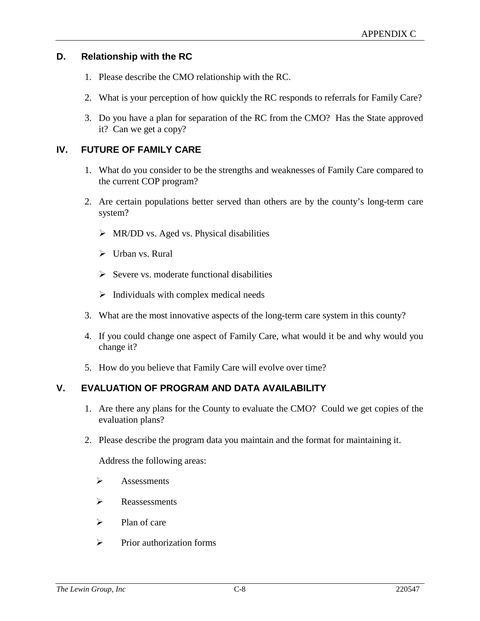#### **D. Relationship with the RC**

- 1. Please describe the CMO relationship with the RC.
- 2. What is your perception of how quickly the RC responds to referrals for Family Care?
- 3. Do you have a plan for separation of the RC from the CMO? Has the State approved it? Can we get a copy?

#### **IV. FUTURE OF FAMILY CARE**

- 1. What do you consider to be the strengths and weaknesses of Family Care compared to the current COP program?
- 2. Are certain populations better served than others are by the county's long-term care system?
	- $\triangleright$  MR/DD vs. Aged vs. Physical disabilities
	- $\triangleright$  Urban vs. Rural
	- $\triangleright$  Severe vs. moderate functional disabilities
	- $\triangleright$  Individuals with complex medical needs
- 3. What are the most innovative aspects of the long-term care system in this county?
- 4. If you could change one aspect of Family Care, what would it be and why would you change it?
- 5. How do you believe that Family Care will evolve over time?

#### **V. EVALUATION OF PROGRAM AND DATA AVAILABILITY**

- 1. Are there any plans for the County to evaluate the CMO? Could we get copies of the evaluation plans?
- 2. Please describe the program data you maintain and the format for maintaining it.

Address the following areas:

- $\triangleright$  Assessments
- $\triangleright$  Reassessments
- $\triangleright$  Plan of care
- $\triangleright$  Prior authorization forms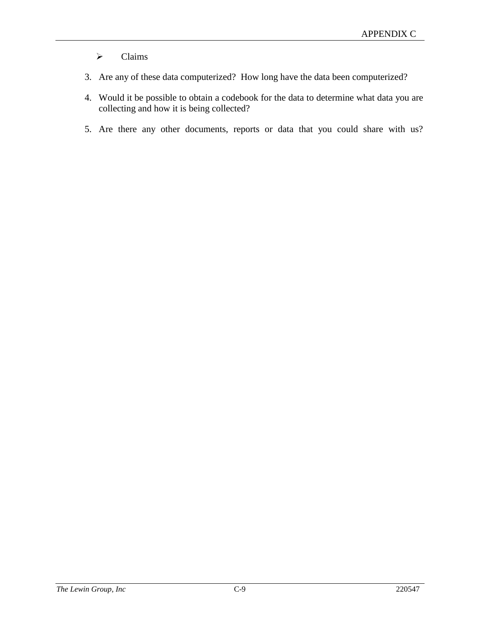# $\triangleright$  Claims

- 3. Are any of these data computerized? How long have the data been computerized?
- 4. Would it be possible to obtain a codebook for the data to determine what data you are collecting and how it is being collected?
- 5. Are there any other documents, reports or data that you could share with us?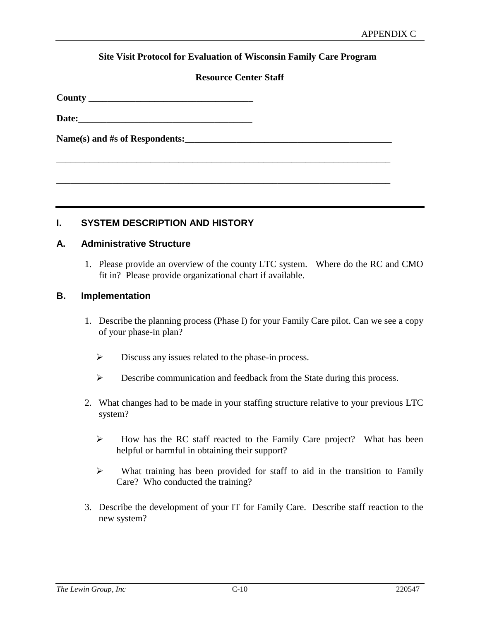#### **Site Visit Protocol for Evaluation of Wisconsin Family Care Program**

#### **Resource Center Staff**

\_\_\_\_\_\_\_\_\_\_\_\_\_\_\_\_\_\_\_\_\_\_\_\_\_\_\_\_\_\_\_\_\_\_\_\_\_\_\_\_\_\_\_\_\_\_\_\_\_\_\_\_\_\_\_\_\_\_\_\_\_\_\_\_\_\_\_\_\_\_\_

\_\_\_\_\_\_\_\_\_\_\_\_\_\_\_\_\_\_\_\_\_\_\_\_\_\_\_\_\_\_\_\_\_\_\_\_\_\_\_\_\_\_\_\_\_\_\_\_\_\_\_\_\_\_\_\_\_\_\_\_\_\_\_\_\_\_\_\_\_\_\_

**County \_\_\_\_\_\_\_\_\_\_\_\_\_\_\_\_\_\_\_\_\_\_\_\_\_\_\_\_\_\_\_\_\_\_\_**

Date:

Name(s) and #s of Respondents:

**I. SYSTEM DESCRIPTION AND HISTORY**

#### **A. Administrative Structure**

1. Please provide an overview of the county LTC system. Where do the RC and CMO fit in? Please provide organizational chart if available.

#### **B. Implementation**

- 1. Describe the planning process (Phase I) for your Family Care pilot. Can we see a copy of your phase-in plan?
	- $\triangleright$  Discuss any issues related to the phase-in process.
	- Describe communication and feedback from the State during this process.
- 2. What changes had to be made in your staffing structure relative to your previous LTC system?
	- $\triangleright$  How has the RC staff reacted to the Family Care project? What has been helpful or harmful in obtaining their support?
	- $\triangleright$  What training has been provided for staff to aid in the transition to Family Care? Who conducted the training?
- 3. Describe the development of your IT for Family Care. Describe staff reaction to the new system?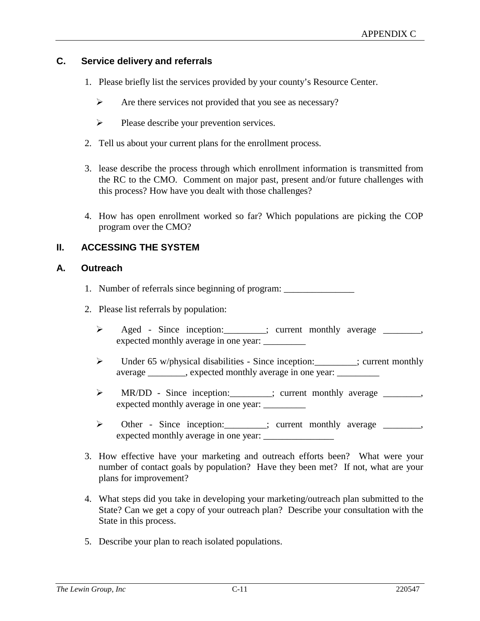#### **C. Service delivery and referrals**

- 1. Please briefly list the services provided by your county's Resource Center.
	- $\triangleright$  Are there services not provided that you see as necessary?
	- $\triangleright$  Please describe your prevention services.
- 2. Tell us about your current plans for the enrollment process.
- 3. lease describe the process through which enrollment information is transmitted from the RC to the CMO. Comment on major past, present and/or future challenges with this process? How have you dealt with those challenges?
- 4. How has open enrollment worked so far? Which populations are picking the COP program over the CMO?

#### **II. ACCESSING THE SYSTEM**

#### **A. Outreach**

- 1. Number of referrals since beginning of program: \_\_\_\_\_\_\_\_\_\_\_\_\_\_\_\_\_\_\_\_\_\_\_\_\_\_\_\_\_
- 2. Please list referrals by population:
	- > Aged Since inception: \_\_\_\_\_\_; current monthly average \_\_\_\_\_\_, expected monthly average in one year:
	- Under 65 w/physical disabilities Since inception:\_\_\_\_\_\_\_\_\_; current monthly average \_\_\_\_\_\_\_, expected monthly average in one year: \_\_\_\_
	- > MR/DD Since inception: : : : : : : : : current monthly average \_\_\_\_\_\_\_, expected monthly average in one year: \_\_\_\_\_\_\_\_\_
	- > Other Since inception: \_\_\_\_\_\_; current monthly average \_\_\_\_\_\_, expected monthly average in one year: \_\_\_\_\_\_\_\_\_\_\_\_\_\_\_
- 3. How effective have your marketing and outreach efforts been? What were your number of contact goals by population? Have they been met? If not, what are your plans for improvement?
- 4. What steps did you take in developing your marketing/outreach plan submitted to the State? Can we get a copy of your outreach plan? Describe your consultation with the State in this process.
- 5. Describe your plan to reach isolated populations.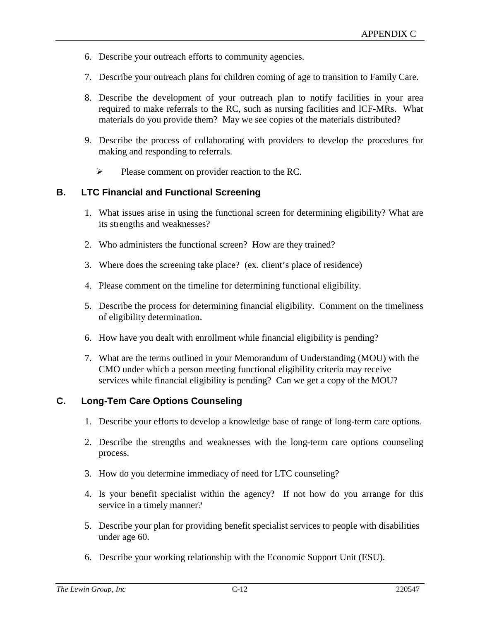- 6. Describe your outreach efforts to community agencies.
- 7. Describe your outreach plans for children coming of age to transition to Family Care.
- 8. Describe the development of your outreach plan to notify facilities in your area required to make referrals to the RC, such as nursing facilities and ICF-MRs. What materials do you provide them? May we see copies of the materials distributed?
- 9. Describe the process of collaborating with providers to develop the procedures for making and responding to referrals.
	- $\triangleright$  Please comment on provider reaction to the RC.

#### **B. LTC Financial and Functional Screening**

- 1. What issues arise in using the functional screen for determining eligibility? What are its strengths and weaknesses?
- 2. Who administers the functional screen? How are they trained?
- 3. Where does the screening take place? (ex. client's place of residence)
- 4. Please comment on the timeline for determining functional eligibility.
- 5. Describe the process for determining financial eligibility. Comment on the timeliness of eligibility determination.
- 6. How have you dealt with enrollment while financial eligibility is pending?
- 7. What are the terms outlined in your Memorandum of Understanding (MOU) with the CMO under which a person meeting functional eligibility criteria may receive services while financial eligibility is pending? Can we get a copy of the MOU?

### **C. Long-Tem Care Options Counseling**

- 1. Describe your efforts to develop a knowledge base of range of long-term care options.
- 2. Describe the strengths and weaknesses with the long-term care options counseling process.
- 3. How do you determine immediacy of need for LTC counseling?
- 4. Is your benefit specialist within the agency? If not how do you arrange for this service in a timely manner?
- 5. Describe your plan for providing benefit specialist services to people with disabilities under age 60.
- 6. Describe your working relationship with the Economic Support Unit (ESU).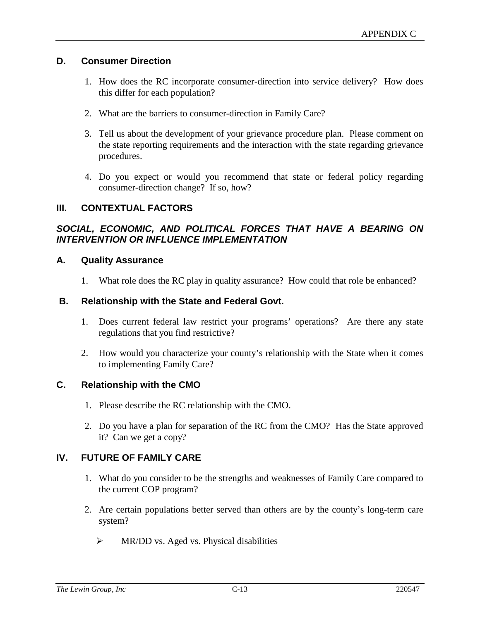#### **D. Consumer Direction**

- 1. How does the RC incorporate consumer-direction into service delivery? How does this differ for each population?
- 2. What are the barriers to consumer-direction in Family Care?
- 3. Tell us about the development of your grievance procedure plan. Please comment on the state reporting requirements and the interaction with the state regarding grievance procedures.
- 4. Do you expect or would you recommend that state or federal policy regarding consumer-direction change? If so, how?

#### **III. CONTEXTUAL FACTORS**

#### *SOCIAL, ECONOMIC, AND POLITICAL FORCES THAT HAVE A BEARING ON INTERVENTION OR INFLUENCE IMPLEMENTATION*

#### **A. Quality Assurance**

1. What role does the RC play in quality assurance? How could that role be enhanced?

#### **B. Relationship with the State and Federal Govt.**

- 1. Does current federal law restrict your programs' operations? Are there any state regulations that you find restrictive?
- 2. How would you characterize your county's relationship with the State when it comes to implementing Family Care?

#### **C. Relationship with the CMO**

- 1. Please describe the RC relationship with the CMO.
- 2. Do you have a plan for separation of the RC from the CMO? Has the State approved it? Can we get a copy?

#### **IV. FUTURE OF FAMILY CARE**

- 1. What do you consider to be the strengths and weaknesses of Family Care compared to the current COP program?
- 2. Are certain populations better served than others are by the county's long-term care system?
	- $\triangleright$  MR/DD vs. Aged vs. Physical disabilities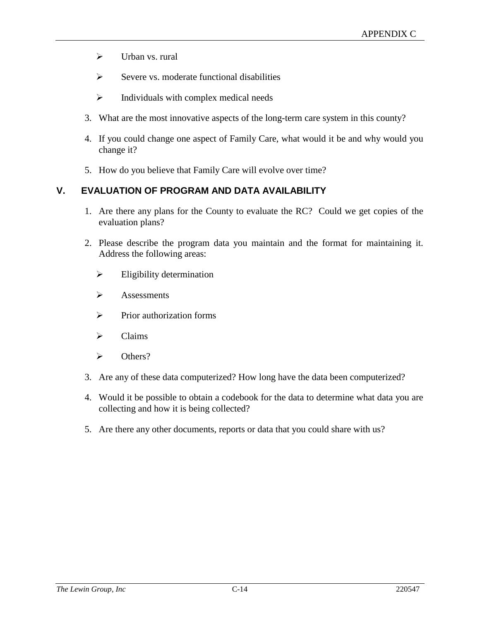- $\sum$  Urban vs. rural
- $\triangleright$  Severe vs. moderate functional disabilities
- $\triangleright$  Individuals with complex medical needs
- 3. What are the most innovative aspects of the long-term care system in this county?
- 4. If you could change one aspect of Family Care, what would it be and why would you change it?
- 5. How do you believe that Family Care will evolve over time?

# **V. EVALUATION OF PROGRAM AND DATA AVAILABILITY**

- 1. Are there any plans for the County to evaluate the RC? Could we get copies of the evaluation plans?
- 2. Please describe the program data you maintain and the format for maintaining it. Address the following areas:
	- $\triangleright$  Eligibility determination
	- $\triangleright$  Assessments
	- $\triangleright$  Prior authorization forms
	- $\triangleright$  Claims
	- $\triangleright$  Others?
- 3. Are any of these data computerized? How long have the data been computerized?
- 4. Would it be possible to obtain a codebook for the data to determine what data you are collecting and how it is being collected?
- 5. Are there any other documents, reports or data that you could share with us?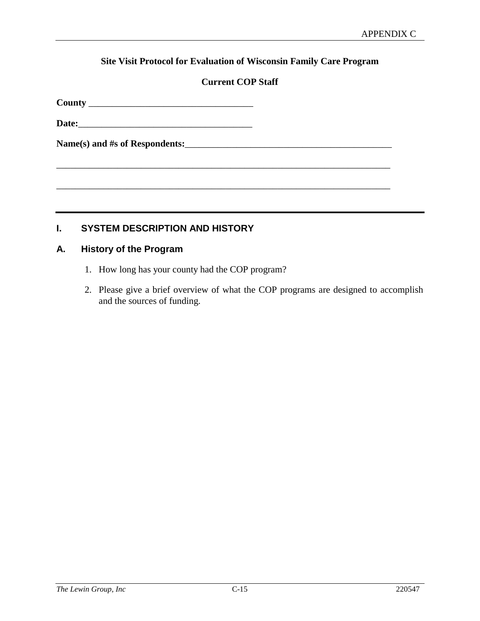## **Site Visit Protocol for Evaluation of Wisconsin Family Care Program**

## **Current COP Staff**

\_\_\_\_\_\_\_\_\_\_\_\_\_\_\_\_\_\_\_\_\_\_\_\_\_\_\_\_\_\_\_\_\_\_\_\_\_\_\_\_\_\_\_\_\_\_\_\_\_\_\_\_\_\_\_\_\_\_\_\_\_\_\_\_\_\_\_\_\_\_\_

\_\_\_\_\_\_\_\_\_\_\_\_\_\_\_\_\_\_\_\_\_\_\_\_\_\_\_\_\_\_\_\_\_\_\_\_\_\_\_\_\_\_\_\_\_\_\_\_\_\_\_\_\_\_\_\_\_\_\_\_\_\_\_\_\_\_\_\_\_\_\_

**County** \_\_\_\_\_\_\_\_\_\_\_\_\_\_\_\_\_\_\_\_\_\_\_\_\_\_\_\_\_\_\_\_\_\_\_

**Date:**\_\_\_\_\_\_\_\_\_\_\_\_\_\_\_\_\_\_\_\_\_\_\_\_\_\_\_\_\_\_\_\_\_\_\_\_\_

**Name(s) and #s of Respondents:**\_\_\_\_\_\_\_\_\_\_\_\_\_\_\_\_\_\_\_\_\_\_\_\_\_\_\_\_\_\_\_\_\_\_\_\_\_\_\_\_\_\_\_\_

## **I. SYSTEM DESCRIPTION AND HISTORY**

## **A. History of the Program**

- 1. How long has your county had the COP program?
- 2. Please give a brief overview of what the COP programs are designed to accomplish and the sources of funding.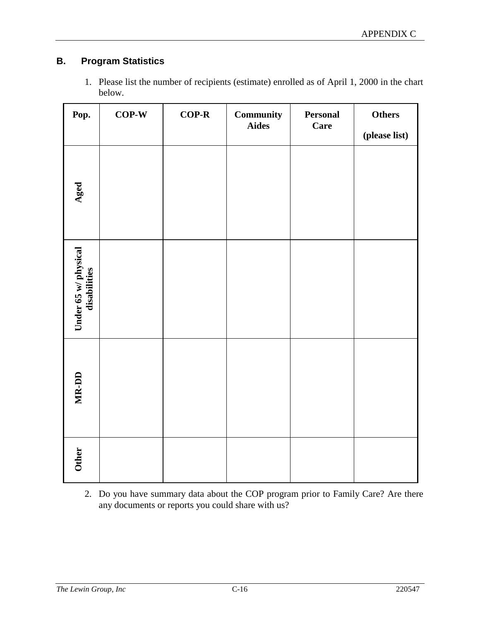## **B. Program Statistics**

| 1. Please list the number of recipients (estimate) enrolled as of April 1, 2000 in the chart |
|----------------------------------------------------------------------------------------------|
| below.                                                                                       |

| Pop.                                 | $COP-W$ | $COP-R$ | Community<br><b>Aides</b> | Personal<br><b>Care</b> | Others        |
|--------------------------------------|---------|---------|---------------------------|-------------------------|---------------|
|                                      |         |         |                           |                         | (please list) |
| Aged                                 |         |         |                           |                         |               |
| Under 65 w/ physical<br>disabilities |         |         |                           |                         |               |
| MR-DD                                |         |         |                           |                         |               |
| <b>Other</b>                         |         |         |                           |                         |               |

2. Do you have summary data about the COP program prior to Family Care? Are there any documents or reports you could share with us?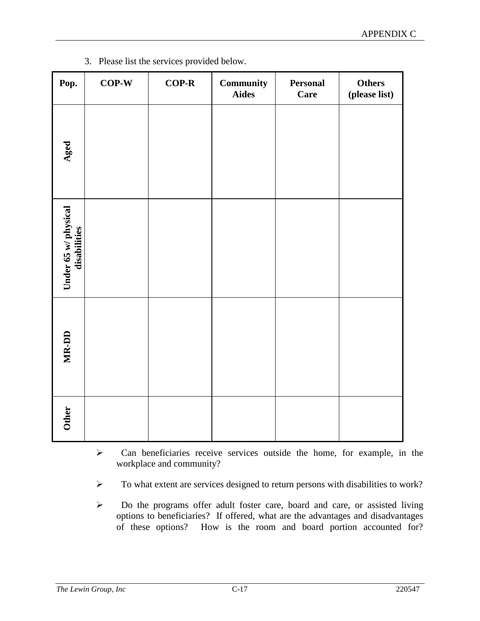| Pop.                                 | $COP-W$ | $COP-R$ | Community<br><b>Aides</b> | <b>Personal</b><br><b>Care</b> | <b>Others</b><br>(please list) |
|--------------------------------------|---------|---------|---------------------------|--------------------------------|--------------------------------|
| Aged                                 |         |         |                           |                                |                                |
| Under 65 w/ physical<br>disabilities |         |         |                           |                                |                                |
| MR-DD                                |         |         |                           |                                |                                |
| <b>Other</b>                         |         |         |                           |                                |                                |

3. Please list the services provided below.

- $\triangleright$  Can beneficiaries receive services outside the home, for example, in the workplace and community?
- To what extent are services designed to return persons with disabilities to work?
- Do the programs offer adult foster care, board and care, or assisted living options to beneficiaries? If offered, what are the advantages and disadvantages of these options? How is the room and board portion accounted for?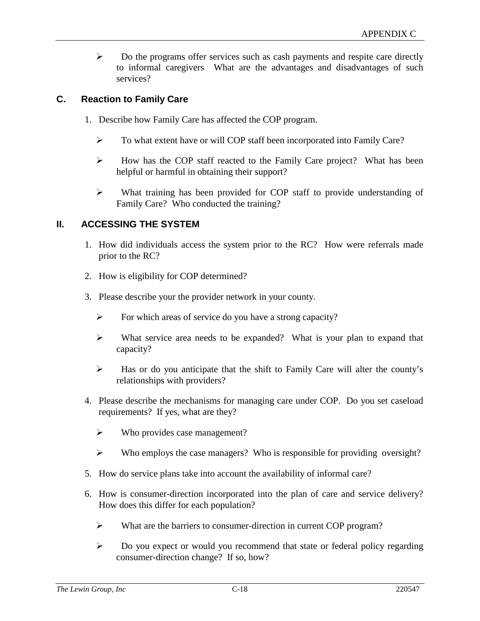$\triangleright$  Do the programs offer services such as cash payments and respite care directly to informal caregivers What are the advantages and disadvantages of such services?

## **C. Reaction to Family Care**

- 1. Describe how Family Care has affected the COP program.
	- To what extent have or will COP staff been incorporated into Family Care?
	- $\triangleright$  How has the COP staff reacted to the Family Care project? What has been helpful or harmful in obtaining their support?
	- What training has been provided for COP staff to provide understanding of Family Care? Who conducted the training?

## **II. ACCESSING THE SYSTEM**

- 1. How did individuals access the system prior to the RC? How were referrals made prior to the RC?
- 2. How is eligibility for COP determined?
- 3. Please describe your the provider network in your county.
	- $\triangleright$  For which areas of service do you have a strong capacity?
	- $\triangleright$  What service area needs to be expanded? What is your plan to expand that capacity?
	- $\triangleright$  Has or do you anticipate that the shift to Family Care will alter the county's relationships with providers?
- 4. Please describe the mechanisms for managing care under COP. Do you set caseload requirements? If yes, what are they?
	- $\triangleright$  Who provides case management?
	- $\triangleright$  Who employs the case managers? Who is responsible for providing oversight?
- 5. How do service plans take into account the availability of informal care?
- 6. How is consumer-direction incorporated into the plan of care and service delivery? How does this differ for each population?
	- What are the barriers to consumer-direction in current COP program?
	- $\triangleright$  Do you expect or would you recommend that state or federal policy regarding consumer-direction change? If so, how?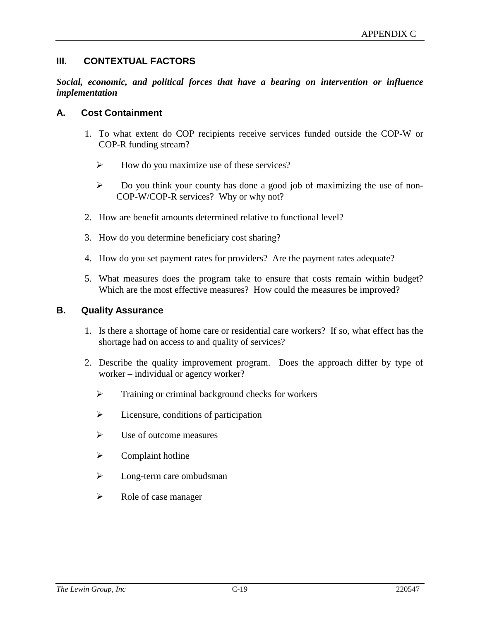## **III. CONTEXTUAL FACTORS**

*Social, economic, and political forces that have a bearing on intervention or influence implementation*

#### **A. Cost Containment**

- 1. To what extent do COP recipients receive services funded outside the COP-W or COP-R funding stream?
	- $\triangleright$  How do you maximize use of these services?
	- $\triangleright$  Do you think your county has done a good job of maximizing the use of non-COP-W/COP-R services? Why or why not?
- 2. How are benefit amounts determined relative to functional level?
- 3. How do you determine beneficiary cost sharing?
- 4. How do you set payment rates for providers? Are the payment rates adequate?
- 5. What measures does the program take to ensure that costs remain within budget? Which are the most effective measures? How could the measures be improved?

#### **B. Quality Assurance**

- 1. Is there a shortage of home care or residential care workers? If so, what effect has the shortage had on access to and quality of services?
- 2. Describe the quality improvement program. Does the approach differ by type of worker – individual or agency worker?
	- $\triangleright$  Training or criminal background checks for workers
	- $\triangleright$  Licensure, conditions of participation
	- $\triangleright$  Use of outcome measures
	- $\triangleright$  Complaint hotline
	- $\triangleright$  Long-term care ombudsman
	- $\triangleright$  Role of case manager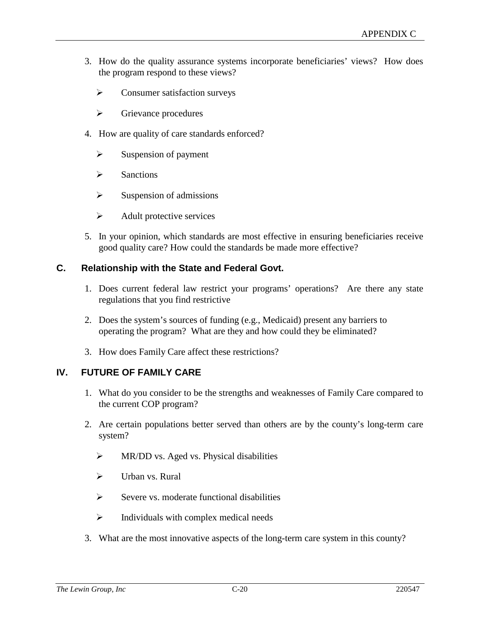- 3. How do the quality assurance systems incorporate beneficiaries' views? How does the program respond to these views?
	- $\triangleright$  Consumer satisfaction surveys
	- $\triangleright$  Grievance procedures
- 4. How are quality of care standards enforced?
	- $\triangleright$  Suspension of payment
	- $\triangleright$  Sanctions
	- $\triangleright$  Suspension of admissions
	- $\triangleright$  Adult protective services
- 5. In your opinion, which standards are most effective in ensuring beneficiaries receive good quality care? How could the standards be made more effective?

## **C. Relationship with the State and Federal Govt.**

- 1. Does current federal law restrict your programs' operations? Are there any state regulations that you find restrictive
- 2. Does the system's sources of funding (e.g., Medicaid) present any barriers to operating the program? What are they and how could they be eliminated?
- 3. How does Family Care affect these restrictions?

## **IV. FUTURE OF FAMILY CARE**

- 1. What do you consider to be the strengths and weaknesses of Family Care compared to the current COP program?
- 2. Are certain populations better served than others are by the county's long-term care system?
	- $\triangleright$  MR/DD vs. Aged vs. Physical disabilities
	- $\triangleright$  Urban vs. Rural
	- $\triangleright$  Severe vs. moderate functional disabilities
	- $\triangleright$  Individuals with complex medical needs
- 3. What are the most innovative aspects of the long-term care system in this county?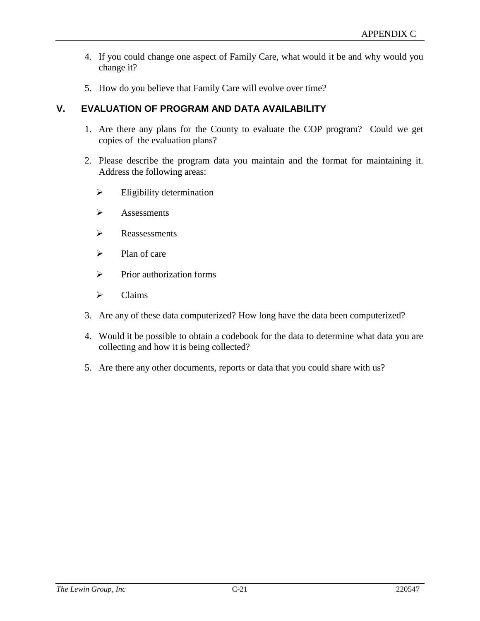- 4. If you could change one aspect of Family Care, what would it be and why would you change it?
- 5. How do you believe that Family Care will evolve over time?

## **V. EVALUATION OF PROGRAM AND DATA AVAILABILITY**

- 1. Are there any plans for the County to evaluate the COP program? Could we get copies of the evaluation plans?
- 2. Please describe the program data you maintain and the format for maintaining it. Address the following areas:
	- $\triangleright$  Eligibility determination
	- $\triangleright$  Assessments
	- $\triangleright$  Reassessments
	- $\triangleright$  Plan of care
	- $\triangleright$  Prior authorization forms
	- $\triangleright$  Claims
- 3. Are any of these data computerized? How long have the data been computerized?
- 4. Would it be possible to obtain a codebook for the data to determine what data you are collecting and how it is being collected?
- 5. Are there any other documents, reports or data that you could share with us?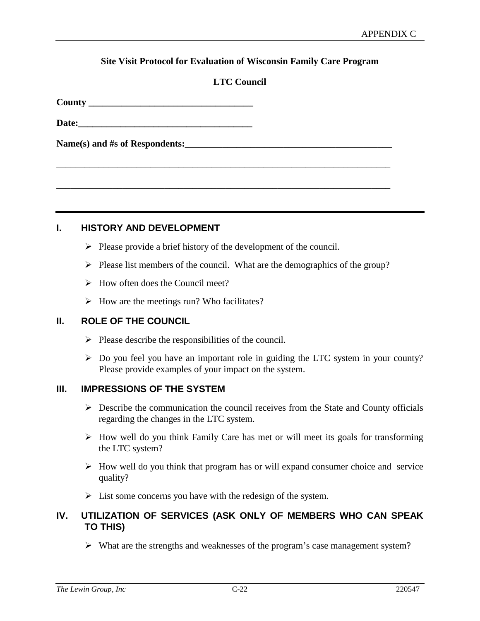#### **Site Visit Protocol for Evaluation of Wisconsin Family Care Program**

## **LTC Council**

| <b>County</b> |  |
|---------------|--|
|               |  |

**Date:\_\_\_\_\_\_\_\_\_\_\_\_\_\_\_\_\_\_\_\_\_\_\_\_\_\_\_\_\_\_\_\_\_\_\_\_\_**

Name(s) and #s of Respondents:

## **I. HISTORY AND DEVELOPMENT**

 $\triangleright$  Please provide a brief history of the development of the council.

\_\_\_\_\_\_\_\_\_\_\_\_\_\_\_\_\_\_\_\_\_\_\_\_\_\_\_\_\_\_\_\_\_\_\_\_\_\_\_\_\_\_\_\_\_\_\_\_\_\_\_\_\_\_\_\_\_\_\_\_\_\_\_\_\_\_\_\_\_\_\_

\_\_\_\_\_\_\_\_\_\_\_\_\_\_\_\_\_\_\_\_\_\_\_\_\_\_\_\_\_\_\_\_\_\_\_\_\_\_\_\_\_\_\_\_\_\_\_\_\_\_\_\_\_\_\_\_\_\_\_\_\_\_\_\_\_\_\_\_\_\_\_

- $\triangleright$  Please list members of the council. What are the demographics of the group?
- $\triangleright$  How often does the Council meet?
- $\triangleright$  How are the meetings run? Who facilitates?

## **II. ROLE OF THE COUNCIL**

- $\triangleright$  Please describe the responsibilities of the council.
- $\triangleright$  Do you feel you have an important role in guiding the LTC system in your county? Please provide examples of your impact on the system.

#### **III. IMPRESSIONS OF THE SYSTEM**

- $\triangleright$  Describe the communication the council receives from the State and County officials regarding the changes in the LTC system.
- $\triangleright$  How well do you think Family Care has met or will meet its goals for transforming the LTC system?
- $\triangleright$  How well do you think that program has or will expand consumer choice and service quality?
- $\triangleright$  List some concerns you have with the redesign of the system.

## **IV. UTILIZATION OF SERVICES (ASK ONLY OF MEMBERS WHO CAN SPEAK TO THIS)**

What are the strengths and weaknesses of the program's case management system?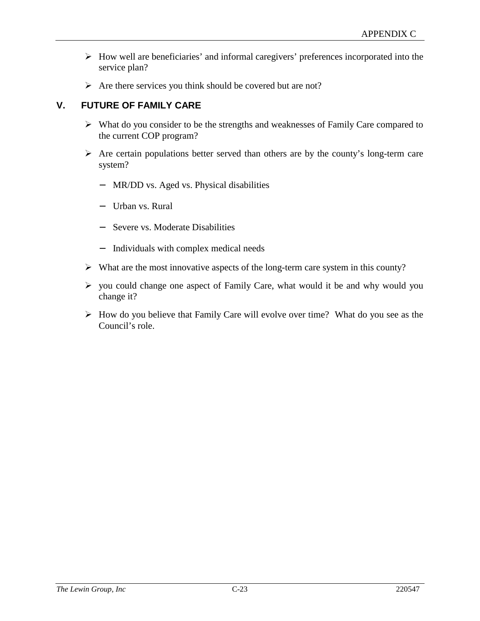- $\triangleright$  How well are beneficiaries' and informal caregivers' preferences incorporated into the service plan?
- $\triangleright$  Are there services you think should be covered but are not?

## **V. FUTURE OF FAMILY CARE**

- $\triangleright$  What do you consider to be the strengths and weaknesses of Family Care compared to the current COP program?
- $\triangleright$  Are certain populations better served than others are by the county's long-term care system?
	- − MR/DD vs. Aged vs. Physical disabilities
	- − Urban vs. Rural
	- − Severe vs. Moderate Disabilities
	- − Individuals with complex medical needs
- $\triangleright$  What are the most innovative aspects of the long-term care system in this county?
- $\triangleright$  you could change one aspect of Family Care, what would it be and why would you change it?
- $\triangleright$  How do you believe that Family Care will evolve over time? What do you see as the Council's role.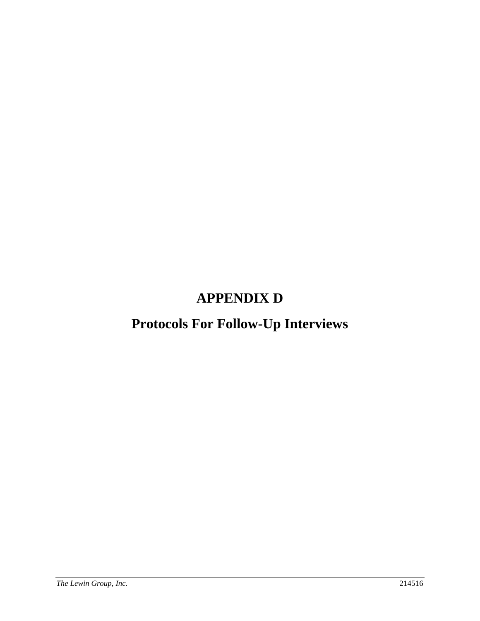# **APPENDIX D**

# **Protocols For Follow-Up Interviews**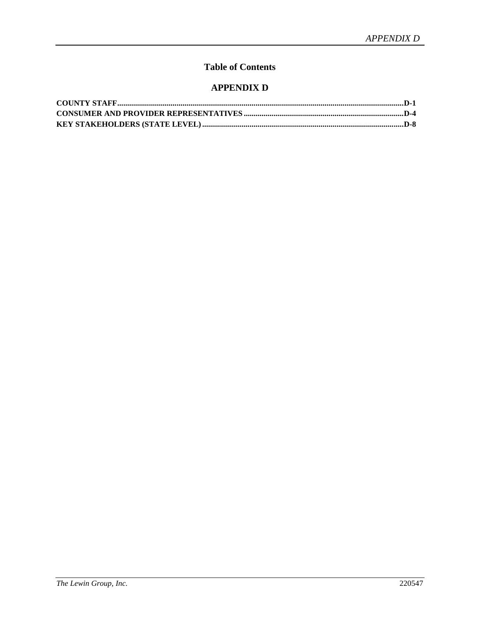# **Table of Contents**

## **APPENDIX D**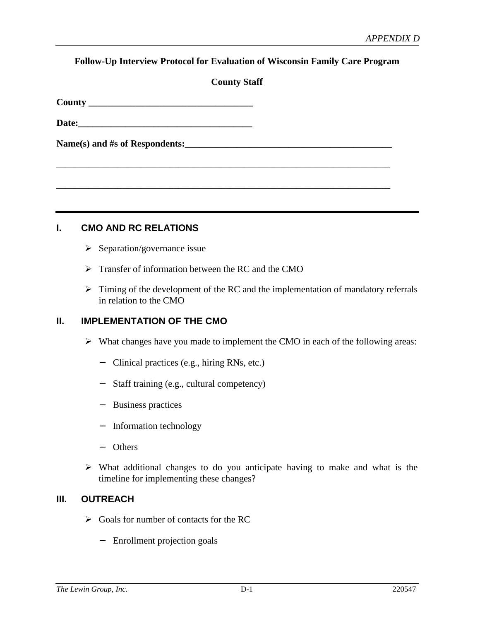#### **Follow-Up Interview Protocol for Evaluation of Wisconsin Family Care Program**

| <b>County Staff</b> |  |
|---------------------|--|
|---------------------|--|

\_\_\_\_\_\_\_\_\_\_\_\_\_\_\_\_\_\_\_\_\_\_\_\_\_\_\_\_\_\_\_\_\_\_\_\_\_\_\_\_\_\_\_\_\_\_\_\_\_\_\_\_\_\_\_\_\_\_\_\_\_\_\_\_\_\_\_\_\_\_\_

\_\_\_\_\_\_\_\_\_\_\_\_\_\_\_\_\_\_\_\_\_\_\_\_\_\_\_\_\_\_\_\_\_\_\_\_\_\_\_\_\_\_\_\_\_\_\_\_\_\_\_\_\_\_\_\_\_\_\_\_\_\_\_\_\_\_\_\_\_\_\_

| County |  |
|--------|--|

| Date: |  |  |  |
|-------|--|--|--|
|       |  |  |  |

Name(s) and #s of Respondents:

**I. CMO AND RC RELATIONS**

- $\triangleright$  Separation/governance issue
- $\triangleright$  Transfer of information between the RC and the CMO
- $\triangleright$  Timing of the development of the RC and the implementation of mandatory referrals in relation to the CMO

## **II. IMPLEMENTATION OF THE CMO**

- $\triangleright$  What changes have you made to implement the CMO in each of the following areas:
	- − Clinical practices (e.g., hiring RNs, etc.)
	- − Staff training (e.g., cultural competency)
	- − Business practices
	- − Information technology
	- − Others
- $\triangleright$  What additional changes to do you anticipate having to make and what is the timeline for implementing these changes?

## **III. OUTREACH**

- $\triangleright$  Goals for number of contacts for the RC
	- − Enrollment projection goals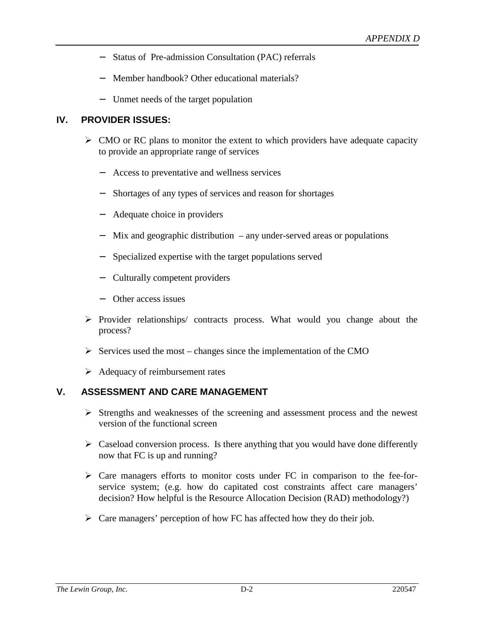- − Status of Pre-admission Consultation (PAC) referrals
- − Member handbook? Other educational materials?
- − Unmet needs of the target population

## **IV. PROVIDER ISSUES:**

- $\triangleright$  CMO or RC plans to monitor the extent to which providers have adequate capacity to provide an appropriate range of services
	- − Access to preventative and wellness services
	- − Shortages of any types of services and reason for shortages
	- − Adequate choice in providers
	- − Mix and geographic distribution any under-served areas or populations
	- − Specialized expertise with the target populations served
	- − Culturally competent providers
	- − Other access issues
- $\triangleright$  Provider relationships/ contracts process. What would you change about the process?
- $\triangleright$  Services used the most changes since the implementation of the CMO
- $\triangleright$  Adequacy of reimbursement rates

## **V. ASSESSMENT AND CARE MANAGEMENT**

- $\triangleright$  Strengths and weaknesses of the screening and assessment process and the newest version of the functional screen
- $\triangleright$  Caseload conversion process. Is there anything that you would have done differently now that FC is up and running?
- $\triangleright$  Care managers efforts to monitor costs under FC in comparison to the fee-forservice system; (e.g. how do capitated cost constraints affect care managers' decision? How helpful is the Resource Allocation Decision (RAD) methodology?)
- $\triangleright$  Care managers' perception of how FC has affected how they do their job.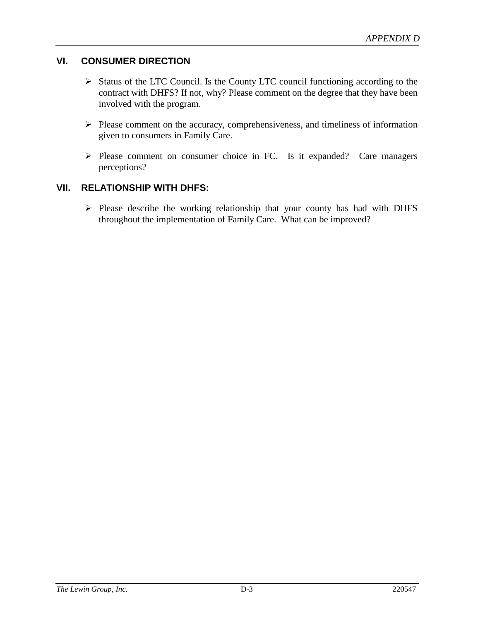## **VI. CONSUMER DIRECTION**

- $\triangleright$  Status of the LTC Council. Is the County LTC council functioning according to the contract with DHFS? If not, why? Please comment on the degree that they have been involved with the program.
- $\triangleright$  Please comment on the accuracy, comprehensiveness, and timeliness of information given to consumers in Family Care.
- $\triangleright$  Please comment on consumer choice in FC. Is it expanded? Care managers perceptions?

# **VII. RELATIONSHIP WITH DHFS:**

 $\triangleright$  Please describe the working relationship that your county has had with DHFS throughout the implementation of Family Care. What can be improved?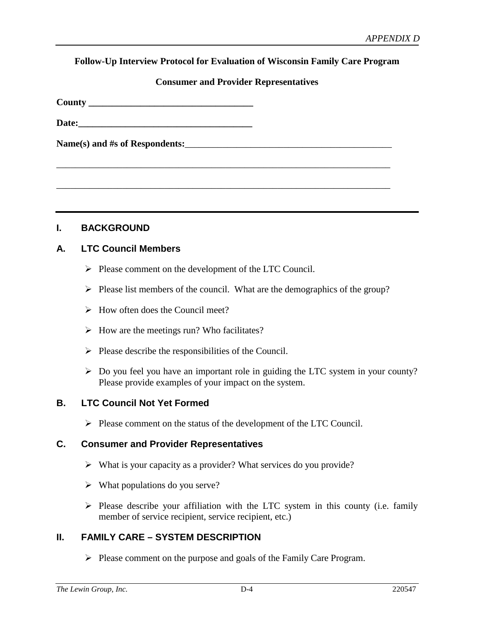#### **Follow-Up Interview Protocol for Evaluation of Wisconsin Family Care Program**

#### **Consumer and Provider Representatives**

\_\_\_\_\_\_\_\_\_\_\_\_\_\_\_\_\_\_\_\_\_\_\_\_\_\_\_\_\_\_\_\_\_\_\_\_\_\_\_\_\_\_\_\_\_\_\_\_\_\_\_\_\_\_\_\_\_\_\_\_\_\_\_\_\_\_\_\_\_\_\_

\_\_\_\_\_\_\_\_\_\_\_\_\_\_\_\_\_\_\_\_\_\_\_\_\_\_\_\_\_\_\_\_\_\_\_\_\_\_\_\_\_\_\_\_\_\_\_\_\_\_\_\_\_\_\_\_\_\_\_\_\_\_\_\_\_\_\_\_\_\_\_

| County |  |
|--------|--|
|        |  |

| Date: |  |  |  |
|-------|--|--|--|
|       |  |  |  |

Name(s) and #s of Respondents:

## **I. BACKGROUND**

## **A. LTC Council Members**

- $\triangleright$  Please comment on the development of the LTC Council.
- $\triangleright$  Please list members of the council. What are the demographics of the group?
- $\triangleright$  How often does the Council meet?
- $\triangleright$  How are the meetings run? Who facilitates?
- $\triangleright$  Please describe the responsibilities of the Council.
- $\triangleright$  Do you feel you have an important role in guiding the LTC system in your county? Please provide examples of your impact on the system.

## **B. LTC Council Not Yet Formed**

 $\triangleright$  Please comment on the status of the development of the LTC Council.

#### **C. Consumer and Provider Representatives**

- $\triangleright$  What is your capacity as a provider? What services do you provide?
- $\triangleright$  What populations do you serve?
- $\triangleright$  Please describe your affiliation with the LTC system in this county (i.e. family member of service recipient, service recipient, etc.)

## **II. FAMILY CARE – SYSTEM DESCRIPTION**

 $\triangleright$  Please comment on the purpose and goals of the Family Care Program.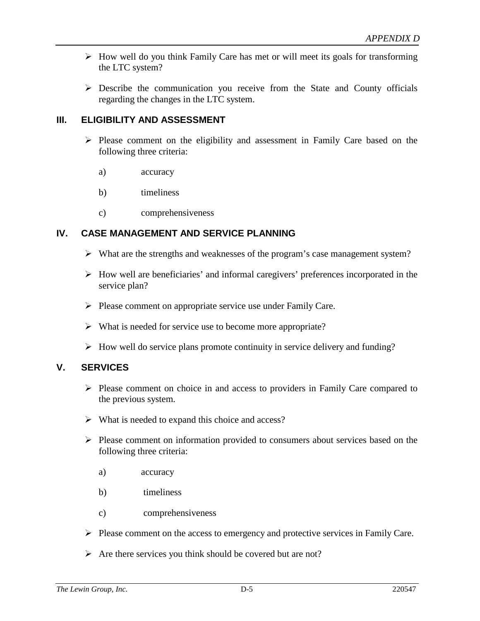- $\triangleright$  How well do you think Family Care has met or will meet its goals for transforming the LTC system?
- $\triangleright$  Describe the communication you receive from the State and County officials regarding the changes in the LTC system.

## **III. ELIGIBILITY AND ASSESSMENT**

- $\triangleright$  Please comment on the eligibility and assessment in Family Care based on the following three criteria:
	- a) accuracy
	- b) timeliness
	- c) comprehensiveness

## **IV. CASE MANAGEMENT AND SERVICE PLANNING**

- $\triangleright$  What are the strengths and weaknesses of the program's case management system?
- $\triangleright$  How well are beneficiaries' and informal caregivers' preferences incorporated in the service plan?
- $\triangleright$  Please comment on appropriate service use under Family Care.
- $\triangleright$  What is needed for service use to become more appropriate?
- $\triangleright$  How well do service plans promote continuity in service delivery and funding?

# **V. SERVICES**

- $\triangleright$  Please comment on choice in and access to providers in Family Care compared to the previous system.
- $\triangleright$  What is needed to expand this choice and access?
- $\triangleright$  Please comment on information provided to consumers about services based on the following three criteria:
	- a) accuracy
	- b) timeliness
	- c) comprehensiveness
- $\triangleright$  Please comment on the access to emergency and protective services in Family Care.
- $\triangleright$  Are there services you think should be covered but are not?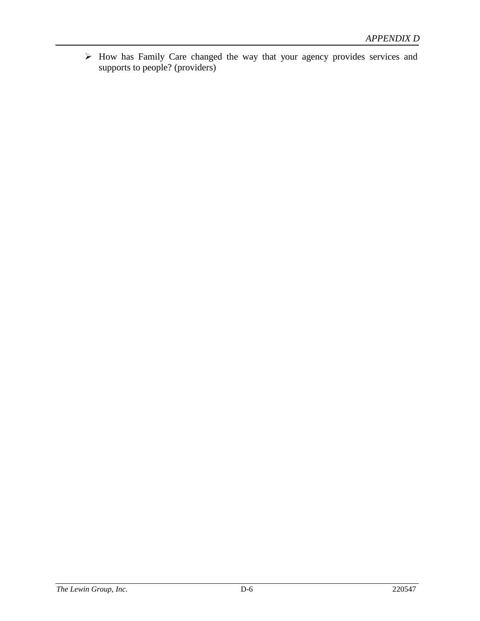How has Family Care changed the way that your agency provides services and supports to people? (providers)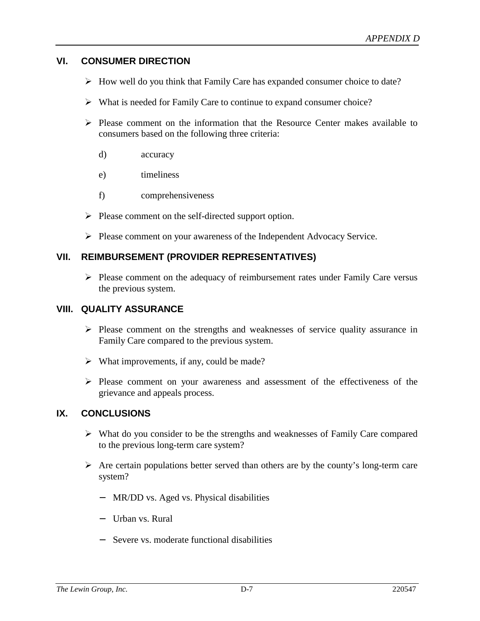## **VI. CONSUMER DIRECTION**

- $\triangleright$  How well do you think that Family Care has expanded consumer choice to date?
- $\triangleright$  What is needed for Family Care to continue to expand consumer choice?
- $\triangleright$  Please comment on the information that the Resource Center makes available to consumers based on the following three criteria:
	- d) accuracy
	- e) timeliness
	- f) comprehensiveness
- $\triangleright$  Please comment on the self-directed support option.
- Please comment on your awareness of the Independent Advocacy Service.

## **VII. REIMBURSEMENT (PROVIDER REPRESENTATIVES)**

 $\triangleright$  Please comment on the adequacy of reimbursement rates under Family Care versus the previous system.

#### **VIII. QUALITY ASSURANCE**

- $\triangleright$  Please comment on the strengths and weaknesses of service quality assurance in Family Care compared to the previous system.
- $\triangleright$  What improvements, if any, could be made?
- Please comment on your awareness and assessment of the effectiveness of the grievance and appeals process.

## **IX. CONCLUSIONS**

- $\triangleright$  What do you consider to be the strengths and weaknesses of Family Care compared to the previous long-term care system?
- $\triangleright$  Are certain populations better served than others are by the county's long-term care system?
	- − MR/DD vs. Aged vs. Physical disabilities
	- − Urban vs. Rural
	- − Severe vs. moderate functional disabilities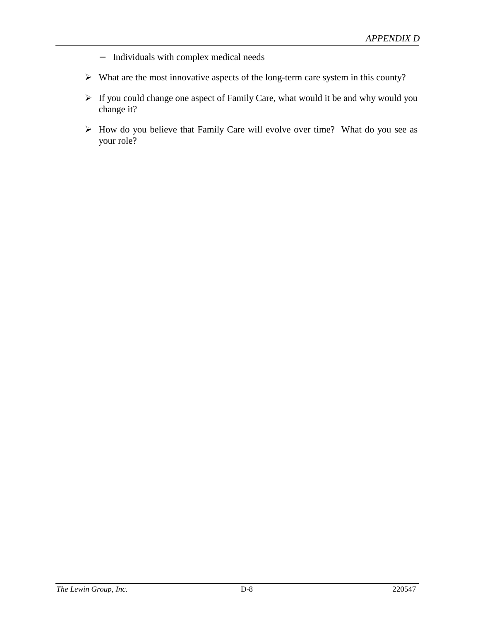- − Individuals with complex medical needs
- $\triangleright$  What are the most innovative aspects of the long-term care system in this county?
- $\triangleright$  If you could change one aspect of Family Care, what would it be and why would you change it?
- $\triangleright$  How do you believe that Family Care will evolve over time? What do you see as your role?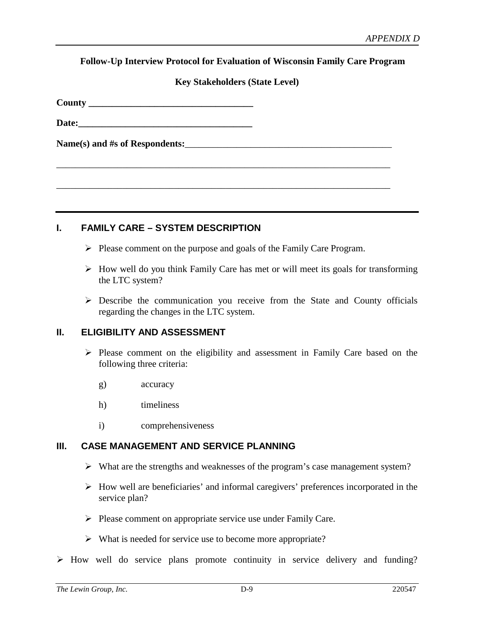**Follow-Up Interview Protocol for Evaluation of Wisconsin Family Care Program**

#### **Key Stakeholders (State Level)**

**County \_\_\_\_\_\_\_\_\_\_\_\_\_\_\_\_\_\_\_\_\_\_\_\_\_\_\_\_\_\_\_\_\_\_\_**

Date:

Name(s) and #s of Respondents:

## **I. FAMILY CARE – SYSTEM DESCRIPTION**

 $\triangleright$  Please comment on the purpose and goals of the Family Care Program.

\_\_\_\_\_\_\_\_\_\_\_\_\_\_\_\_\_\_\_\_\_\_\_\_\_\_\_\_\_\_\_\_\_\_\_\_\_\_\_\_\_\_\_\_\_\_\_\_\_\_\_\_\_\_\_\_\_\_\_\_\_\_\_\_\_\_\_\_\_\_\_

\_\_\_\_\_\_\_\_\_\_\_\_\_\_\_\_\_\_\_\_\_\_\_\_\_\_\_\_\_\_\_\_\_\_\_\_\_\_\_\_\_\_\_\_\_\_\_\_\_\_\_\_\_\_\_\_\_\_\_\_\_\_\_\_\_\_\_\_\_\_\_

- $\triangleright$  How well do you think Family Care has met or will meet its goals for transforming the LTC system?
- $\triangleright$  Describe the communication you receive from the State and County officials regarding the changes in the LTC system.

## **II. ELIGIBILITY AND ASSESSMENT**

- $\triangleright$  Please comment on the eligibility and assessment in Family Care based on the following three criteria:
	- g) accuracy
	- h) timeliness
	- i) comprehensiveness

## **III. CASE MANAGEMENT AND SERVICE PLANNING**

- What are the strengths and weaknesses of the program's case management system?
- $\triangleright$  How well are beneficiaries' and informal caregivers' preferences incorporated in the service plan?
- $\triangleright$  Please comment on appropriate service use under Family Care.
- $\triangleright$  What is needed for service use to become more appropriate?
- $\triangleright$  How well do service plans promote continuity in service delivery and funding?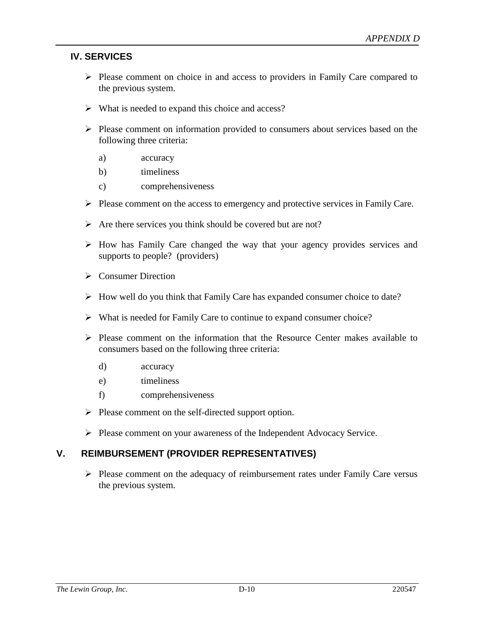## **IV. SERVICES**

- $\triangleright$  Please comment on choice in and access to providers in Family Care compared to the previous system.
- $\triangleright$  What is needed to expand this choice and access?
- $\triangleright$  Please comment on information provided to consumers about services based on the following three criteria:
	- a) accuracy
	- b) timeliness
	- c) comprehensiveness
- $\triangleright$  Please comment on the access to emergency and protective services in Family Care.
- $\triangleright$  Are there services you think should be covered but are not?
- $\triangleright$  How has Family Care changed the way that your agency provides services and supports to people? (providers)
- $\triangleright$  Consumer Direction
- $\triangleright$  How well do you think that Family Care has expanded consumer choice to date?
- $\triangleright$  What is needed for Family Care to continue to expand consumer choice?
- $\triangleright$  Please comment on the information that the Resource Center makes available to consumers based on the following three criteria:
	- d) accuracy
	- e) timeliness
	- f) comprehensiveness
- $\triangleright$  Please comment on the self-directed support option.
- Please comment on your awareness of the Independent Advocacy Service.

## **V. REIMBURSEMENT (PROVIDER REPRESENTATIVES)**

 $\triangleright$  Please comment on the adequacy of reimbursement rates under Family Care versus the previous system.